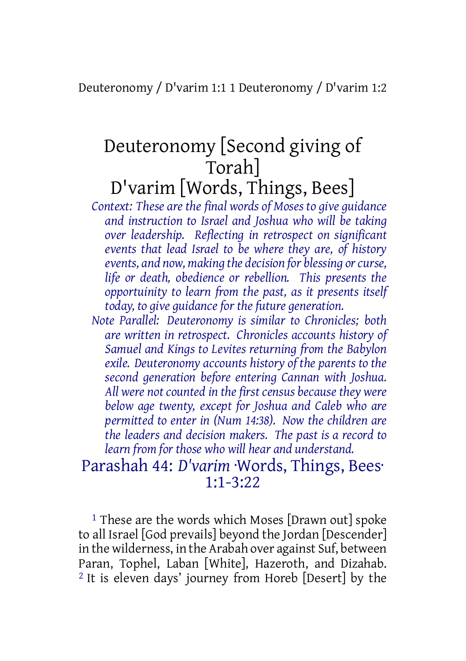Deuteronomy / D'varim 1:1 1 Deuteronomy / D'varim 1:2

# Deuteronomy [Second giving of Torah] D'varim [Words, Things, Bees]

*Context: These are the final words of Moses to give guidance and instruction to Israel and Joshua who will be taking over leadership. Reflecting in retrospect on significant events that lead Israel to be where they are, of history events, and now, making the decision for blessing orcurse, life or death, obedience or rebellion. This presents the opportuinity to learn from the past, as it presents itself today, to give guidance for the future generation.*

*Note Parallel: Deuteronomy is similar to Chronicles; both are written in retrospect. Chronicles accounts history of Samuel and Kings to Levites returning from the Babylon exile. Deuteronomy accounts history of the parents to the second generation before entering Cannan with Joshua. All were not counted in the first census because they were below age twenty, except for Joshua and Caleb who are permitted to enter in (Num 14:38). Now the children are the leaders and decision makers. The past is a record to learn from for those who will hear and understand.*

# Parashah 44: *D'varim* ·Words, Things, Bees· 1:1-3:22

<sup>1</sup> These are the words which Moses [Drawn out] spoke to all Israel [God prevails] beyond the Jordan [Descender] in the wilderness, in the Arabah over against Suf, between Paran, Tophel, Laban [White], Hazeroth, and Dizahab. 2 It is eleven days' journey from Horeb [Desert] by the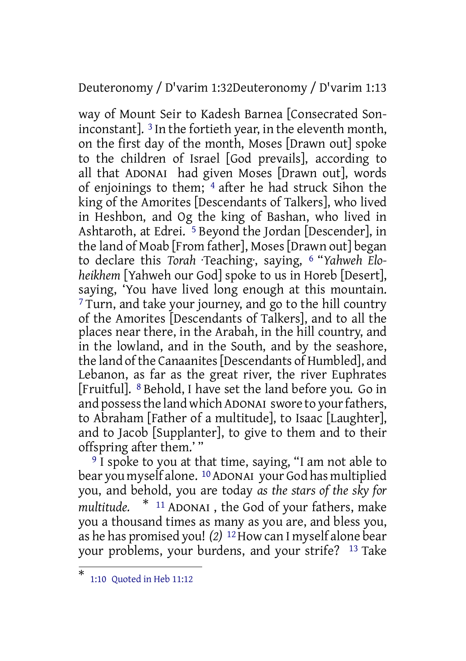Deuteronomy / D'varim 1:32Deuteronomy / D'varim 1:13

way of Mount Seir to Kadesh Barnea [Consecrated Soninconstant]. 3 In the fortieth year, in the eleventh month, on the first day of the month, Moses [Drawn out] spoke to the children of Israel [God prevails], according to all that ADONAI had given Moses [Drawn out], words of enjoinings to them; 4 after he had struck Sihon the king of the Amorites [Descendants of Talkers], who lived in Heshbon, and Og the king of Bashan, who lived in Ashtaroth, at Edrei.<sup>5</sup> Beyond the Jordan [Descender], in the land of Moab [From father], Moses [Drawn out] began to declare this *Torah* ·Teaching·, saying, 6 "*Yahweh Eloheikhem* [Yahweh our God] spoke to us in Horeb [Desert], saying, 'You have lived long enough at this mountain. <sup>7</sup> Turn, and take your journey, and go to the hill country of the Amorites [Descendants of Talkers], and to all the places near there, in the Arabah, in the hill country, and in the lowland, and in the South, and by the seashore, the land of the Canaanites [Descendants of Humbled], and Lebanon, as far as the great river, the river Euphrates [Fruitful]. 8 Behold, I have set the land before you. Go in and possess the land which ADONAI swore to your fathers, to Abraham [Father of a multitude], to Isaac [Laughter], and to Jacob [Supplanter], to give to them and to their offspring after them.' "

<sup>9</sup> I spoke to you at that time, saying, "I am not able to bear you myself alone. <sup>10</sup> ADONAI your God has multiplied you, and behold, you are today *as the stars of the sky for multitude.* \* <sup>11</sup> ADONAI , the God of your fathers, make you a thousand times as many as you are, and bless you, as he has promised you! *(2)* 12How can I myself alone bear your problems, your burdens, and your strife? 13 Take

<sup>\*</sup> 1:10 Quoted in Heb 11:12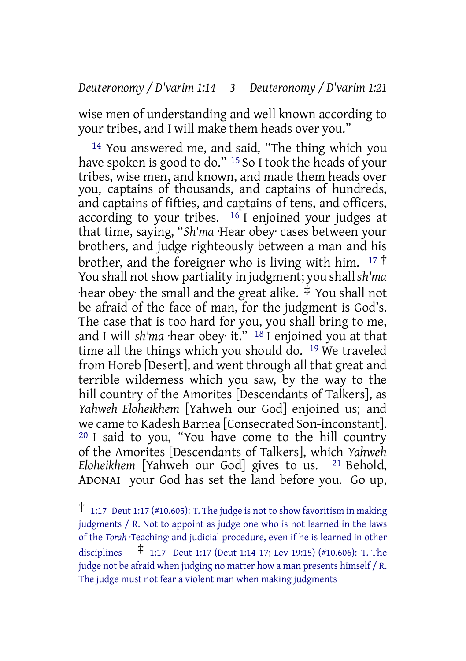#### *Deuteronomy / D'varim 1:14 3 Deuteronomy / D'varim 1:21*

wise men of understanding and well known according to your tribes, and I will make them heads over you."

14 You answered me, and said, "The thing which you have spoken is good to do." <sup>15</sup> So I took the heads of your tribes, wise men, and known, and made them heads over you, captains of thousands, and captains of hundreds, and captains of fifties, and captains of tens, and officers, according to your tribes.  $16$  I enjoined your judges at that time, saying, "*Sh'ma* ·Hear obey· cases between your brothers, and judge righteously between a man and his brother, and the foreigner who is living with him.  $17 \text{ }^{\dagger}$ You shall not show partiality in judgment; you shall *sh'ma*  $\cdot$ hear obey $\cdot$  the small and the great alike.  $\ddagger$  You shall not be afraid of the face of man, for the judgment is God's. The case that is too hard for you, you shall bring to me, and I will *sh'ma* ·hear obey· it." 18 I enjoined you at that time all the things which you should do. 19 We traveled from Horeb [Desert], and went through all that great and terrible wilderness which you saw, by the way to the hill country of the Amorites [Descendants of Talkers], as *Yahweh Eloheikhem* [Yahweh our God] enjoined us; and we came to Kadesh Barnea [Consecrated Son-inconstant]. 20 I said to you, "You have come to the hill country of the Amorites [Descendants of Talkers], which *Yahweh Eloheikhem* [Yahweh our God] gives to us. 21 Behold, ADONAI your God has set the land before you. Go up,

 $\uparrow$  1:17 Deut 1:17 (#10.605): T. The judge is not to show favoritism in making judgments / R. Not to appoint as judge one who is not learned in the laws of the *Torah* Teaching and judicial procedure, even if he is learned in other disciplines ‡ 1:17 Deut 1:17 (Deut 1:14-17; Lev 19:15) (#10.606): T. The judge not be afraid when judging no matter how a man presents himself / R. The judge must not fear a violent man when making judgments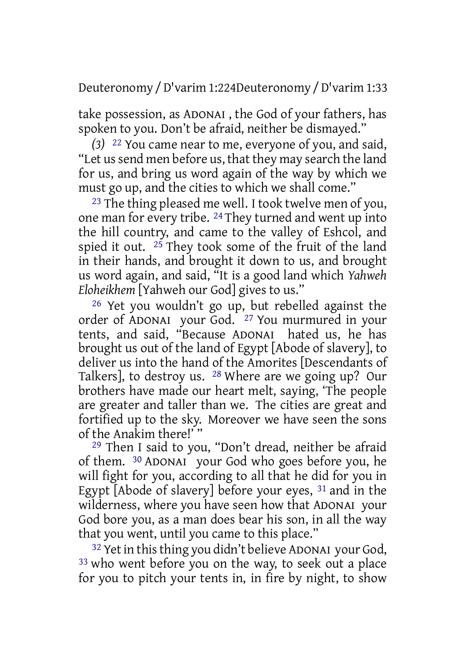Deuteronomy /D'varim 1:224Deuteronomy /D'varim 1:33

take possession, as ADONAI , the God of your fathers, has spoken to you. Don't be afraid, neither be dismayed."

*(3)* 22 You came near to me, everyone of you, and said, "Let us send men before us, that they may search the land for us, and bring us word again of the way by which we must go up, and the cities to which we shall come."

23 The thing pleased me well. I took twelve men of you, one man for every tribe. 24 They turned and went up into the hill country, and came to the valley of Eshcol, and spied it out.  $25$  They took some of the fruit of the land in their hands, and brought it down to us, and brought us word again, and said, "It is a good land which *Yahweh Eloheikhem* [Yahweh our God] gives to us."

26 Yet you wouldn't go up, but rebelled against the order of ADONAI your God. 27 You murmured in your tents, and said, "Because ADONAI hated us, he has brought us out of the land of Egypt [Abode of slavery], to deliver us into the hand of the Amorites [Descendants of Talkers], to destroy us. 28 Where are we going up? Our brothers have made our heart melt, saying, 'The people are greater and taller than we. The cities are great and fortified up to the sky. Moreover we have seen the sons of the Anakim there!' "

29 Then I said to you, "Don't dread, neither be afraid of them. 30 ADONAI your God who goes before you, he will fight for you, according to all that he did for you in Egypt [Abode of slavery] before your eyes, 31 and in the wilderness, where you have seen how that ADONAI your God bore you, as a man does bear his son, in all the way that you went, until you came to this place."

<sup>32</sup> Yet in this thing you didn't believe ADONAI your God, 33 who went before you on the way, to seek out a place for you to pitch your tents in, in fire by night, to show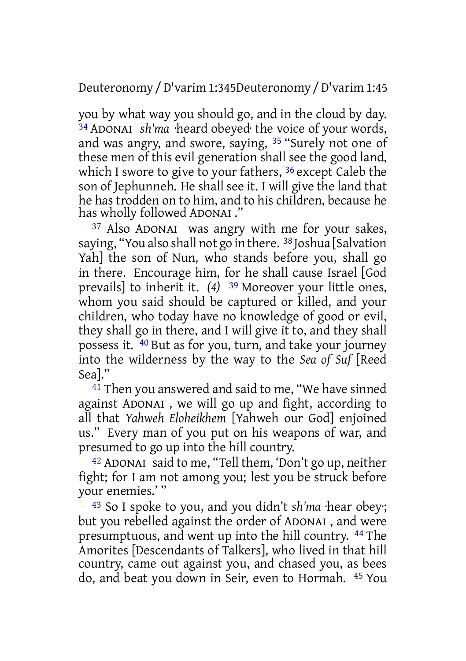Deuteronomy /D'varim 1:345Deuteronomy /D'varim 1:45

you by what way you should go, and in the cloud by day. 34 ADONAI *sh'ma* ·heard obeyed· the voice of your words, and was angry, and swore, saying, 35 "Surely not one of these men of this evil generation shall see the good land, which I swore to give to your fathers, 36 except Caleb the son of Jephunneh. He shall see it. I will give the land that he has trodden on to him, and to his children, because he has wholly followed ADONAI ."

37 Also ADONAI was angry with me for your sakes, saying, "You also shall not go in there. 38 Joshua [Salvation Yah] the son of Nun, who stands before you, shall go in there. Encourage him, for he shall cause Israel [God prevails] to inherit it. *(4)* 39 Moreover your little ones, whom you said should be captured or killed, and your children, who today have no knowledge of good or evil, they shall go in there, and I will give it to, and they shall possess it. 40 But as for you, turn, and take your journey into the wilderness by the way to the *Sea of Suf* [Reed Sea]."

41 Then you answered and said to me, "We have sinned against ADONAI , we will go up and fight, according to all that *Yahweh Eloheikhem* [Yahweh our God] enjoined us." Every man of you put on his weapons of war, and presumed to go up into the hill country.

42 ADONAI said to me, "Tell them, 'Don't go up, neither fight; for I am not among you; lest you be struck before your enemies.' "

43 So I spoke to you, and you didn't *sh'ma* ·hear obey·; but you rebelled against the order of ADONAI , and were presumptuous, and went up into the hill country. 44 The Amorites [Descendants of Talkers], who lived in that hill country, came out against you, and chased you, as bees do, and beat you down in Seir, even to Hormah. 45 You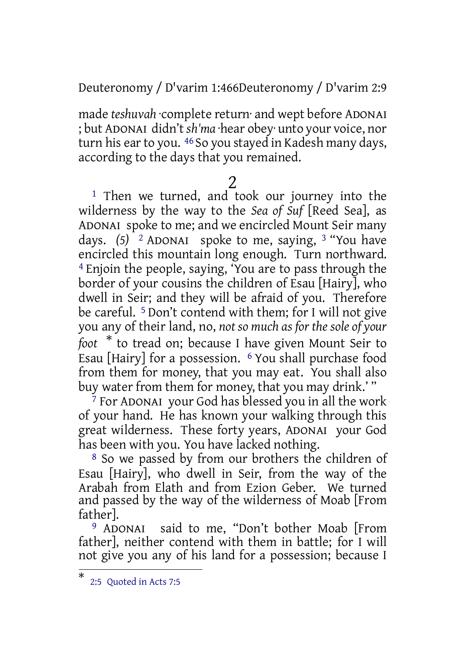Deuteronomy / D'varim 1:466Deuteronomy / D'varim 2:9

made *teshuvah* ·complete return· and wept before ADONAI ; but ADONAI didn't *sh'ma* ·hear obey· unto your voice, nor turn his ear to you. <sup>46</sup> So you stayed in Kadesh many days, according to the days that you remained.

#### 2

<sup>1</sup> Then we turned, and took our journey into the wilderness by the way to the *Sea of Suf* [Reed Sea], as ADONAI spoke to me; and we encircled Mount Seir many days. *(5)* 2 ADONAI spoke to me, saying, 3 "You have encircled this mountain long enough. Turn northward. 4 Enjoin the people, saying, 'You are to pass through the border of your cousins the children of Esau [Hairy], who dwell in Seir; and they will be afraid of you. Therefore be careful. 5 Don't contend with them; for I will not give you any of their land, no, *not so much as for the sole of your foot* \* to tread on; because I have given Mount Seir to Esau [Hairy] for a possession. 6 You shall purchase food from them for money, that you may eat. You shall also buy water from them for money, that you may drink.' "

 $\frac{7}{7}$  For ADONAI your God has blessed you in all the work of your hand. He has known your walking through this great wilderness. These forty years, ADONAI your God has been with you. You have lacked nothing.

8 So we passed by from our brothers the children of Esau [Hairy], who dwell in Seir, from the way of the Arabah from Elath and from Ezion Geber. We turned and passed by the way of the wilderness of Moab [From father].

9 ADONAI said to me, "Don't bother Moab [From father], neither contend with them in battle; for I will not give you any of his land for a possession; because I

<sup>\*</sup> 2:5 Quoted in Acts 7:5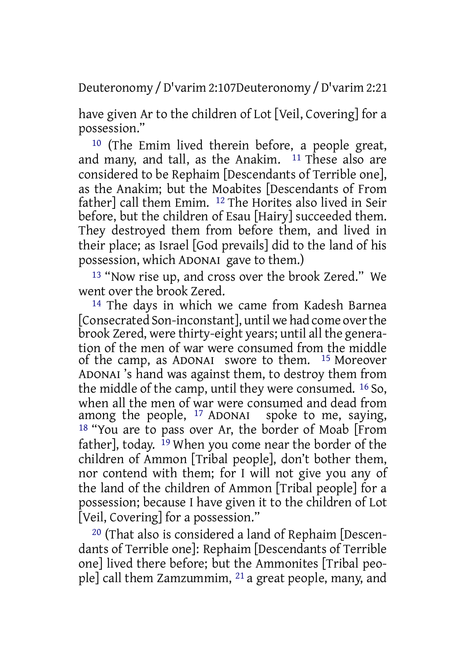Deuteronomy /D'varim 2:107Deuteronomy /D'varim 2:21

have given Ar to the children of Lot [Veil, Covering] for a possession."

10 (The Emim lived therein before, a people great, and many, and tall, as the Anakim. 11 These also are considered to be Rephaim [Descendants of Terrible one], as the Anakim; but the Moabites [Descendants of From father] call them Emim. 12 The Horites also lived in Seir before, but the children of Esau [Hairy] succeeded them. They destroyed them from before them, and lived in their place; as Israel [God prevails] did to the land of his possession, which ADONAI gave to them.)

13 "Now rise up, and cross over the brook Zered." We went over the brook Zered.

14 The days in which we came from Kadesh Barnea [Consecrated Son-inconstant], until we had come overthe brook Zered, were thirty-eight years; until all the generation of the men of war were consumed from the middle of the camp, as ADONAI swore to them. 15 Moreover ADONAI 's hand was against them, to destroy them from the middle of the camp, until they were consumed. 16 So, when all the men of war were consumed and dead from among the people, 17 ADONAI spoke to me, saying, 18 "You are to pass over Ar, the border of Moab [From father], today. 19 When you come near the border of the children of Ammon [Tribal people], don't bother them, nor contend with them; for I will not give you any of the land of the children of Ammon [Tribal people] for a possession; because I have given it to the children of Lot [Veil, Covering] for a possession."

20 (That also is considered a land of Rephaim [Descendants of Terrible one]: Rephaim [Descendants of Terrible one] lived there before; but the Ammonites [Tribal people] call them Zamzummim, 21 a great people, many, and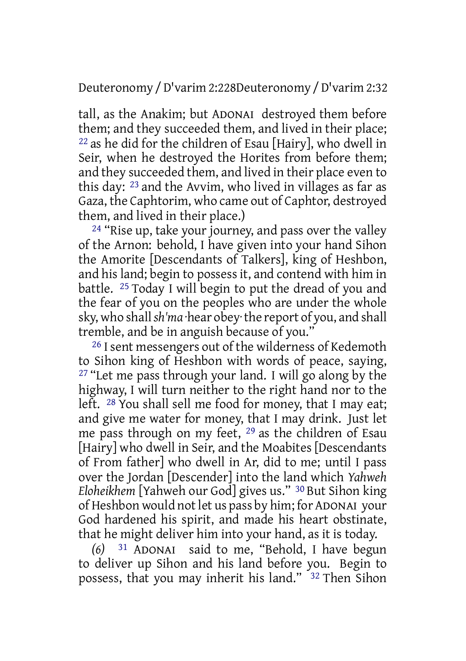Deuteronomy /D'varim 2:228Deuteronomy /D'varim 2:32

tall, as the Anakim; but ADONAI destroyed them before them; and they succeeded them, and lived in their place; 22 as he did for the children of Esau [Hairy], who dwell in Seir, when he destroyed the Horites from before them; and they succeeded them, and lived in their place even to this day: 23 and the Avvim, who lived in villages as far as Gaza, the Caphtorim, who came out of Caphtor, destroyed them, and lived in their place.)

 $24$  "Rise up, take your journey, and pass over the valley of the Arnon: behold, I have given into your hand Sihon the Amorite [Descendants of Talkers], king of Heshbon, and his land; begin to possess it, and contend with him in battle. 25 Today I will begin to put the dread of you and the fear of you on the peoples who are under the whole sky, who shall*sh'ma* ·hear obey·the report of you, and shall tremble, and be in anguish because of you."

<sup>26</sup> I sent messengers out of the wilderness of Kedemoth to Sihon king of Heshbon with words of peace, saying,  $27$  "Let me pass through your land. I will go along by the highway, I will turn neither to the right hand nor to the left. 28 You shall sell me food for money, that I may eat; and give me water for money, that I may drink. Just let me pass through on my feet, 29 as the children of Esau [Hairy] who dwell in Seir, and the Moabites [Descendants of From father] who dwell in Ar, did to me; until I pass over the Jordan [Descender] into the land which *Yahweh Eloheikhem* [Yahweh our God] gives us." 30 But Sihon king of Heshbon would not let us pass by him; for ADONAI your God hardened his spirit, and made his heart obstinate, that he might deliver him into your hand, as it is today.

*(6)* 31 ADONAI said to me, "Behold, I have begun to deliver up Sihon and his land before you. Begin to possess, that you may inherit his land." <sup>32</sup> Then Sihon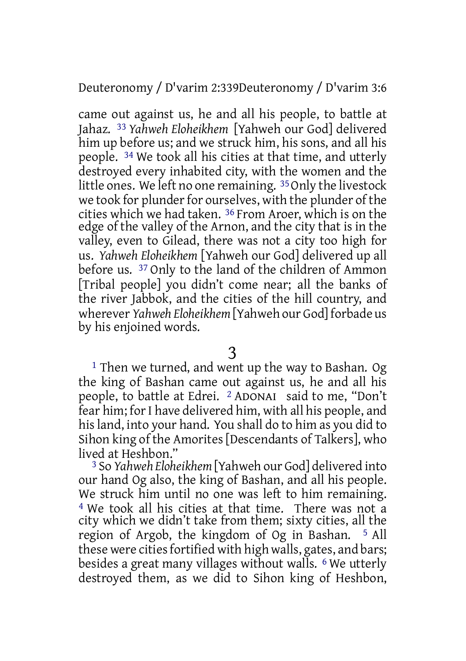Deuteronomy / D'varim 2:339Deuteronomy / D'varim 3:6

came out against us, he and all his people, to battle at Jahaz. 33 *Yahweh Eloheikhem* [Yahweh our God] delivered him up before us; and we struck him, his sons, and all his people. 34 We took all his cities at that time, and utterly destroyed every inhabited city, with the women and the little ones. We left no one remaining. <sup>35</sup> Only the livestock we took for plunder for ourselves, with the plunder of the cities which we had taken. 36 From Aroer, which is on the edge of the valley of the Arnon, and the city that is in the valley, even to Gilead, there was not a city too high for us. *Yahweh Eloheikhem* [Yahweh our God] delivered up all before us. 37 Only to the land of the children of Ammon [Tribal people] you didn't come near; all the banks of the river Jabbok, and the cities of the hill country, and wherever *Yahweh Eloheikhem* [Yahweh our God] forbade us by his enjoined words.

1 Then we turned, and went up the way to Bashan. Og the king of Bashan came out against us, he and all his people, to battle at Edrei. 2 ADONAI said to me, "Don't fear him; for I have delivered him, with all his people, and hisland, into your hand. You shall do to him as you did to Sihon king of the Amorites [Descendants of Talkers], who lived at Heshbon."

3 So *Yahweh Eloheikhem* [Yahweh our God] delivered into our hand Og also, the king of Bashan, and all his people. We struck him until no one was left to him remaining. 4 We took all his cities at that time. There was not a city which we didn't take from them; sixty cities, all the region of Argob, the kingdom of Og in Bashan. 5 All these were cities fortified with high walls, gates, and bars; besides a great many villages without walls. 6 We utterly destroyed them, as we did to Sihon king of Heshbon,

<sup>3</sup>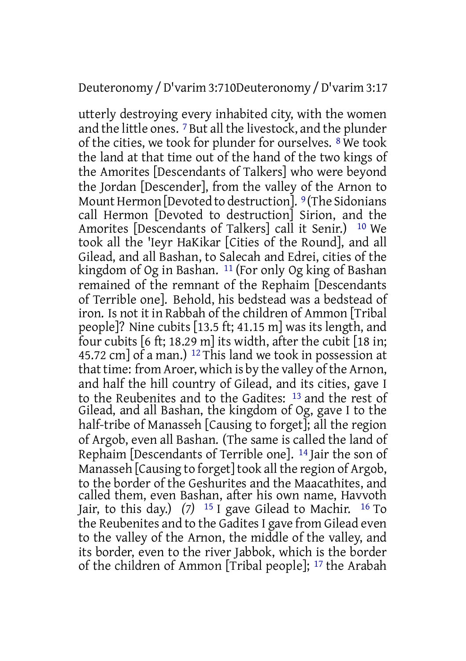#### Deuteronomy /D'varim 3:710Deuteronomy /D'varim 3:17

utterly destroying every inhabited city, with the women and the little ones. 7 But all the livestock, and the plunder of the cities, we took for plunder for ourselves. 8 We took the land at that time out of the hand of the two kings of the Amorites [Descendants of Talkers] who were beyond the Jordan [Descender], from the valley of the Arnon to Mount Hermon [Devoted to destruction]. <sup>9</sup> (The Sidonians call Hermon [Devoted to destruction] Sirion, and the Amorites [Descendants of Talkers] call it Senir.) 10 We took all the 'Ieyr HaKikar [Cities of the Round], and all Gilead, and all Bashan, to Salecah and Edrei, cities of the kingdom of Og in Bashan. 11 (For only Og king of Bashan remained of the remnant of the Rephaim [Descendants of Terrible one]. Behold, his bedstead was a bedstead of iron. Is not it in Rabbah of the children of Ammon [Tribal people]? Nine cubits [13.5 ft; 41.15 m] was its length, and four cubits [6 ft; 18.29 m] its width, after the cubit [18 in; 45.72 cm] of a man.) 12 This land we took in possession at that time: from Aroer, which is by the valley of the Arnon, and half the hill country of Gilead, and its cities, gave I to the Reubenites and to the Gadites: 13 and the rest of Gilead, and all Bashan, the kingdom of Og, gave I to the half-tribe of Manasseh [Causing to forget]; all the region of Argob, even all Bashan. (The same is called the land of Rephaim [Descendants of Terrible one]. 14 Jair the son of Manasseh [Causing to forget] took all the region of Argob, to the border of the Geshurites and the Maacathites, and called them, even Bashan, after his own name, Havvoth Jair, to this day.) *(7)* 15 I gave Gilead to Machir. 16 To the Reubenites and to the Gadites I gave from Gilead even to the valley of the Arnon, the middle of the valley, and its border, even to the river Jabbok, which is the border of the children of Ammon [Tribal people]; 17 the Arabah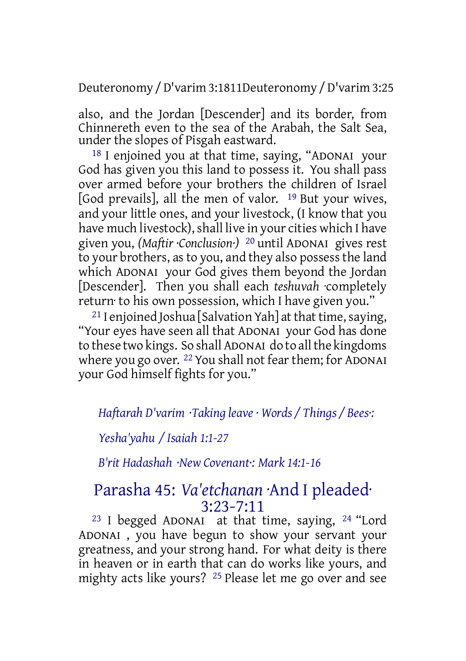Deuteronomy /D'varim 3:1811Deuteronomy /D'varim 3:25

also, and the Jordan [Descender] and its border, from Chinnereth even to the sea of the Arabah, the Salt Sea, under the slopes of Pisgah eastward.

18 I enjoined you at that time, saying, "ADONAI your God has given you this land to possess it. You shall pass over armed before your brothers the children of Israel [God prevails], all the men of valor. 19 But your wives, and your little ones, and your livestock, (I know that you have much livestock), shall live in your cities which I have given you, *(Maftir ·Conclusion·)* 20 until ADONAI gives rest to your brothers, asto you, and they also possessthe land which ADONAI your God gives them beyond the Jordan [Descender]. Then you shall each *teshuvah* ·completely return· to his own possession, which I have given you."

<sup>21</sup> I enjoined Joshua [Salvation Yah] at that time, saying, "Your eyes have seen all that ADONAI your God has done to these two kings. So shall ADONAI do to all the kingdoms where you go over. <sup>22</sup> You shall not fear them; for ADONAI your God himself fights for you."

*Haftarah D'varim ·Taking leave · Words / Things / Bees·:*

*Yesha'yahu / Isaiah 1:1-27*

*B'rit Hadashah ·New Covenant·: Mark 14:1-16*

# Parasha 45: *Va'etchanan* ·And I pleaded· 3:23-7:11

23 I begged ADONAI at that time, saying, 24 "Lord ADONAI , you have begun to show your servant your greatness, and your strong hand. For what deity is there in heaven or in earth that can do works like yours, and mighty acts like yours? 25 Please let me go over and see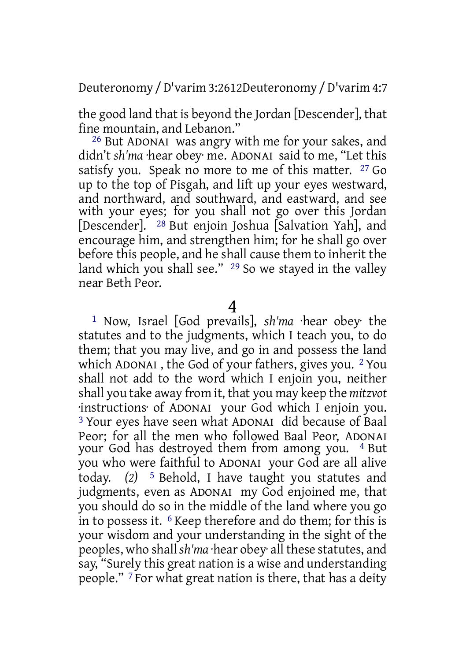Deuteronomy /D'varim 3:2612Deuteronomy /D'varim 4:7

the good land that is beyond the Jordan [Descender], that fine mountain, and Lebanon."

26 But ADONAI was angry with me for your sakes, and didn't *sh'ma* ·hear obey· me. ADONAI said to me, "Let this satisfy you. Speak no more to me of this matter. <sup>27</sup> Go up to the top of Pisgah, and lift up your eyes westward, and northward, and southward, and eastward, and see with your eyes; for you shall not go over this Jordan [Descender]. 28 But enjoin Joshua [Salvation Yah], and encourage him, and strengthen him; for he shall go over before this people, and he shall cause them to inherit the land which you shall see."  $29$  So we stayed in the valley near Beth Peor.

4

1 Now, Israel [God prevails], *sh'ma* ·hear obey· the statutes and to the judgments, which I teach you, to do them; that you may live, and go in and possess the land which ADONAI , the God of your fathers, gives you. 2 You shall not add to the word which I enjoin you, neither shall you take away from it, that you may keep the *mitzvot* ·instructions· of ADONAI your God which I enjoin you. 3 Your eyes have seen what ADONAI did because of Baal Peor; for all the men who followed Baal Peor, ADONAI your God has destroyed them from among you. <sup>4</sup> But you who were faithful to ADONAI your God are all alive today. *(2)* 5 Behold, I have taught you statutes and judgments, even as ADONAI my God enjoined me, that you should do so in the middle of the land where you go in to possess it.  $6$  Keep therefore and do them; for this is your wisdom and your understanding in the sight of the peoples, who shall *sh'ma* ·hear obey· all these statutes, and say, "Surely this great nation is a wise and understanding people." 7 For what great nation is there, that has a deity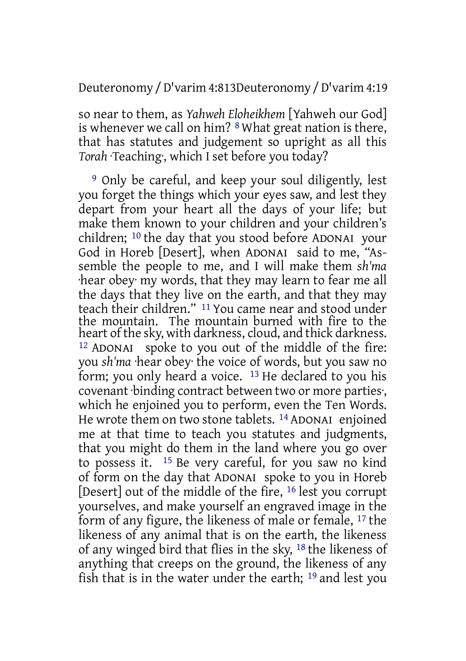Deuteronomy /D'varim 4:813Deuteronomy /D'varim 4:19

so near to them, as *Yahweh Eloheikhem* [Yahweh our God] is whenever we call on him? 8 What great nation is there, that has statutes and judgement so upright as all this *Torah* ·Teaching·, which I set before you today?

9 Only be careful, and keep your soul diligently, lest you forget the things which your eyes saw, and lest they depart from your heart all the days of your life; but make them known to your children and your children's children; 10 the day that you stood before ADONAI your God in Horeb [Desert], when ADONAI said to me, "Assemble the people to me, and I will make them *sh'ma* ·hear obey· my words, that they may learn to fear me all the days that they live on the earth, and that they may teach their children." 11 You came near and stood under the mountain. The mountain burned with fire to the heart of the sky, with darkness, cloud, and thick darkness. 12 ADONAI spoke to you out of the middle of the fire: you *sh'ma* ·hear obey· the voice of words, but you saw no form; you only heard a voice. 13 He declared to you his covenant ·binding contract between two or more parties·, which he enjoined you to perform, even the Ten Words. He wrote them on two stone tablets. 14 ADONAI enjoined me at that time to teach you statutes and judgments, that you might do them in the land where you go over to possess it. 15 Be very careful, for you saw no kind of form on the day that ADONAI spoke to you in Horeb [Desert] out of the middle of the fire, 16 lest you corrupt yourselves, and make yourself an engraved image in the form of any figure, the likeness of male or female, 17 the likeness of any animal that is on the earth, the likeness of any winged bird that flies in the sky, 18 the likeness of anything that creeps on the ground, the likeness of any fish that is in the water under the earth; 19 and lest you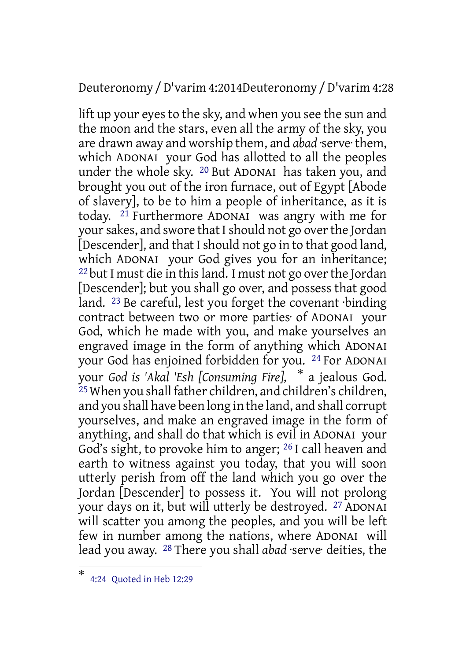#### Deuteronomy /D'varim 4:2014Deuteronomy /D'varim 4:28

lift up your eyes to the sky, and when you see the sun and the moon and the stars, even all the army of the sky, you are drawn away and worship them, and *abad* ·serve· them, which ADONAI your God has allotted to all the peoples under the whole sky. 20 But ADONAI has taken you, and brought you out of the iron furnace, out of Egypt [Abode of slavery], to be to him a people of inheritance, as it is today. <sup>21</sup> Furthermore ADONAI was angry with me for your sakes, and swore that I should not go over the Jordan [Descender], and that I should not go in to that good land, which ADONAI your God gives you for an inheritance; <sup>22</sup> but I must die in this land. I must not go over the Jordan [Descender]; but you shall go over, and possess that good land. 23 Be careful, lest you forget the covenant ·binding contract between two or more parties· of ADONAI your God, which he made with you, and make yourselves an engraved image in the form of anything which ADONAI your God has enjoined forbidden for you. 24 For ADONAI your *God is 'Akal 'Esh [Consuming Fire],* \* a jealous God. 25When you shall father children, and children's children, and you shall have been long in the land, and shall corrupt yourselves, and make an engraved image in the form of anything, and shall do that which is evil in ADONAI your God's sight, to provoke him to anger; 26 I call heaven and earth to witness against you today, that you will soon utterly perish from off the land which you go over the Jordan [Descender] to possess it. You will not prolong your days on it, but will utterly be destroyed. 27 ADONAI will scatter you among the peoples, and you will be left few in number among the nations, where ADONAI will lead you away. 28 There you shall *abad* ·serve· deities, the

<sup>\*</sup> 4:24 Quoted in Heb 12:29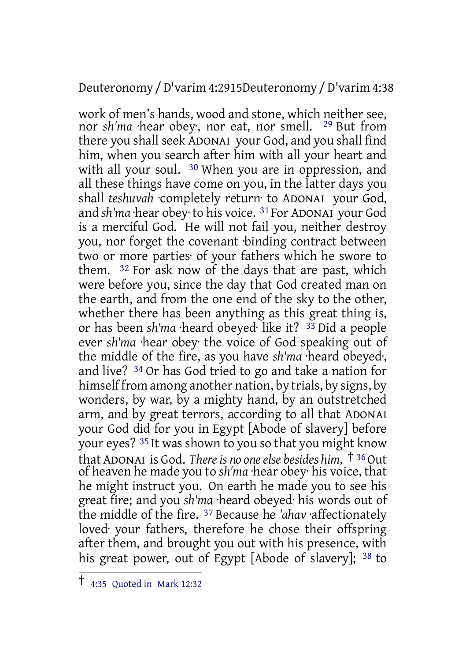Deuteronomy /D'varim 4:2915Deuteronomy /D'varim 4:38

work of men's hands, wood and stone, which neither see, nor *sh'ma* ·hear obey·, nor eat, nor smell. 29 But from there you shall seek ADONAI your God, and you shall find him, when you search after him with all your heart and with all your soul. <sup>30</sup> When you are in oppression, and all these things have come on you, in the latter days you shall *teshuvah* ·completely return· to ADONAI your God, and *sh'ma* ·hear obey· to his voice. 31 For ADONAI your God is a merciful God. He will not fail you, neither destroy you, nor forget the covenant ·binding contract between two or more parties· of your fathers which he swore to them. 32 For ask now of the days that are past, which were before you, since the day that God created man on the earth, and from the one end of the sky to the other, whether there has been anything as this great thing is, or has been *sh'ma* ·heard obeyed· like it? 33 Did a people ever *sh'ma* ·hear obey· the voice of God speaking out of the middle of the fire, as you have *sh'ma* ·heard obeyed·, and live? 34 Or has God tried to go and take a nation for himself from among another nation, by trials, by signs, by wonders, by war, by a mighty hand, by an outstretched arm, and by great terrors, according to all that ADONAI your God did for you in Egypt [Abode of slavery] before your eyes? <sup>35</sup> It was shown to you so that you might know that ADONAI is God. *Thereis no oneelse besides him,* † <sup>36</sup>Out of heaven he made you to *sh'ma* ·hear obey· his voice, that he might instruct you. On earth he made you to see his great fire; and you *sh'ma* ·heard obeyed· his words out of the middle of the fire. 37 Because he *'ahav* ·affectionately loved· your fathers, therefore he chose their offspring after them, and brought you out with his presence, with his great power, out of Egypt [Abode of slavery]; <sup>38</sup> to

<sup>†</sup> 4:35 Quoted in Mark 12:32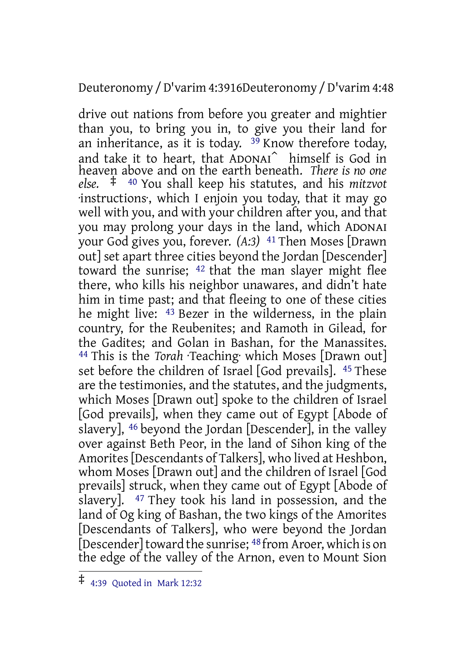#### Deuteronomy /D'varim 4:3916Deuteronomy /D'varim 4:48

drive out nations from before you greater and mightier than you, to bring you in, to give you their land for an inheritance, as it is today.  $39$  Know therefore today, and take it to heart, that ADONAI⌃ himself is God in heaven above and on the earth beneath. *There is no one else.* ‡ <sup>40</sup> You shall keep his statutes, and his *mitzvot* ·instructions·, which I enjoin you today, that it may go well with you, and with your children after you, and that you may prolong your days in the land, which ADONAI your God gives you, forever. *(A:3)* 41 Then Moses [Drawn out] set apart three cities beyond the Jordan [Descender] toward the sunrise; 42 that the man slayer might flee there, who kills his neighbor unawares, and didn't hate him in time past; and that fleeing to one of these cities he might live: 43 Bezer in the wilderness, in the plain country, for the Reubenites; and Ramoth in Gilead, for the Gadites; and Golan in Bashan, for the Manassites. 44 This is the *Torah* ·Teaching· which Moses [Drawn out] set before the children of Israel [God prevails]. 45 These are the testimonies, and the statutes, and the judgments, which Moses [Drawn out] spoke to the children of Israel [God prevails], when they came out of Egypt [Abode of slavery], 46 beyond the Jordan [Descender], in the valley over against Beth Peor, in the land of Sihon king of the Amorites [Descendants of Talkers], who lived at Heshbon, whom Moses [Drawn out] and the children of Israel [God prevails] struck, when they came out of Egypt [Abode of slavery]. 47 They took his land in possession, and the land of Og king of Bashan, the two kings of the Amorites [Descendants of Talkers], who were beyond the Jordan [Descender] toward the sunrise; <sup>48</sup> from Aroer, which is on the edge of the valley of the Arnon, even to Mount Sion

<sup>‡</sup> 4:39 Quoted in Mark 12:32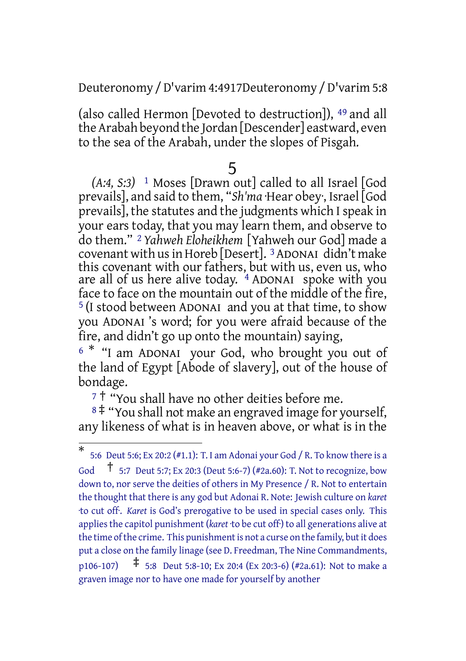Deuteronomy /D'varim 4:4917Deuteronomy /D'varim 5:8

(also called Hermon [Devoted to destruction]), 49 and all the Arabah beyond the Jordan [Descender] eastward, even to the sea of the Arabah, under the slopes of Pisgah.

### 5

*(A:4, S:3)* 1 Moses [Drawn out] called to all Israel [God prevails], and said to them, "*Sh'ma* ·Hear obey·, Israel [God prevails], the statutes and the judgments which I speak in your ears today, that you may learn them, and observe to do them." 2 *Yahweh Eloheikhem* [Yahweh our God] made a covenant with us in Horeb [Desert]. <sup>3</sup> ADONAI didn't make this covenant with our fathers, but with us, even us, who are all of us here alive today. 4 ADONAI spoke with you face to face on the mountain out of the middle of the fire, 5 (I stood between ADONAI and you at that time, to show you ADONAI 's word; for you were afraid because of the fire, and didn't go up onto the mountain) saying,

<sup>6</sup> \* "I am ADONAI your God, who brought you out of the land of Egypt [Abode of slavery], out of the house of bondage.

<sup>7</sup> † "You shall have no other deities before me.

<sup>8</sup> ‡ "You shall not make an engraved image for yourself, any likeness of what is in heaven above, or what is in the

<sup>\*</sup> 5:6 Deut 5:6; Ex 20:2 (#1.1): T. I am Adonai your God / R. To know there is a God  $\uparrow$  5:7 Deut 5:7; Ex 20:3 (Deut 5:6-7) (#2a.60): T. Not to recognize, bow down to, nor serve the deities of others in My Presence / R. Not to entertain the thought that there is any god but Adonai R. Note: Jewish culture on *karet* ·to cut off·. *Karet* is God's prerogative to be used in special cases only. This appliesthe capitol punishment (*karet* ·to be cut off·) to all generations alive at the time of the crime. This punishment is not a curse on the family, but it does put a close on the family linage (see D. Freedman, The Nine Commandments, p106-107)  $\uparrow$  5:8 Deut 5:8-10; Ex 20:4 (Ex 20:3-6) (#2a.61): Not to make a graven image nor to have one made for yourself by another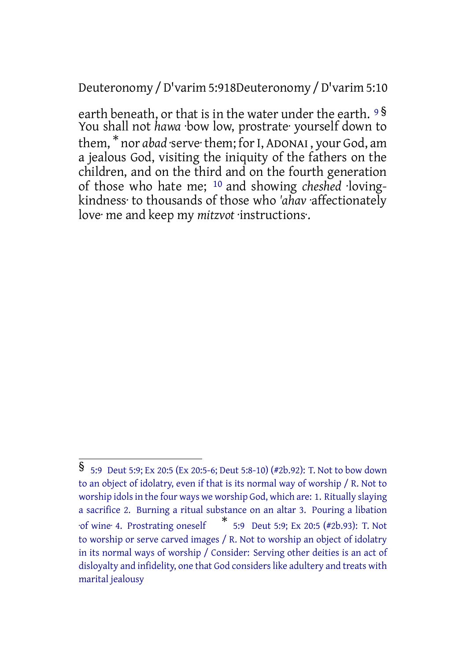Deuteronomy /D'varim 5:918Deuteronomy /D'varim 5:10

earth beneath, or that is in the water under the earth. <sup>9</sup> § You shall not *hawa* ·bow low, prostrate· yourself down to them, \* nor *abad* ·serve· them; forI, ADONAI , your God, am a jealous God, visiting the iniquity of the fathers on the children, and on the third and on the fourth generation of those who hate me; 10 and showing *cheshed* ·lovingkindness· to thousands of those who *'ahav* ·affectionately love· me and keep my *mitzvot* ·instructions·.

<sup>§</sup> 5:9 Deut 5:9; Ex 20:5 (Ex 20:5-6; Deut 5:8-10) (#2b.92): T. Not to bow down to an object of idolatry, even if that is its normal way of worship / R. Not to worship idols in the four ways we worship God, which are: 1. Ritually slaying a sacrifice 2. Burning a ritual substance on an altar 3. Pouring a libation ·of wine· 4. Prostrating oneself \* 5:9 Deut 5:9; Ex 20:5 (#2b.93): T. Not to worship or serve carved images / R. Not to worship an object of idolatry in its normal ways of worship / Consider: Serving other deities is an act of disloyalty and infidelity, one that God considers like adultery and treats with marital jealousy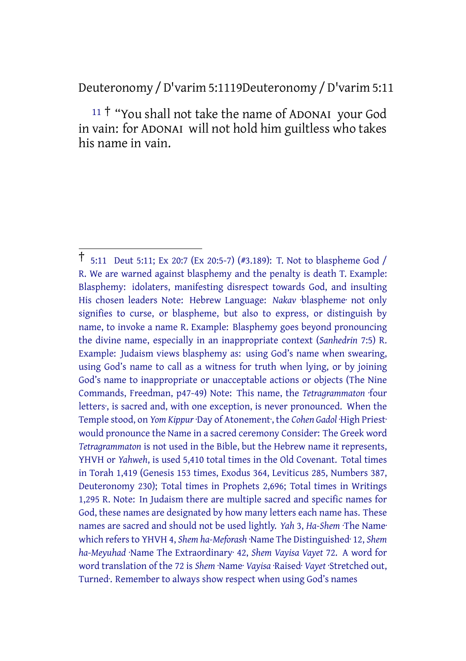Deuteronomy /D'varim 5:1119Deuteronomy /D'varim 5:11

<sup>11</sup> † "You shall not take the name of ADONAI your God in vain: for ADONAI will not hold him guiltless who takes his name in vain.

<sup>†</sup> 5:11 Deut 5:11; Ex 20:7 (Ex 20:5-7) (#3.189): T. Not to blaspheme God / R. We are warned against blasphemy and the penalty is death T. Example: Blasphemy: idolaters, manifesting disrespect towards God, and insulting His chosen leaders Note: Hebrew Language: *Nakav* ·blaspheme· not only signifies to curse, or blaspheme, but also to express, or distinguish by name, to invoke a name R. Example: Blasphemy goes beyond pronouncing the divine name, especially in an inappropriate context (*Sanhedrin* 7:5) R. Example: Judaism views blasphemy as: using God's name when swearing, using God's name to call as a witness for truth when lying, or by joining God's name to inappropriate or unacceptable actions or objects (The Nine Commands, Freedman, p47-49) Note: This name, the *Tetragrammaton* ·four letters·, is sacred and, with one exception, is never pronounced. When the Temple stood, on *Yom Kippur* ·Day of Atonement·, the *Cohen Gadol* ·High Priest· would pronounce the Name in a sacred ceremony Consider: The Greek word *Tetragrammaton* is not used in the Bible, but the Hebrew name it represents, YHVH or *Yahweh*, is used 5,410 total times in the Old Covenant. Total times in Torah 1,419 (Genesis 153 times, Exodus 364, Leviticus 285, Numbers 387, Deuteronomy 230); Total times in Prophets 2,696; Total times in Writings 1,295 R. Note: In Judaism there are multiple sacred and specific names for God, these names are designated by how many letters each name has. These names are sacred and should not be used lightly. *Yah* 3, *Ha-Shem* ·The Name· which refers to YHVH 4, *Shem ha-Meforash* ·Name The Distinguished· 12, *Shem ha-Meyuhad* ·Name The Extraordinary· 42, *Shem Vayisa Vayet* 72. A word for word translation of the 72 is *Shem* ·Name· *Vayisa* ·Raised· *Vayet* ·Stretched out, Turned·. Remember to always show respect when using God's names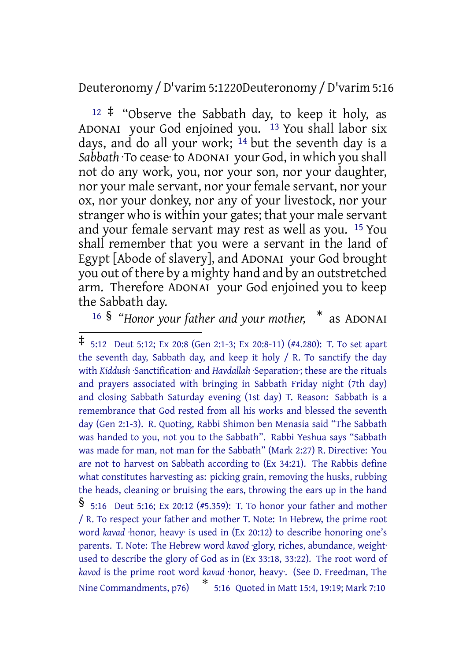Deuteronomy /D'varim 5:1220Deuteronomy /D'varim 5:16

 $12 \div$  "Observe the Sabbath day, to keep it holy, as ADONAI your God enjoined you. 13 You shall labor six days, and do all your work; 14 but the seventh day is a *Sabbath* ·To cease· to ADONAI your God, in which you shall not do any work, you, nor your son, nor your daughter, nor your male servant, nor your female servant, nor your ox, nor your donkey, nor any of your livestock, nor your stranger who is within your gates; that your male servant and your female servant may rest as well as you. 15 You shall remember that you were a servant in the land of Egypt [Abode of slavery], and ADONAI your God brought you out of there by a mighty hand and by an outstretched arm. Therefore ADONAI your God enjoined you to keep the Sabbath day.

<sup>16</sup> § *"Honor your father and your mother,* \* as ADONAI

<sup>‡</sup> 5:12 Deut 5:12; Ex 20:8 (Gen 2:1-3; Ex 20:8-11) (#4.280): T. To set apart the seventh day, Sabbath day, and keep it holy / R. To sanctify the day with *Kiddush* ·Sanctification· and *Havdallah* ·Separation·; these are the rituals and prayers associated with bringing in Sabbath Friday night (7th day) and closing Sabbath Saturday evening (1st day) T. Reason: Sabbath is a remembrance that God rested from all his works and blessed the seventh day (Gen 2:1-3). R. Quoting, Rabbi Shimon ben Menasia said "The Sabbath was handed to you, not you to the Sabbath". Rabbi Yeshua says "Sabbath was made for man, not man for the Sabbath" (Mark 2:27) R. Directive: You are not to harvest on Sabbath according to (Ex 34:21). The Rabbis define what constitutes harvesting as: picking grain, removing the husks, rubbing the heads, cleaning or bruising the ears, throwing the ears up in the hand § 5:16 Deut 5:16; Ex 20:12 (#5.359): T. To honor your father and mother / R. To respect your father and mother T. Note: In Hebrew, the prime root word *kavad* ·honor, heavy· is used in (Ex 20:12) to describe honoring one's parents. T. Note: The Hebrew word *kavod* ·glory, riches, abundance, weight· used to describe the glory of God as in (Ex 33:18, 33:22). The root word of *kavod* is the prime root word *kavad* ·honor, heavy·. (See D. Freedman, The Nine Commandments, p76) \* 5:16 Quoted in Matt 15:4, 19:19; Mark 7:10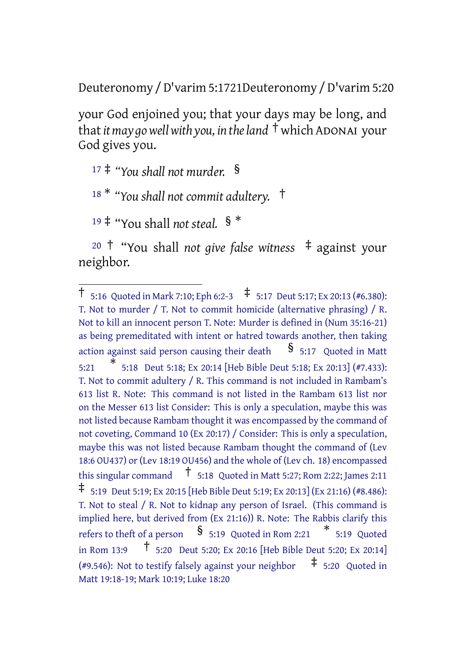Deuteronomy /D'varim 5:1721Deuteronomy /D'varim 5:20

your God enjoined you; that your days may be long, and that*itmay gowellwith you, in theland* † whichADONAI your God gives you.

<sup>17</sup> ‡ *"You shall not murder.* §

<sup>18</sup> \* *"You shall not commit adultery.* †

<sup>19</sup> ‡ "You shall *not steal.* § \*

<sup>20</sup> † "You shall *not give false witness* ‡ against your neighbor.

<sup>†</sup> 5:16 Quoted in Mark 7:10; Eph 6:2-3 ‡ 5:17 Deut 5:17; Ex 20:13 (#6.380): T. Not to murder / T. Not to commit homicide (alternative phrasing) / R. Not to kill an innocent person T. Note: Murder is defined in (Num 35:16-21) as being premeditated with intent or hatred towards another, then taking action against said person causing their death  $\frac{8}{5:17}$  Quoted in Matt  $5:21$ \* 5:18 Deut 5:18; Ex 20:14 [Heb Bible Deut 5:18; Ex 20:13] (#7.433): T. Not to commit adultery / R. This command is not included in Rambam's 613 list R. Note: This command is not listed in the Rambam 613 list nor on the Messer 613 list Consider: This is only a speculation, maybe this was not listed because Rambam thought it was encompassed by the command of not coveting, Command 10 (Ex 20:17) / Consider: This is only a speculation, maybe this was not listed because Rambam thought the command of (Lev 18:6 OU437) or (Lev 18:19 OU456) and the whole of (Lev ch. 18) encompassed this singular command  $\uparrow$  5:18 Quoted in Matt 5:27; Rom 2:22; James 2:11 ‡ 5:19 Deut 5:19; Ex 20:15 [Heb Bible Deut 5:19; Ex 20:13] (Ex 21:16) (#8.486): T. Not to steal / R. Not to kidnap any person of Israel. (This command is implied here, but derived from (Ex 21:16)) R. Note: The Rabbis clarify this refers to theft of a person  $\quad$   $\frac{\$}{\$}$  5:19 Quoted in Rom 2:21  $\quad$   $\quad$  5:19 Quoted in Rom 13:9 † 5:20 Deut 5:20; Ex 20:16 [Heb Bible Deut 5:20; Ex 20:14] (#9.546): Not to testify falsely against your neighbor  $\pm$  5:20 Quoted in Matt 19:18-19; Mark 10:19; Luke 18:20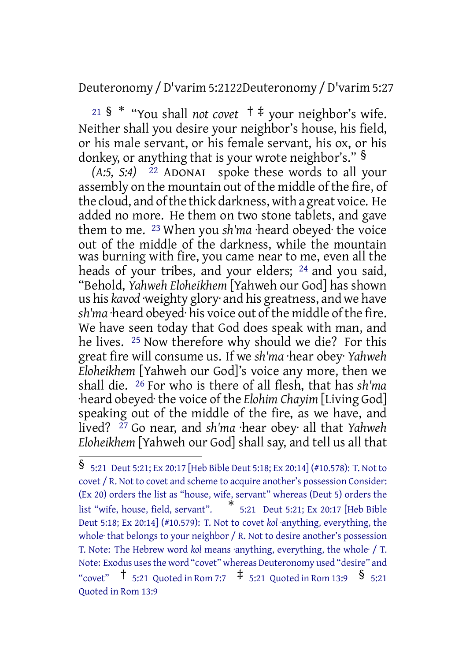Deuteronomy /D'varim 5:2122Deuteronomy /D'varim 5:27

<sup>21</sup> § \* "You shall *not covet* † ‡ your neighbor's wife. Neither shall you desire your neighbor's house, his field, or his male servant, or his female servant, his ox, or his donkey, or anything that is your wrote neighbor's." §

*(A:5, S:4)* 22 ADONAI spoke these words to all your assembly on the mountain out of the middle of the fire, of the cloud, and ofthe thick darkness, with a great voice. He added no more. He them on two stone tablets, and gave them to me. 23 When you *sh'ma* ·heard obeyed· the voice out of the middle of the darkness, while the mountain was burning with fire, you came near to me, even all the heads of your tribes, and your elders; 24 and you said, "Behold, *Yahweh Eloheikhem* [Yahweh our God] has shown us his *kavod* ·weighty glory· and his greatness, and we have sh'ma heard obeyed his voice out of the middle of the fire. We have seen today that God does speak with man, and he lives. 25 Now therefore why should we die? For this great fire will consume us. If we *sh'ma* ·hear obey· *Yahweh Eloheikhem* [Yahweh our God]'s voice any more, then we shall die. 26 For who is there of all flesh, that has *sh'ma* ·heard obeyed· the voice of the *Elohim Chayim* [Living God] speaking out of the middle of the fire, as we have, and lived? 27 Go near, and *sh'ma* ·hear obey· all that *Yahweh Eloheikhem* [Yahweh our God] shall say, and tell us all that

<sup>§</sup> 5:21 Deut 5:21; Ex 20:17 [Heb Bible Deut 5:18; Ex 20:14] (#10.578): T. Not to covet / R. Not to covet and scheme to acquire another's possession Consider: (Ex 20) orders the list as "house, wife, servant" whereas (Deut 5) orders the list "wife, house, field, servant". \* 5:21 Deut 5:21; Ex 20:17 [Heb Bible Deut 5:18; Ex 20:14] (#10.579): T. Not to covet *kol* ·anything, everything, the whole· that belongs to your neighbor / R. Not to desire another's possession T. Note: The Hebrew word *kol* means ·anything, everything, the whole· / T. Note: Exodus usesthe word "covet" whereas Deuteronomy used "desire" and "covet"  $\uparrow$  5:21 Quoted in Rom 7:7  $\uparrow$  5:21 Quoted in Rom 13:9  $\uparrow$  5:21 Quoted in Rom 13:9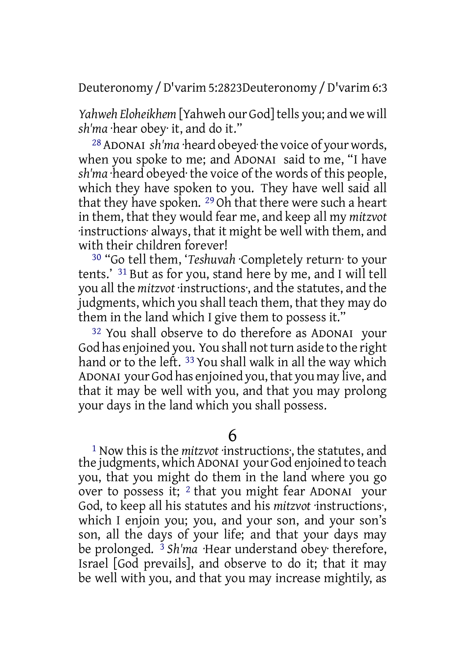Deuteronomy /D'varim 5:2823Deuteronomy /D'varim 6:3

Yahweh *Eloheikhem* [Yahweh our God] tells you; and we will *sh'ma* ·hear obey· it, and do it."

28 ADONAI *sh'ma* ·heard obeyed·the voice of your words, when you spoke to me; and ADONAI said to me, "I have *sh'ma* ·heard obeyed· the voice of the words of this people, which they have spoken to you. They have well said all that they have spoken. 29 Oh that there were such a heart in them, that they would fear me, and keep all my *mitzvot* ·instructions· always, that it might be well with them, and with their children forever!

30 "Go tell them, '*Teshuvah* ·Completely return· to your tents.' 31 But as for you, stand here by me, and I will tell you all the *mitzvot* ·instructions·, and the statutes, and the judgments, which you shall teach them, that they may do them in the land which I give them to possess it."

32 You shall observe to do therefore as ADONAI your God has enjoined you. You shall not turn aside to the right hand or to the left. <sup>33</sup> You shall walk in all the way which ADONAI your God has enjoined you, that you may live, and that it may be well with you, and that you may prolong your days in the land which you shall possess.

6

1 Now this is the *mitzvot* ·instructions·, the statutes, and the judgments, which ADONAI your God enjoined to teach you, that you might do them in the land where you go over to possess it; 2 that you might fear ADONAI your God, to keep all his statutes and his *mitzvot* ·instructions·, which I enjoin you; you, and your son, and your son's son, all the days of your life; and that your days may be prolonged. 3 *Sh'ma* ·Hear understand obey· therefore, Israel [God prevails], and observe to do it; that it may be well with you, and that you may increase mightily, as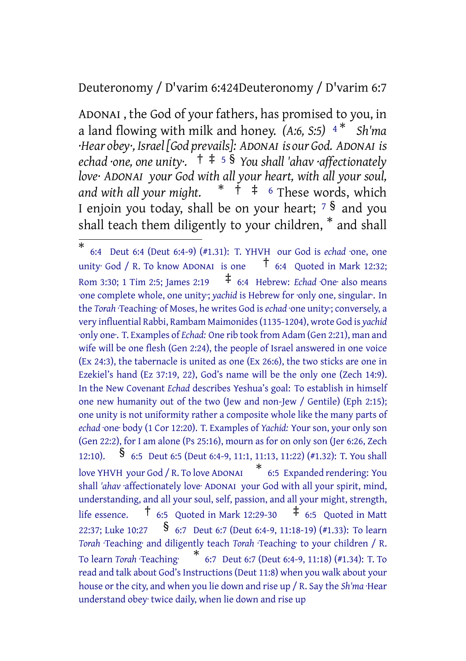#### Deuteronomy / D'varim 6:424Deuteronomy / D'varim 6:7

ADONAI , the God of your fathers, has promised to you, in a land flowing with milk and honey. *(A:6, S:5)* <sup>4</sup> \* *Sh'ma ·Hear obey·, Israel[God prevails]: ADONAI is our God. ADONAI is echad ·one, one unity·.* † ‡ <sup>5</sup> § *You shall 'ahav ·affectionately love· ADONAI your God with all your heart, with all your soul, and with all your might.* \* † ‡ <sup>6</sup> These words, which I enjoin you today, shall be on your heart; <sup>7</sup> § and you shall teach them diligently to your children, \* and shall

<sup>\*</sup> 6:4 Deut 6:4 (Deut 6:4-9) (#1.31): T. YHVH our God is *echad* ·one, one unity· God / R. To know ADONAI is one  $\overline{t}$  6:4 Quoted in Mark 12:32; Rom 3:30; 1 Tim 2:5; James 2:19  $\uparrow$  6:4 Hebrew: *Echad* ·One· also means ·one complete whole, one unity·; *yachid* is Hebrew for ·only one, singular·. In the *Torah* ·Teaching· of Moses, he writes God is *echad* ·one unity·; conversely, a very influential Rabbi, Rambam Maimonides(1135-1204), wrote God is *yachid* ·only one·. T. Examples of *Echad:* One rib took from Adam (Gen 2:21), man and wife will be one flesh (Gen 2:24), the people of Israel answered in one voice (Ex 24:3), the tabernacle is united as one (Ex 26:6), the two sticks are one in Ezekiel's hand (Ez 37:19, 22), God's name will be the only one (Zech 14:9). In the New Covenant *Echad* describes Yeshua's goal: To establish in himself one new humanity out of the two (Jew and non-Jew / Gentile) (Eph 2:15); one unity is not uniformity rather a composite whole like the many parts of *echad* ·one· body (1 Cor 12:20). T. Examples of *Yachid:* Your son, your only son (Gen 22:2), for I am alone (Ps 25:16), mourn as for on only son (Jer 6:26, Zech 12:10). § 6:5 Deut 6:5 (Deut 6:4-9, 11:1, 11:13, 11:22) (#1.32): T. You shall love YHVH your God / R. To love ADONAI \* 6:5 Expanded rendering: You shall *'ahav* ·affectionately love· ADONAI your God with all your spirit, mind, understanding, and all your soul, self, passion, and all your might, strength, life essence.  $\uparrow$  6:5 Quoted in Mark 12:29-30  $\uparrow$  6:5 Quoted in Matt 22:37; Luke 10:27 § 6:7 Deut 6:7 (Deut 6:4-9, 11:18-19) (#1.33): To learn *Torah* ·Teaching· and diligently teach *Torah* ·Teaching· to your children / R. To learn *Torah* ·Teaching· \* 6:7 Deut 6:7 (Deut 6:4-9, 11:18) (#1.34): T. To read and talk about God's Instructions (Deut 11:8) when you walk about your house or the city, and when you lie down and rise up / R. Say the *Sh'ma* ·Hear understand obey· twice daily, when lie down and rise up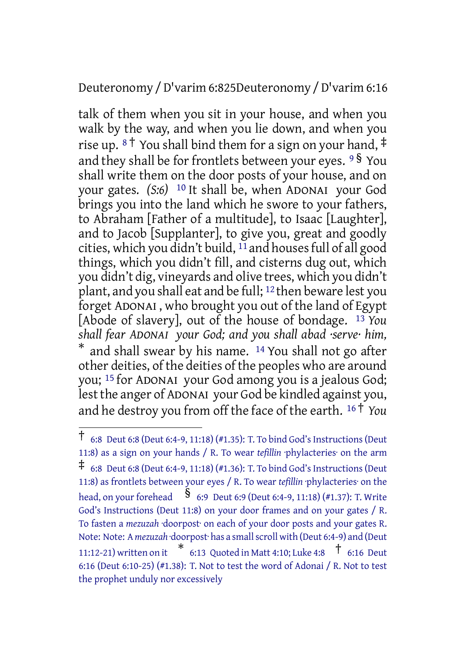#### Deuteronomy /D'varim 6:825Deuteronomy /D'varim 6:16

talk of them when you sit in your house, and when you walk by the way, and when you lie down, and when you rise up.  $8\uparrow$  You shall bind them for a sign on your hand,  $\ddagger$ and they shall be for frontlets between your eyes.  $9\frac{8}{9}$  You shall write them on the door posts of your house, and on your gates. *(S:6)* 10 It shall be, when ADONAI your God brings you into the land which he swore to your fathers, to Abraham [Father of a multitude], to Isaac [Laughter], and to Jacob [Supplanter], to give you, great and goodly cities, which you didn't build,  $11$  and houses full of all good things, which you didn't fill, and cisterns dug out, which you didn't dig, vineyards and olive trees, which you didn't plant, and you shall eat and be full; 12 then beware lest you forget ADONAI , who brought you out of the land of Egypt [Abode of slavery], out of the house of bondage. 13 *You shall fear ADONAI your God; and you shall abad ·serve· him,* \* and shall swear by his name. <sup>14</sup> You shall not go after other deities, of the deities of the peoples who are around you; 15 for ADONAI your God among you is a jealous God; lest the anger of ADONAI your God be kindled against you, and he destroy you from off the face of the earth. <sup>16</sup> † *You*

 $\dagger$  6:8 Deut 6:8 (Deut 6:4-9, 11:18) (#1.35): T. To bind God's Instructions (Deut 11:8) as a sign on your hands / R. To wear *tefillin* ·phylacteries· on the arm  $\ddagger$  6:8 Deut 6:8 (Deut 6:4-9, 11:18) (#1.36): T. To bind God's Instructions (Deut) 11:8) as frontlets between your eyes / R. To wear *tefillin* ·phylacteries· on the head, on your forehead  $\frac{\$}{\$}$  6:9 Deut 6:9 (Deut 6:4-9, 11:18) (#1.37): T. Write God's Instructions (Deut 11:8) on your door frames and on your gates / R. To fasten a *mezuzah* ·doorpost· on each of your door posts and your gates R. Note: Note: A *mezuzah* ·doorpost· has a smallscroll with (Deut 6:4-9) and (Deut 11:12-21) written on it \* 6:13 Quoted in Matt 4:10; Luke 4:8 † 6:16 Deut 6:16 (Deut 6:10-25) (#1.38): T. Not to test the word of Adonai / R. Not to test the prophet unduly nor excessively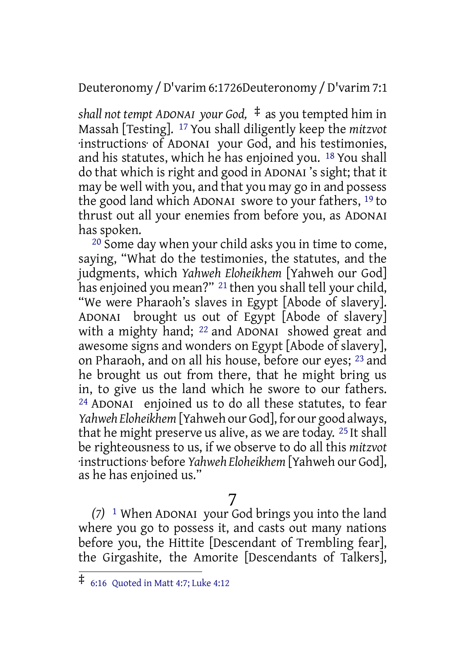Deuteronomy /D'varim 6:1726Deuteronomy /D'varim 7:1

*shall not tempt ADONAI your God,* ‡ as you tempted him in Massah [Testing]. 17 You shall diligently keep the *mitzvot* ·instructions· of ADONAI your God, and his testimonies, and his statutes, which he has enjoined you. 18 You shall do that which is right and good in ADONAI 's sight; that it may be well with you, and that you may go in and possess the good land which ADONAI swore to your fathers, 19 to thrust out all your enemies from before you, as ADONAI has spoken.

20 Some day when your child asks you in time to come, saying, "What do the testimonies, the statutes, and the judgments, which *Yahweh Eloheikhem* [Yahweh our God] has enjoined you mean?" 21 then you shall tell your child, "We were Pharaoh's slaves in Egypt [Abode of slavery]. ADONAI brought us out of Egypt [Abode of slavery] with a mighty hand; <sup>22</sup> and ADONAI showed great and awesome signs and wonders on Egypt [Abode of slavery], on Pharaoh, and on all his house, before our eyes; 23 and he brought us out from there, that he might bring us in, to give us the land which he swore to our fathers. 24 ADONAI enjoined us to do all these statutes, to fear *Yahweh Eloheikhem* [Yahweh our God], for our good always, that he might preserve us alive, as we are today. 25 It shall be righteousness to us, if we observe to do all this *mitzvot* ·instructions· before *Yahweh Eloheikhem* [Yahweh our God], as he has enjoined us."

#### 7

*(7)* 1 When ADONAI your God brings you into the land where you go to possess it, and casts out many nations before you, the Hittite [Descendant of Trembling fear], the Girgashite, the Amorite [Descendants of Talkers],

<sup>‡</sup> 6:16 Quoted in Matt 4:7; Luke 4:12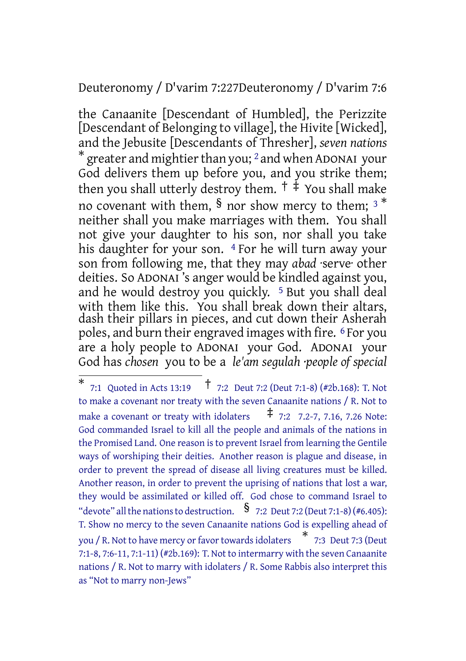#### Deuteronomy / D'varim 7:227Deuteronomy / D'varim 7:6

the Canaanite [Descendant of Humbled], the Perizzite [Descendant of Belonging to village], the Hivite [Wicked], and the Jebusite [Descendants of Thresher], *seven nations*  $^{\ast}$  greater and mightier than you; <sup>2</sup> and when ADONAI your God delivers them up before you, and you strike them; then you shall utterly destroy them.  $\dagger$   $\ddagger$  You shall make no covenant with them,  $\frac{1}{2}$  nor show mercy to them;  $3 *$ neither shall you make marriages with them. You shall not give your daughter to his son, nor shall you take his daughter for your son. <sup>4</sup> For he will turn away your son from following me, that they may *abad* ·serve· other deities. So ADONAI 's anger would be kindled against you, and he would destroy you quickly. 5 But you shall deal with them like this. You shall break down their altars, dash their pillars in pieces, and cut down their Asherah poles, and burn their engraved images with fire. 6 For you are a holy people to ADONAI your God. ADONAI your God has *chosen* you to be a *le'am segulah ·people of special*

<sup>\*</sup> 7:1 Quoted in Acts 13:19 † 7:2 Deut 7:2 (Deut 7:1-8) (#2b.168): T. Not to make a covenant nor treaty with the seven Canaanite nations / R. Not to make a covenant or treaty with idolaters  $\overrightarrow{f}$  7:2 7.2-7, 7.16, 7.26 Note: God commanded Israel to kill all the people and animals of the nations in the Promised Land. One reason is to prevent Israel from learning the Gentile ways of worshiping their deities. Another reason is plague and disease, in order to prevent the spread of disease all living creatures must be killed. Another reason, in order to prevent the uprising of nations that lost a war, they would be assimilated or killed off. God chose to command Israel to "devote" all the nations to destruction.  $\frac{1}{2}$  7:2 Deut 7:2 (Deut 7:1-8) (#6.405): T. Show no mercy to the seven Canaanite nations God is expelling ahead of you / R. Not to have mercy or favor towards idolaters  $\quad$  \*  $\;$  7:3  $\;$  Deut 7:3 (Deut 7:1-8, 7:6-11, 7:1-11) (#2b.169): T. Not to intermarry with the seven Canaanite nations / R. Not to marry with idolaters / R. Some Rabbis also interpret this as "Not to marry non-Jews"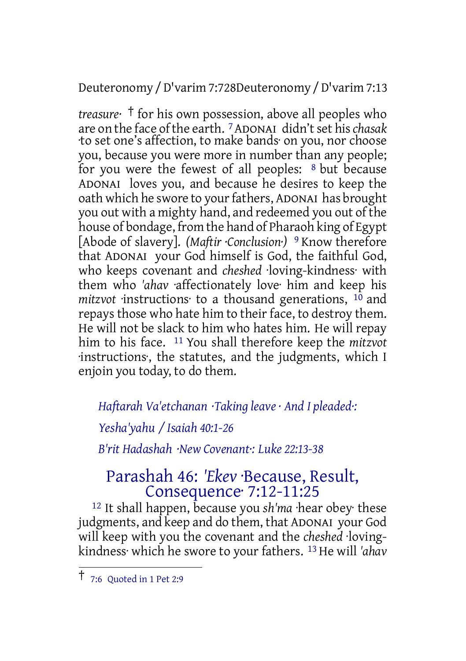Deuteronomy /D'varim 7:728Deuteronomy /D'varim 7:13

*treasure·* † for his own possession, above all peoples who are on the face ofthe earth. 7ADONAI didn'tset his*chasak* ·to set one's affection, to make bands· on you, nor choose you, because you were more in number than any people; for you were the fewest of all peoples: 8 but because ADONAI loves you, and because he desires to keep the oath which he swore to your fathers, ADONAI has brought you out with a mighty hand, and redeemed you out of the house of bondage, from the hand of Pharaoh king of Egypt [Abode of slavery]. *(Maftir ·Conclusion·)* 9 Know therefore that ADONAI your God himself is God, the faithful God, who keeps covenant and *cheshed* ·loving-kindness· with them who *'ahav* ·affectionately love· him and keep his *mitzvot* instructions to a thousand generations,  $10$  and repays those who hate him to their face, to destroy them. He will not be slack to him who hates him. He will repay him to his face. 11 You shall therefore keep the *mitzvot* ·instructions·, the statutes, and the judgments, which I enjoin you today, to do them.

#### *Haftarah Va'etchanan ·Taking leave · And I pleaded·:*

*Yesha'yahu / Isaiah 40:1-26*

*B'rit Hadashah ·New Covenant·: Luke 22:13-38*

# Parashah 46: *'Ekev* ·Because, Result, Consequence· 7:12-11:25

12 It shall happen, because you *sh'ma* ·hear obey· these judgments, and keep and do them, that ADONAI your God will keep with you the covenant and the *cheshed* ·lovingkindness· which he swore to your fathers. 13 He will *'ahav*

<sup>†</sup> 7:6 Quoted in <sup>1</sup> Pet 2:9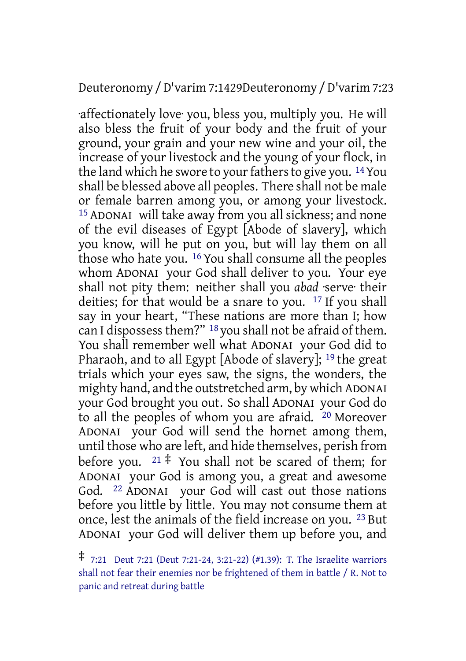#### Deuteronomy /D'varim 7:1429Deuteronomy /D'varim 7:23

·affectionately love· you, bless you, multiply you. He will also bless the fruit of your body and the fruit of your ground, your grain and your new wine and your oil, the increase of your livestock and the young of your flock, in the land which he swore to your fathers to give you. <sup>14</sup> You shall be blessed above all peoples. There shall not be male or female barren among you, or among your livestock. 15 ADONAI will take away from you all sickness; and none of the evil diseases of Egypt [Abode of slavery], which you know, will he put on you, but will lay them on all those who hate you. 16 You shall consume all the peoples whom ADONAI your God shall deliver to you. Your eye shall not pity them: neither shall you *abad* ·serve· their deities; for that would be a snare to you. 17 If you shall say in your heart, "These nations are more than I; how can I dispossess them?" <sup>18</sup> you shall not be afraid of them. You shall remember well what ADONAI your God did to Pharaoh, and to all Egypt [Abode of slavery]; 19 the great trials which your eyes saw, the signs, the wonders, the mighty hand, and the outstretched arm, by which ADONAI your God brought you out. So shall ADONAI your God do to all the peoples of whom you are afraid. 20 Moreover ADONAI your God will send the hornet among them, until those who are left, and hide themselves, perish from before you.  $21 \div$  You shall not be scared of them; for ADONAI your God is among you, a great and awesome God. 22 ADONAI your God will cast out those nations before you little by little. You may not consume them at once, lest the animals of the field increase on you. 23 But ADONAI your God will deliver them up before you, and

<sup>‡</sup> 7:21 Deut 7:21 (Deut 7:21-24, 3:21-22) (#1.39): T. The Israelite warriors shall not fear their enemies nor be frightened of them in battle / R. Not to panic and retreat during battle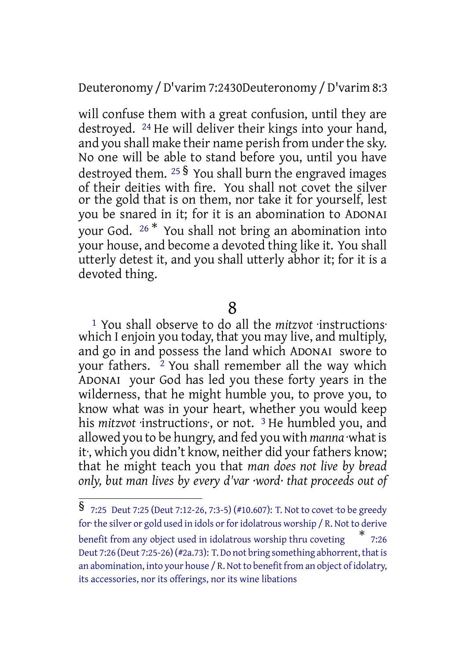#### Deuteronomy /D'varim 7:2430Deuteronomy /D'varim 8:3

will confuse them with a great confusion, until they are destroyed. 24 He will deliver their kings into your hand, and you shall make their name perish from under the sky. No one will be able to stand before you, until you have destroyed them.  $25\frac{1}{3}$  You shall burn the engraved images of their deities with fire. You shall not covet the silver or the gold that is on them, nor take it for yourself, lest you be snared in it; for it is an abomination to ADONAI your God. <sup>26</sup> \* You shall not bring an abomination into your house, and become a devoted thing like it. You shall utterly detest it, and you shall utterly abhor it; for it is a devoted thing.

## 8

1 You shall observe to do all the *mitzvot* ·instructions· which I enjoin you today, that you may live, and multiply, and go in and possess the land which ADONAI swore to your fathers. <sup>2</sup> You shall remember all the way which ADONAI your God has led you these forty years in the wilderness, that he might humble you, to prove you, to know what was in your heart, whether you would keep his *mitzvot* ·instructions·, or not. 3 He humbled you, and allowed you to be hungry, and fed you with *manna* ·what is it, which you didn't know, neither did your fathers know; that he might teach you that *man does not live by bread only, but man lives by every d'var ·word· that proceeds out of*

<sup>§</sup> 7:25 Deut 7:25 (Deut 7:12-26, 7:3-5) (#10.607): T. Not to covet ·to be greedy for the silver or gold used in idols or for idolatrous worship / R. Not to derive benefit from any object used in idolatrous worship thru coveting \* 7:26 Deut 7:26 (Deut 7:25-26) (#2a.73): T. Do not bring something abhorrent, that is an abomination, into your house  $/R$ . Not to benefit from an object of idolatry, its accessories, nor its offerings, nor its wine libations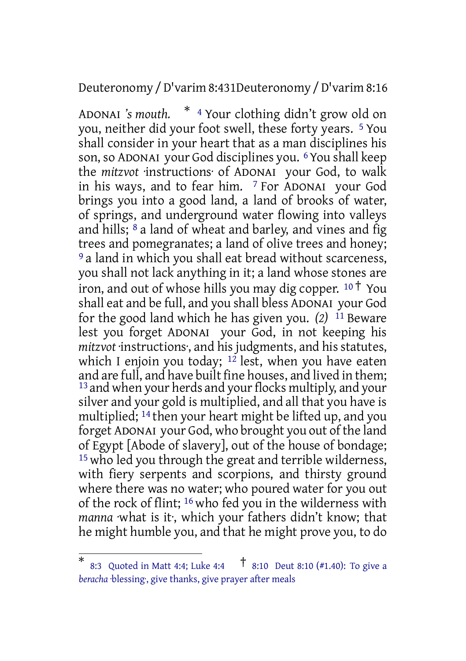Deuteronomy /D'varim 8:431Deuteronomy /D'varim 8:16

ADONAI *'s mouth.* \* <sup>4</sup> Your clothing didn't grow old on you, neither did your foot swell, these forty years. 5 You shall consider in your heart that as a man disciplines his son, so ADONAI your God disciplines you. 6You shall keep the *mitzvot* ·instructions· of ADONAI your God, to walk in his ways, and to fear him. 7 For ADONAI your God brings you into a good land, a land of brooks of water, of springs, and underground water flowing into valleys and hills; 8 a land of wheat and barley, and vines and fig trees and pomegranates; a land of olive trees and honey; <sup>9</sup> a land in which you shall eat bread without scarceness, you shall not lack anything in it; a land whose stones are iron, and out of whose hills you may dig copper.  $10^{\circ}$  You shall eat and be full, and you shall bless ADONAI your God for the good land which he has given you. *(2)* 11 Beware lest you forget ADONAI your God, in not keeping his *mitzvot* ·instructions·, and his judgments, and his statutes, which I enjoin you today;  $12$  lest, when you have eaten and are full, and have built fine houses, and lived in them; <sup>13</sup> and when your herds and your flocks multiply, and your silver and your gold is multiplied, and all that you have is multiplied; 14 then your heart might be lifted up, and you forget ADONAI your God, who brought you out of the land of Egypt [Abode of slavery], out of the house of bondage; 15 who led you through the great and terrible wilderness, with fiery serpents and scorpions, and thirsty ground where there was no water; who poured water for you out of the rock of flint; 16 who fed you in the wilderness with *manna* ·what is it·, which your fathers didn't know; that he might humble you, and that he might prove you, to do

<sup>\*</sup> 8:3 Quoted in Matt 4:4; Luke 4:4 † 8:10 Deut 8:10 (#1.40): To give <sup>a</sup> *beracha* ·blessing·, give thanks, give prayer after meals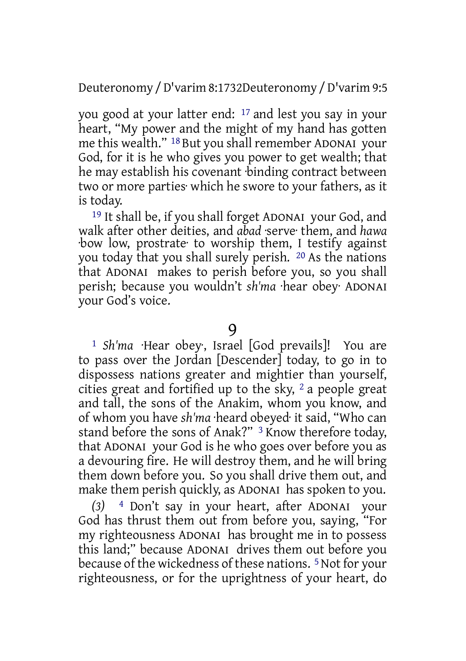Deuteronomy /D'varim 8:1732Deuteronomy /D'varim 9:5

you good at your latter end: 17 and lest you say in your heart, "My power and the might of my hand has gotten me this wealth." 18 But you shall remember ADONAI your God, for it is he who gives you power to get wealth; that he may establish his covenant ·binding contract between two or more parties· which he swore to your fathers, as it is today.

19 It shall be, if you shall forget ADONAI your God, and walk after other deities, and *abad* ·serve· them, and *hawa* ·bow low, prostrate· to worship them, I testify against you today that you shall surely perish. 20 As the nations that ADONAI makes to perish before you, so you shall perish; because you wouldn't *sh'ma* ·hear obey· ADONAI your God's voice.

9

1 *Sh'ma* ·Hear obey·, Israel [God prevails]! You are to pass over the Jordan [Descender] today, to go in to dispossess nations greater and mightier than yourself, cities great and fortified up to the sky,  $2a$  people great and tall, the sons of the Anakim, whom you know, and of whom you have *sh'ma* ·heard obeyed· it said, "Who can stand before the sons of Anak?" 3 Know therefore today, that ADONAI your God is he who goes over before you as a devouring fire. He will destroy them, and he will bring them down before you. So you shall drive them out, and make them perish quickly, as ADONAI has spoken to you.

<sup>4</sup> Don't say in your heart, after ADONAI your God has thrust them out from before you, saying, "For my righteousness ADONAI has brought me in to possess this land;" because ADONAI drives them out before you because of the wickedness of these nations. 5Not for your righteousness, or for the uprightness of your heart, do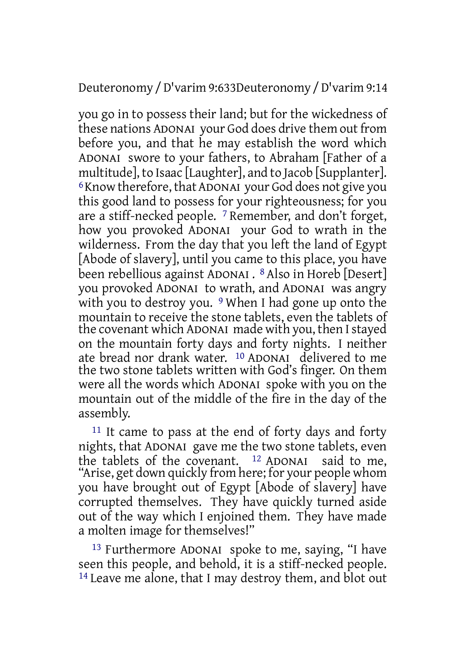Deuteronomy /D'varim 9:633Deuteronomy /D'varim 9:14

you go in to possess their land; but for the wickedness of these nations ADONAI your God does drive them out from before you, and that he may establish the word which ADONAI swore to your fathers, to Abraham [Father of a multitude], to Isaac [Laughter], and to Jacob [Supplanter]. <sup>6</sup>Know therefore, that ADONAI your God does not give you this good land to possess for your righteousness; for you are a stiff-necked people. 7 Remember, and don't forget, how you provoked ADONAI your God to wrath in the wilderness. From the day that you left the land of Egypt [Abode of slavery], until you came to this place, you have been rebellious against ADONAI . 8 Also in Horeb [Desert] you provoked ADONAI to wrath, and ADONAI was angry with you to destroy you. <sup>9</sup> When I had gone up onto the mountain to receive the stone tablets, even the tablets of the covenant which ADONAI made with you, then Istayed on the mountain forty days and forty nights. I neither ate bread nor drank water. 10 ADONAI delivered to me the two stone tablets written with God's finger. On them were all the words which ADONAI spoke with you on the mountain out of the middle of the fire in the day of the assembly.

11 It came to pass at the end of forty days and forty nights, that ADONAI gave me the two stone tablets, even the tablets of the covenant.  $12$  ADONAI said to me, "Arise, get down quickly from here; for your people whom you have brought out of Egypt [Abode of slavery] have corrupted themselves. They have quickly turned aside out of the way which I enjoined them. They have made a molten image for themselves!"

13 Furthermore ADONAI spoke to me, saying, "I have seen this people, and behold, it is a stiff-necked people.  $14$  Leave me alone, that I may destroy them, and blot out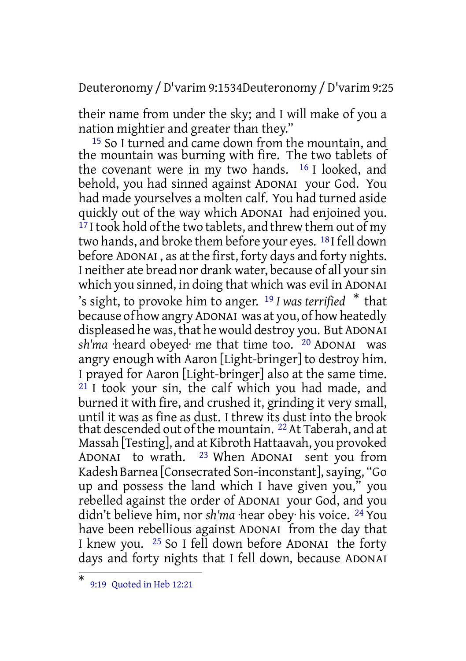Deuteronomy /D'varim 9:1534Deuteronomy /D'varim 9:25

their name from under the sky; and I will make of you a nation mightier and greater than they."

15 So I turned and came down from the mountain, and the mountain was burning with fire. The two tablets of the covenant were in my two hands.  $16$  I looked, and behold, you had sinned against ADONAI your God. You had made yourselves a molten calf. You had turned aside quickly out of the way which ADONAI had enjoined you. <sup>17</sup> I took hold of the two tablets, and threw them out of my two hands, and broke them before your eyes. 18 I fell down before ADONAI , as at the first, forty days and forty nights. I neither ate bread nor drank water, because of all yoursin which you sinned, in doing that which was evil in ADONAI 's sight, to provoke him to anger. <sup>19</sup> *I was terrified* \* that because of how angry ADONAI was at you, of how heatedly displeased he was, that he would destroy you. But ADONAI *sh'ma* ·heard obeyed· me that time too. <sup>20</sup> ADONAI was angry enough with Aaron [Light-bringer] to destroy him. I prayed for Aaron [Light-bringer] also at the same time.  $21$  I took your sin, the calf which you had made, and burned it with fire, and crushed it, grinding it very small, until it was as fine as dust. I threw its dust into the brook that descended out of the mountain. 22At Taberah, and at Massah [Testing], and at Kibroth Hattaavah, you provoked ADONAI to wrath. 23 When ADONAI sent you from Kadesh Barnea [Consecrated Son-inconstant], saying, "Go up and possess the land which I have given you," you rebelled against the order of ADONAI your God, and you didn't believe him, nor *sh'ma* ·hear obey· his voice. 24 You have been rebellious against ADONAI from the day that I knew you. 25 So I fell down before ADONAI the forty days and forty nights that I fell down, because ADONAI

<sup>\*</sup> 9:19 Quoted in Heb 12:21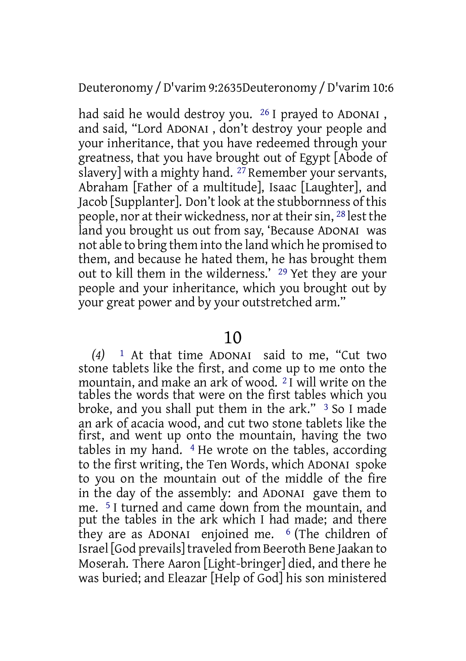Deuteronomy /D'varim 9:2635Deuteronomy /D'varim 10:6

had said he would destroy you. 26 I prayed to ADONAI , and said, "Lord ADONAI , don't destroy your people and your inheritance, that you have redeemed through your greatness, that you have brought out of Egypt [Abode of slavery] with a mighty hand.  $27$  Remember your servants, Abraham [Father of a multitude], Isaac [Laughter], and Jacob [Supplanter]. Don't look at the stubbornness of this people, nor at their wickedness, nor at their sin, <sup>28</sup> lest the land you brought us out from say, 'Because ADONAI was not able to bring them into the land which he promised to them, and because he hated them, he has brought them out to kill them in the wilderness.' 29 Yet they are your people and your inheritance, which you brought out by your great power and by your outstretched arm."

## 10

*(4)* 1 At that time ADONAI said to me, "Cut two stone tablets like the first, and come up to me onto the mountain, and make an ark of wood. 2 I will write on the tables the words that were on the first tables which you broke, and you shall put them in the ark." 3 So I made an ark of acacia wood, and cut two stone tablets like the first, and went up onto the mountain, having the two tables in my hand.  $4$  He wrote on the tables, according to the first writing, the Ten Words, which ADONAI spoke to you on the mountain out of the middle of the fire in the day of the assembly: and ADONAI gave them to me. 5 I turned and came down from the mountain, and put the tables in the ark which I had made; and there they are as ADONAI enjoined me. 6 (The children of Israel [God prevails]traveled from Beeroth Bene Jaakan to Moserah. There Aaron [Light-bringer] died, and there he was buried; and Eleazar [Help of God] his son ministered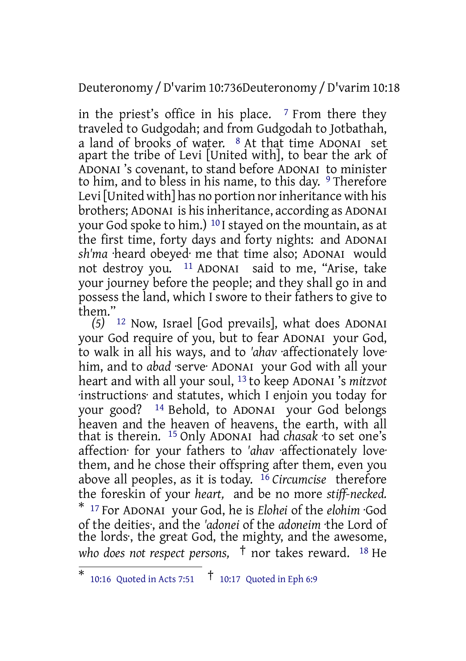Deuteronomy /D'varim 10:736Deuteronomy /D'varim 10:18

in the priest's office in his place.  $\frac{7}{7}$  From there they traveled to Gudgodah; and from Gudgodah to Jotbathah, a land of brooks of water.  $8$  At that time ADONAI set apart the tribe of Levi [United with], to bear the ark of ADONAI 's covenant, to stand before ADONAI to minister to him, and to bless in his name, to this day. <sup>9</sup> Therefore Levi [United with] has no portion nor inheritance with his brothers; ADONAI is hisinheritance, according as ADONAI your God spoke to him.) 10 I stayed on the mountain, as at the first time, forty days and forty nights: and ADONAI *sh'ma* ·heard obeyed· me that time also; ADONAI would not destroy you. 11 ADONAI said to me, "Arise, take your journey before the people; and they shall go in and possess the land, which I swore to their fathers to give to them."

*(5)* 12 Now, Israel [God prevails], what does ADONAI your God require of you, but to fear ADONAI your God, to walk in all his ways, and to *'ahav* ·affectionately love· him, and to *abad* ·serve· ADONAI your God with all your heart and with all your soul, 13 to keep ADONAI 's *mitzvot* ·instructions· and statutes, which I enjoin you today for your good? 14 Behold, to ADONAI your God belongs heaven and the heaven of heavens, the earth, with all that is therein. 15 Only ADONAI had *chasak* ·to set one's affection· for your fathers to *'ahav* ·affectionately love· them, and he chose their offspring after them, even you above all peoples, as it is today. 16 *Circumcise* therefore the foreskin of your *heart,* and be no more *stiff-necked.* \* <sup>17</sup> For ADONAI your God, he is *Elohei* of the *elohim* ·God of the deities·, and the *'adonei* of the *adoneim* ·the Lord of the lords·, the great God, the mighty, and the awesome, *who does not respect persons,* † nor takes reward. <sup>18</sup> He

<sup>\*</sup> 10:16 Quoted in Acts 7:51 † 10:17 Quoted in Eph 6:9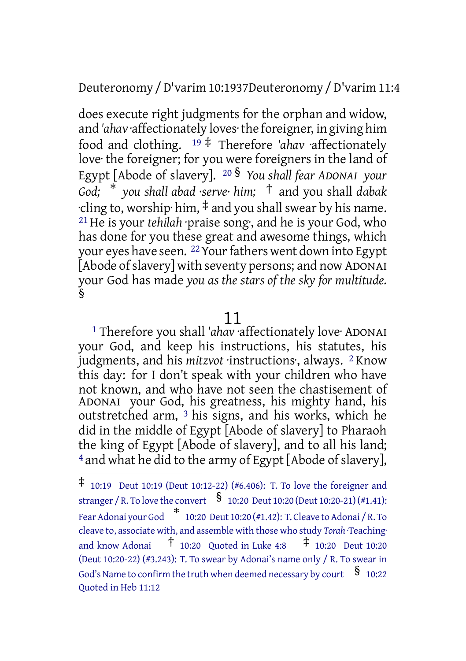Deuteronomy /D'varim 10:1937Deuteronomy /D'varim 11:4

does execute right judgments for the orphan and widow, and *'ahav* ·affectionately loves·the foreigner, in giving him food and clothing. <sup>19</sup> ‡ Therefore *'ahav* ·affectionately love· the foreigner; for you were foreigners in the land of Egypt [Abode of slavery]. <sup>20</sup> § *You shall fear ADONAI your God;* \* *you shall abad ·serve· him;* † and you shall *dabak*  $\cdot$ cling to, worship $\cdot$  him,  $\ddagger$  and you shall swear by his name. 21 He is your *tehilah* ·praise song·, and he is your God, who has done for you these great and awesome things, which your eyes have seen. <sup>22</sup> Your fathers went down into Egypt [Abode of slavery] with seventy persons; and now ADONAI your God has made *you as the stars of the sky for multitude.* §

### 11

<sup>1</sup> Therefore you shall 'ahav affectionately love<sup>.</sup> ADONAI your God, and keep his instructions, his statutes, his judgments, and his *mitzvot* ·instructions·, always. 2 Know this day: for I don't speak with your children who have not known, and who have not seen the chastisement of ADONAI your God, his greatness, his mighty hand, his outstretched arm, 3 his signs, and his works, which he did in the middle of Egypt [Abode of slavery] to Pharaoh the king of Egypt [Abode of slavery], and to all his land; 4 and what he did to the army of Egypt [Abode of slavery],

 $\ddagger$  10:19 Deut 10:19 (Deut 10:12-22) (#6.406): T. To love the foreigner and stranger / R. To love the convert  $\S$  10:20 Deut 10:20 (Deut 10:20-21) (#1.41): FearAdonai your God \* 10:20 Deut 10:20 (#1.42): T. Cleave toAdonai / R. To cleave to, associate with, and assemble with those who study *Torah* ·Teaching· and know Adonai  $\uparrow$  10:20 Quoted in Luke 4:8  $\uparrow$  10:20 Deut 10:20 (Deut 10:20-22) (#3.243): T. To swear by Adonai's name only / R. To swear in God's Name to confirm the truth when deemed necessary by court  $\S$  10:22 Quoted in Heb 11:12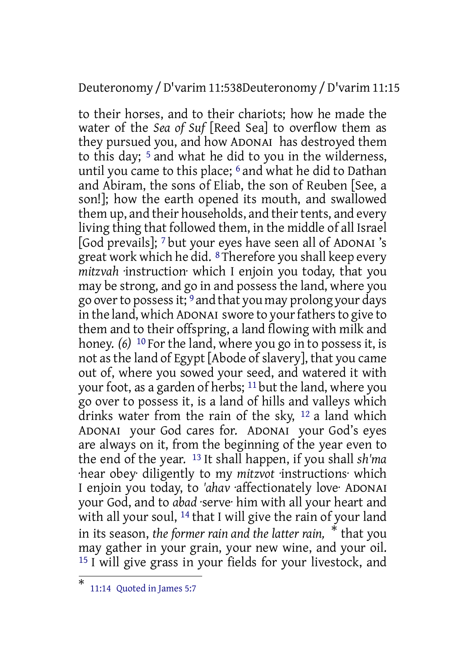Deuteronomy /D'varim 11:538Deuteronomy /D'varim 11:15

to their horses, and to their chariots; how he made the water of the *Sea of Suf* [Reed Sea] to overflow them as they pursued you, and how ADONAI has destroyed them to this day; 5 and what he did to you in the wilderness, until you came to this place; 6 and what he did to Dathan and Abiram, the sons of Eliab, the son of Reuben [See, a son!]; how the earth opened its mouth, and swallowed them up, and their households, and their tents, and every living thing that followed them, in the middle of all Israel [God prevails]; 7 but your eyes have seen all of ADONAI 's great work which he did. 8 Therefore you shall keep every *mitzvah* ·instruction· which I enjoin you today, that you may be strong, and go in and possess the land, where you go overto possessit; 9 and that you may prolong your days in the land, which ADONAI swore to your fathers to give to them and to their offspring, a land flowing with milk and honey. *(6)* 10 For the land, where you go in to possess it, is not as the land of Egypt [Abode of slavery], that you came out of, where you sowed your seed, and watered it with your foot, as a garden of herbs; 11 but the land, where you go over to possess it, is a land of hills and valleys which drinks water from the rain of the sky, 12 a land which ADONAI your God cares for. ADONAI your God's eyes are always on it, from the beginning of the year even to the end of the year. 13 It shall happen, if you shall *sh'ma* ·hear obey· diligently to my *mitzvot* ·instructions· which I enjoin you today, to *'ahav* ·affectionately love· ADONAI your God, and to *abad* ·serve· him with all your heart and with all your soul, 14 that I will give the rain of your land in its season, *the former rain and the latter rain,* \* that you may gather in your grain, your new wine, and your oil. 15 I will give grass in your fields for your livestock, and

<sup>\*</sup> 11:14 Quoted in James 5:7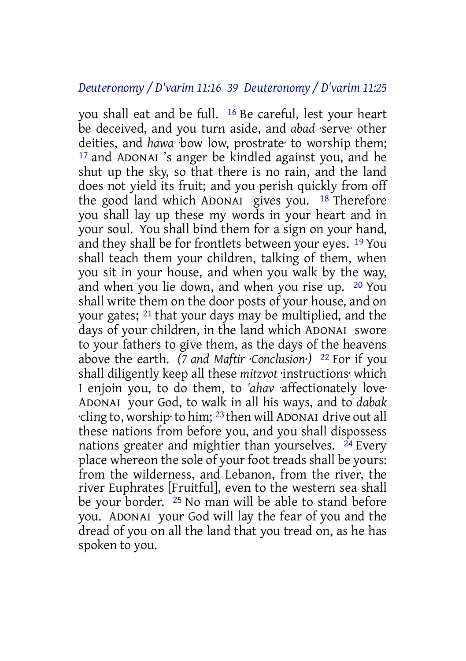#### *Deuteronomy / D'varim 11:16 39 Deuteronomy / D'varim 11:25*

you shall eat and be full. 16 Be careful, lest your heart be deceived, and you turn aside, and *abad* ·serve· other deities, and *hawa* ·bow low, prostrate· to worship them; 17 and ADONAI 's anger be kindled against you, and he shut up the sky, so that there is no rain, and the land does not yield its fruit; and you perish quickly from off the good land which ADONAI gives you. 18 Therefore you shall lay up these my words in your heart and in your soul. You shall bind them for a sign on your hand, and they shall be for frontlets between your eyes. 19 You shall teach them your children, talking of them, when you sit in your house, and when you walk by the way, and when you lie down, and when you rise up. 20 You shall write them on the door posts of your house, and on your gates; 21 that your days may be multiplied, and the days of your children, in the land which ADONAI swore to your fathers to give them, as the days of the heavens above the earth. *(7 and Maftir ·Conclusion·)* 22 For if you shall diligently keep all these *mitzvot* ·instructions· which I enjoin you, to do them, to *'ahav* ·affectionately love· ADONAI your God, to walk in all his ways, and to *dabak* ·cling to, worship·to him; 23 then will ADONAI drive out all these nations from before you, and you shall dispossess nations greater and mightier than yourselves.  $^{24}$  Every place whereon the sole of your foot treads shall be yours: from the wilderness, and Lebanon, from the river, the river Euphrates [Fruitful], even to the western sea shall be your border. 25 No man will be able to stand before you. ADONAI your God will lay the fear of you and the dread of you on all the land that you tread on, as he has spoken to you.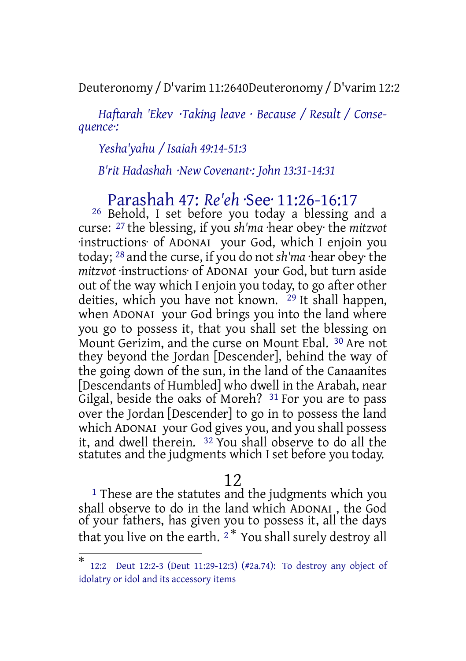Deuteronomy /D'varim 11:2640Deuteronomy /D'varim 12:2

*Haftarah 'Ekev ·Taking leave · Because / Result / Consequence·:*

*Yesha'yahu / Isaiah 49:14-51:3*

*B'rit Hadashah ·New Covenant·: John 13:31-14:31*

# Parashah 47: *Re'eh* ·See· 11:26-16:17

26 Behold, I set before you today a blessing and a curse: 27 the blessing, if you *sh'ma* ·hear obey· the *mitzvot* ·instructions· of ADONAI your God, which I enjoin you today; 28 and the curse, if you do not *sh'ma* ·hear obey· the *mitzvot* ·instructions· of ADONAI your God, but turn aside out of the way which I enjoin you today, to go after other deities, which you have not known. <sup>29</sup> It shall happen, when ADONAI your God brings you into the land where you go to possess it, that you shall set the blessing on Mount Gerizim, and the curse on Mount Ebal. 30 Are not they beyond the Jordan [Descender], behind the way of the going down of the sun, in the land of the Canaanites [Descendants of Humbled] who dwell in the Arabah, near Gilgal, beside the oaks of Moreh? <sup>31</sup> For you are to pass over the Jordan [Descender] to go in to possess the land which ADONAI your God gives you, and you shall possess it, and dwell therein. 32 You shall observe to do all the statutes and the judgments which I set before you today.

### 12

<sup>1</sup> These are the statutes and the judgments which you shall observe to do in the land which ADONAI , the God of your fathers, has given you to possess it, all the days that you live on the earth.  $2^*$  You shall surely destroy all

<sup>\*</sup> 12:2 Deut 12:2-3 (Deut 11:29-12:3) (#2a.74): To destroy any object of idolatry or idol and its accessory items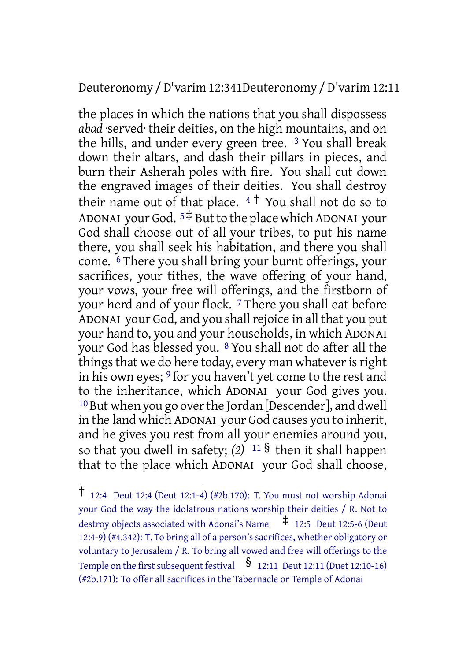Deuteronomy /D'varim 12:341Deuteronomy /D'varim 12:11

the places in which the nations that you shall dispossess *abad* ·served· their deities, on the high mountains, and on the hills, and under every green tree. 3 You shall break down their altars, and dash their pillars in pieces, and burn their Asherah poles with fire. You shall cut down the engraved images of their deities. You shall destroy their name out of that place.  $4\uparrow$  You shall not do so to ADONAI your God.  $5\ddagger$  But to the place which ADONAI your God shall choose out of all your tribes, to put his name there, you shall seek his habitation, and there you shall come. 6 There you shall bring your burnt offerings, your sacrifices, your tithes, the wave offering of your hand, your vows, your free will offerings, and the firstborn of your herd and of your flock. 7 There you shall eat before ADONAI your God, and you shall rejoice in all that you put your hand to, you and your households, in which ADONAI your God has blessed you. 8 You shall not do after all the things that we do here today, every man whatever is right in his own eyes; <sup>9</sup> for you haven't yet come to the rest and to the inheritance, which ADONAI your God gives you. <sup>10</sup> But when you go over the Jordan [Descender], and dwell in the land which ADONAI your God causes you to inherit, and he gives you rest from all your enemies around you, so that you dwell in safety; *(2)* <sup>11</sup> § then it shall happen that to the place which ADONAI your God shall choose,

<sup>†</sup> 12:4 Deut 12:4 (Deut 12:1-4) (#2b.170): T. You must not worship Adonai your God the way the idolatrous nations worship their deities / R. Not to destroy objects associated with Adonai's Name  $\pm$  12:5 Deut 12:5-6 (Deut 12:4-9) (#4.342): T. To bring all of a person's sacrifices, whether obligatory or voluntary to Jerusalem / R. To bring all vowed and free will offerings to the Temple on the first subsequent festival  $\frac{1}{2}$  12:11 Deut 12:11 (Duet 12:10-16) (#2b.171): To offer all sacrifices in the Tabernacle or Temple of Adonai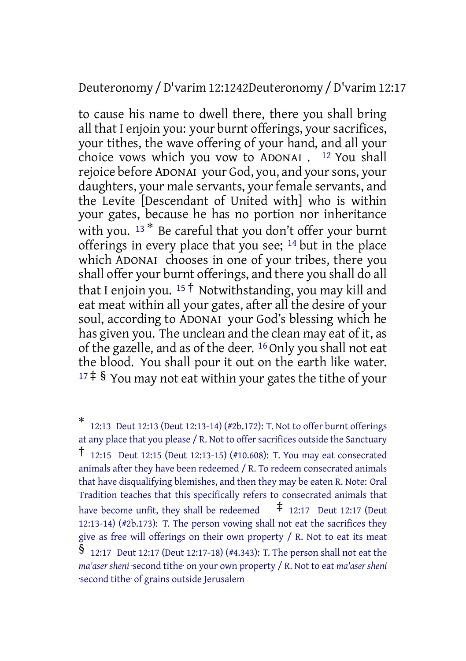#### Deuteronomy /D'varim 12:1242Deuteronomy /D'varim 12:17

to cause his name to dwell there, there you shall bring all that I enjoin you: your burnt offerings, your sacrifices, your tithes, the wave offering of your hand, and all your choice vows which you vow to ADONAI . 12 You shall rejoice before ADONAI your God, you, and your sons, your daughters, your male servants, your female servants, and the Levite [Descendant of United with] who is within your gates, because he has no portion nor inheritance with you. <sup>13\*</sup> Be careful that you don't offer your burnt offerings in every place that you see; 14 but in the place which ADONAI chooses in one of your tribes, there you shall offer your burnt offerings, and there you shall do all that I enjoin you. <sup>15</sup>  $\dagger$  Notwithstanding, you may kill and eat meat within all your gates, after all the desire of your soul, according to ADONAI your God's blessing which he has given you. The unclean and the clean may eat of it, as of the gazelle, and as of the deer. 16 Only you shall not eat the blood. You shall pour it out on the earth like water.  $17 \ddagger$  § You may not eat within your gates the tithe of your

<sup>\*</sup> 12:13 Deut 12:13 (Deut 12:13-14) (#2b.172): T. Not to offer burnt offerings at any place that you please / R. Not to offer sacrifices outside the Sanctuary † 12:15 Deut 12:15 (Deut 12:13-15) (#10.608): T. You may eat consecrated animals after they have been redeemed / R. To redeem consecrated animals that have disqualifying blemishes, and then they may be eaten R. Note: Oral Tradition teaches that this specifically refers to consecrated animals that have become unfit, they shall be redeemed  $\uparrow$  12:17 Deut 12:17 (Deut 12:13-14) (#2b.173): T. The person vowing shall not eat the sacrifices they give as free will offerings on their own property / R. Not to eat its meat § 12:17 Deut 12:17 (Deut 12:17-18) (#4.343): T. The person shall not eat the *ma'aser sheni* ·second tithe· on your own property / R. Not to eat *ma'aser sheni* ·second tithe· of grains outside Jerusalem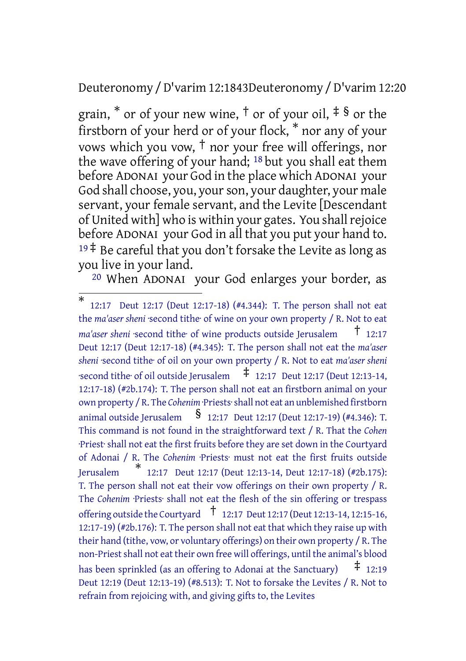Deuteronomy /D'varim 12:1843Deuteronomy /D'varim 12:20

grain, \* or of your new wine, † or of your oil, ‡ § or the firstborn of your herd or of your flock, \* nor any of your vows which you vow,  $\dagger$  nor your free will offerings, nor the wave offering of your hand; 18 but you shall eat them before ADONAI your God in the place which ADONAI your God shall choose, you, your son, your daughter, your male servant, your female servant, and the Levite [Descendant of United with] who is within your gates. You shall rejoice before ADONAI your God in all that you put your hand to.  $19\ddagger$  Be careful that you don't forsake the Levite as long as you live in your land.

20 When ADONAI your God enlarges your border, as

<sup>\*</sup> 12:17 Deut 12:17 (Deut 12:17-18) (#4.344): T. The person shall not eat the *ma'aser sheni* ·second tithe· of wine on your own property / R. Not to eat *ma'aser sheni* ·second tithe· of wine products outside Jerusalem † 12:17 Deut 12:17 (Deut 12:17-18) (#4.345): T. The person shall not eat the *ma'aser sheni* ·second tithe· of oil on your own property / R. Not to eat *ma'aser sheni* ·second tithe· of oil outside Jerusalem ‡ 12:17 Deut 12:17 (Deut 12:13-14, 12:17-18) (#2b.174): T. The person shall not eat an firstborn animal on your own property / R. The *Cohenim* ·Priests·shall not eat an unblemished firstborn animal outside Jerusalem  $\frac{1}{2}$  12:17 Deut 12:17 (Deut 12:17-19) (#4.346): T. This command is not found in the straightforward text / R. That the *Cohen* ·Priest· shall not eat the first fruits before they are set down in the Courtyard of Adonai / R. The *Cohenim* ·Priests· must not eat the first fruits outside **Jerusalem** 12:17 Deut 12:17 (Deut 12:13-14, Deut 12:17-18) (#2b.175): T. The person shall not eat their vow offerings on their own property / R. The *Cohenim* ·Priests· shall not eat the flesh of the sin offering or trespass offering outside the Courtyard † 12:17 Deut 12:17 (Deut 12:13-14, 12:15-16, 12:17-19) (#2b.176): T. The person shall not eat that which they raise up with their hand (tithe, vow, or voluntary offerings) on their own property / R. The non-Priest shall not eat their own free will offerings, until the animal's blood has been sprinkled (as an offering to Adonai at the Sanctuary)  $\pm$  12:19 Deut 12:19 (Deut 12:13-19) (#8.513): T. Not to forsake the Levites / R. Not to refrain from rejoicing with, and giving gifts to, the Levites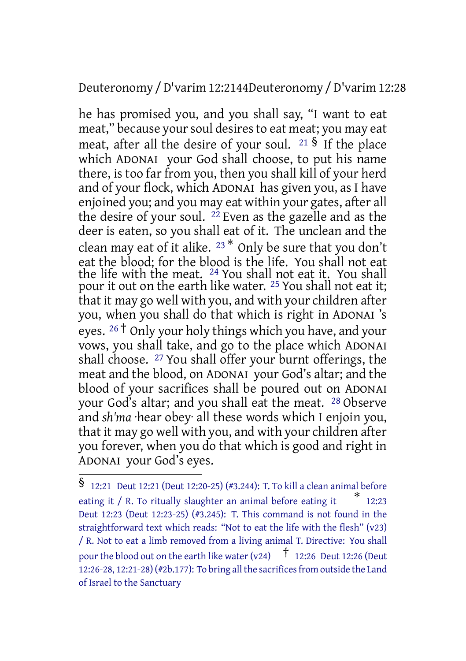#### Deuteronomy /D'varim 12:2144Deuteronomy /D'varim 12:28

he has promised you, and you shall say, "I want to eat meat," because your soul desires to eat meat; you may eat meat, after all the desire of your soul.  $21\frac{6}{15}$  If the place which ADONAI your God shall choose, to put his name there, is too far from you, then you shall kill of your herd and of your flock, which ADONAI has given you, as I have enjoined you; and you may eat within your gates, after all the desire of your soul. <sup>22</sup> Even as the gazelle and as the deer is eaten, so you shall eat of it. The unclean and the clean may eat of it alike. <sup>23</sup> \* Only be sure that you don't eat the blood; for the blood is the life. You shall not eat the life with the meat. 24 You shall not eat it. You shall pour it out on the earth like water. <sup>25</sup> You shall not eat it; that it may go well with you, and with your children after you, when you shall do that which is right in ADONAI 's eyes. <sup>26</sup> <sup>†</sup> Only your holy things which you have, and your vows, you shall take, and go to the place which ADONAI shall choose. 27 You shall offer your burnt offerings, the meat and the blood, on ADONAI your God's altar; and the blood of your sacrifices shall be poured out on ADONAI your God's altar; and you shall eat the meat. 28 Observe and *sh'ma* ·hear obey· all these words which I enjoin you, that it may go well with you, and with your children after you forever, when you do that which is good and right in ADONAI your God's eyes.

<sup>§</sup> 12:21 Deut 12:21 (Deut 12:20-25) (#3.244): T. To kill <sup>a</sup> clean animal before eating it / R. To ritually slaughter an animal before eating it \* 12:23 Deut 12:23 (Deut 12:23-25) (#3.245): T. This command is not found in the straightforward text which reads: "Not to eat the life with the flesh" (v23) / R. Not to eat a limb removed from a living animal T. Directive: You shall pour the blood out on the earth like water (v24)  $\uparrow$  12:26 Deut 12:26 (Deut 12:26-28, 12:21-28) (#2b.177): To bring all the sacrifices from outside the Land of Israel to the Sanctuary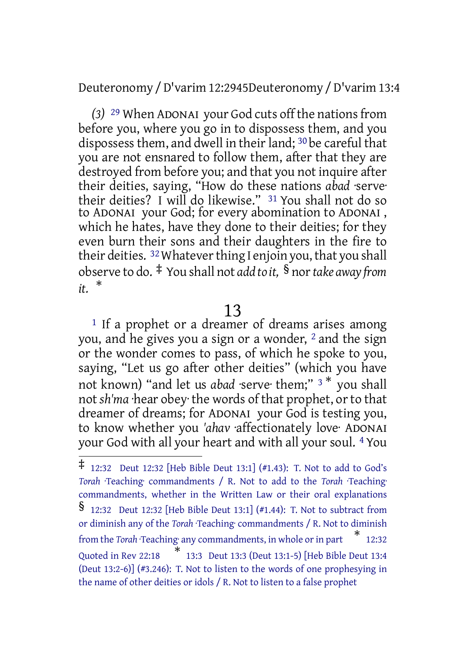Deuteronomy /D'varim 12:2945Deuteronomy /D'varim 13:4

*(3)* 29 When ADONAI your God cuts off the nationsfrom before you, where you go in to dispossess them, and you dispossess them, and dwell in their land; <sup>30</sup> be careful that you are not ensnared to follow them, after that they are destroyed from before you; and that you not inquire after their deities, saying, "How do these nations *abad* ·serve· their deities? I will do likewise." 31 You shall not do so to ADONAI your God; for every abomination to ADONAI , which he hates, have they done to their deities; for they even burn their sons and their daughters in the fire to their deities. <sup>32</sup> Whatever thing I enjoin you, that you shall observe to do. ‡ You shall not *add to it,* § nor*take away from it.* \*

### 13

 $<sup>1</sup>$  If a prophet or a dreamer of dreams arises among</sup> you, and he gives you a sign or a wonder, 2 and the sign or the wonder comes to pass, of which he spoke to you, saying, "Let us go after other deities" (which you have not known) "and let us *abad* ·serve· them;" <sup>3</sup> \* you shall not *sh'ma* ·hear obey· the words of that prophet, orto that dreamer of dreams; for ADONAI your God is testing you, to know whether you *'ahav* ·affectionately love· ADONAI your God with all your heart and with all your soul. 4 You

<sup>‡</sup> 12:32 Deut 12:32 [Heb Bible Deut 13:1] (#1.43): T. Not to add to God's *Torah* ·Teaching· commandments / R. Not to add to the *Torah* ·Teaching· commandments, whether in the Written Law or their oral explanations § 12:32 Deut 12:32 [Heb Bible Deut 13:1] (#1.44): T. Not to subtract from or diminish any of the *Torah* ·Teaching· commandments / R. Not to diminish from the *Torah* ·Teaching· any commandments, in whole or in part  $*$  12:32 Quoted in Rev 22:18 \* 13:3 Deut 13:3 (Deut 13:1-5) [Heb Bible Deut 13:4 (Deut 13:2-6)] (#3.246): T. Not to listen to the words of one prophesying in the name of other deities or idols / R. Not to listen to a false prophet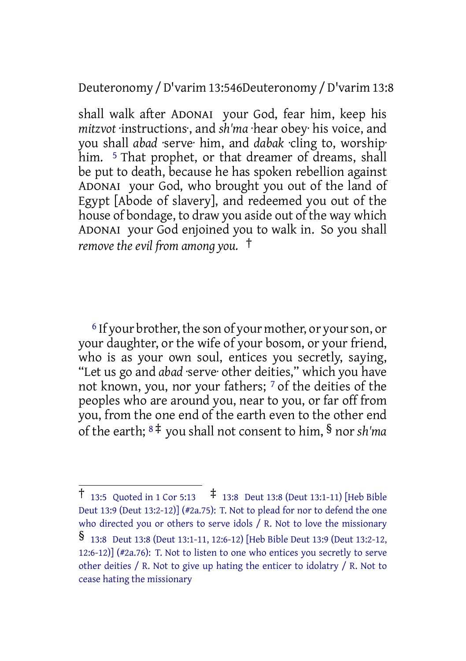Deuteronomy /D'varim 13:546Deuteronomy /D'varim 13:8

shall walk after ADONAI your God, fear him, keep his *mitzvot* ·instructions·, and *sh'ma* ·hear obey· his voice, and you shall *abad* ·serve· him, and *dabak* ·cling to, worship· him. <sup>5</sup> That prophet, or that dreamer of dreams, shall be put to death, because he has spoken rebellion against ADONAI your God, who brought you out of the land of Egypt [Abode of slavery], and redeemed you out of the house of bondage, to draw you aside out of the way which ADONAI your God enjoined you to walk in. So you shall *remove the evil from among you.* †

<sup>6</sup> If your brother, the son of your mother, or your son, or your daughter, or the wife of your bosom, or your friend, who is as your own soul, entices you secretly, saying, "Let us go and *abad* ·serve· other deities," which you have not known, you, nor your fathers; 7 of the deities of the peoples who are around you, near to you, or far off from you, from the one end of the earth even to the other end of the earth; <sup>8</sup> ‡ you shall not consent to him, § nor *sh'ma*

<sup>†</sup> 13:5 Quoted in <sup>1</sup> Cor 5:13 ‡ 13:8 Deut 13:8 (Deut 13:1-11) [Heb Bible Deut 13:9 (Deut 13:2-12)] (#2a.75): T. Not to plead for nor to defend the one who directed you or others to serve idols / R. Not to love the missionary § 13:8 Deut 13:8 (Deut 13:1-11, 12:6-12) [Heb Bible Deut 13:9 (Deut 13:2-12, 12:6-12)] (#2a.76): T. Not to listen to one who entices you secretly to serve other deities / R. Not to give up hating the enticer to idolatry / R. Not to cease hating the missionary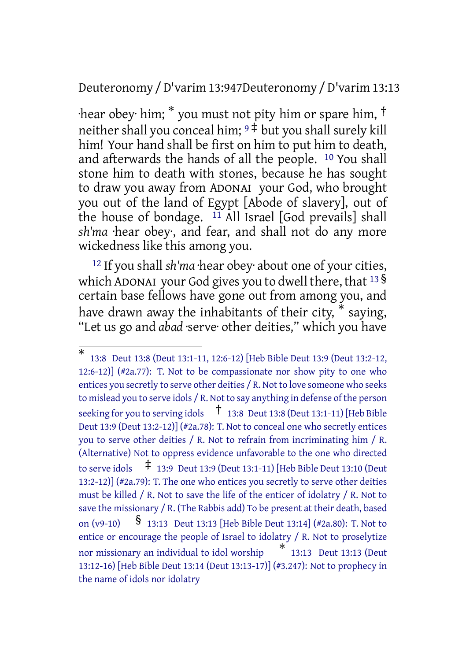### Deuteronomy /D'varim 13:947Deuteronomy /D'varim 13:13

·hear obey· him; \* you must not pity him or spare him, † neither shall you conceal him;  $9\frac{1}{7}$  but you shall surely kill him! Your hand shall be first on him to put him to death, and afterwards the hands of all the people. 10 You shall stone him to death with stones, because he has sought to draw you away from ADONAI your God, who brought you out of the land of Egypt [Abode of slavery], out of the house of bondage.  $11$  All Israel [God prevails] shall *sh'ma* ·hear obey·, and fear, and shall not do any more wickedness like this among you.

<sup>12</sup> If you shall *sh'ma* ·hear obey· about one of your cities, which ADONAI your God gives you to dwell there, that  $^{13}$   $\overline{\phantom{1}}$ certain base fellows have gone out from among you, and have drawn away the inhabitants of their city, \* saying, "Let us go and *abad* ·serve· other deities," which you have

<sup>\*</sup> 13:8 Deut 13:8 (Deut 13:1-11, 12:6-12) [Heb Bible Deut 13:9 (Deut 13:2-12, 12:6-12)] (#2a.77): T. Not to be compassionate nor show pity to one who entices you secretly to serve other deities / R. Not to love someone who seeks to mislead you to serve idols / R. Not to say anything in defense of the person seeking for you to serving idols  $\vec{a}$  13:8 Deut 13:8 (Deut 13:1-11) [Heb Bible Deut 13:9 (Deut 13:2-12)] (#2a.78): T. Not to conceal one who secretly entices you to serve other deities / R. Not to refrain from incriminating him / R. (Alternative) Not to oppress evidence unfavorable to the one who directed to serve idols  $\sharp$  13:9 Deut 13:9 (Deut 13:1-11) [Heb Bible Deut 13:10 (Deut 13:2-12)] (#2a.79): T. The one who entices you secretly to serve other deities must be killed / R. Not to save the life of the enticer of idolatry / R. Not to save the missionary / R. (The Rabbis add) To be present at their death, based on (v9-10) § 13:13 Deut 13:13 [Heb Bible Deut 13:14] (#2a.80): T. Not to entice or encourage the people of Israel to idolatry / R. Not to proselytize nor missionary an individual to idol worship \* 13:13 Deut 13:13 (Deut 13:12-16) [Heb Bible Deut 13:14 (Deut 13:13-17)] (#3.247): Not to prophecy in the name of idols nor idolatry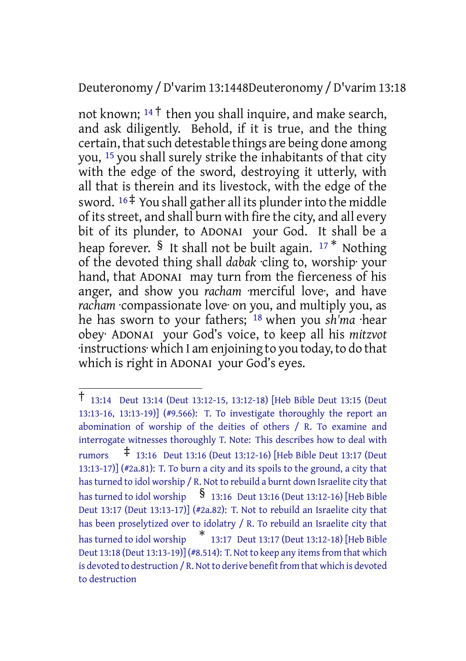Deuteronomy /D'varim 13:1448Deuteronomy /D'varim 13:18

not known;  $14 \dagger$  then you shall inquire, and make search, and ask diligently. Behold, if it is true, and the thing certain, that such detestable things are being done among you, 15 you shall surely strike the inhabitants of that city with the edge of the sword, destroying it utterly, with all that is therein and its livestock, with the edge of the sword.  $16 \div$  You shall gather all its plunder into the middle of itsstreet, and shall burn with fire the city, and all every bit of its plunder, to ADONAI your God. It shall be a heap forever. § It shall not be built again.  $17 *$  Nothing of the devoted thing shall *dabak* ·cling to, worship· your hand, that ADONAI may turn from the fierceness of his anger, and show you *racham* ·merciful love·, and have *racham* ·compassionate love· on you, and multiply you, as he has sworn to your fathers; 18 when you *sh'ma* ·hear obey· ADONAI your God's voice, to keep all his *mitzvot* ·instructions· which I am enjoining to you today, to do that which is right in ADONAI your God's eyes.

<sup>†</sup> 13:14 Deut 13:14 (Deut 13:12-15, 13:12-18) [Heb Bible Deut 13:15 (Deut 13:13-16, 13:13-19)] (#9.566): T. To investigate thoroughly the report an abomination of worship of the deities of others / R. To examine and interrogate witnesses thoroughly T. Note: This describes how to deal with rumors ‡ 13:16 Deut 13:16 (Deut 13:12-16) [Heb Bible Deut 13:17 (Deut 13:13-17)] (#2a.81): T. To burn a city and its spoils to the ground, a city that hasturned to idol worship / R. Not to rebuild a burnt down Israelite city that has turned to idol worship  $\frac{1}{3}$  13:16 Deut 13:16 (Deut 13:12-16) [Heb Bible Deut 13:17 (Deut 13:13-17)] (#2a.82): T. Not to rebuild an Israelite city that has been proselytized over to idolatry / R. To rebuild an Israelite city that has turned to idol worship \* 13:17 Deut 13:17 (Deut 13:12-18) [Heb Bible Deut 13:18 (Deut 13:13-19)] (#8.514): T. Not to keep any items from that which is devoted to destruction / R. Not to derive benefit from that which is devoted to destruction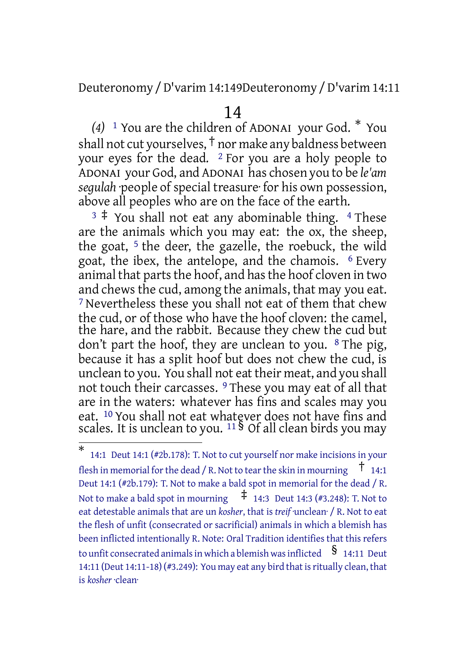Deuteronomy /D'varim 14:149Deuteronomy /D'varim 14:11

#### 14

*(4)* <sup>1</sup> You are the children of ADONAI your God. \* You shall not cut yourselves, † nor make any baldness between your eyes for the dead.  $2$  For you are a holy people to ADONAI your God, and ADONAI has chosen you to be *le'am* segulah *people* of special treasure for his own possession, above all peoples who are on the face of the earth.

 $3 \div$  You shall not eat any abominable thing. 4 These are the animals which you may eat: the ox, the sheep, the goat,  $5$  the deer, the gazelle, the roebuck, the wild goat, the ibex, the antelope, and the chamois. 6 Every animal that parts the hoof, and has the hoof cloven in two and chews the cud, among the animals, that may you eat. 7 Nevertheless these you shall not eat of them that chew the cud, or of those who have the hoof cloven: the camel, the hare, and the rabbit. Because they chew the cud but don't part the hoof, they are unclean to you.  $8$  The pig, because it has a split hoof but does not chew the cud, is unclean to you. You shall not eat their meat, and you shall not touch their carcasses. 9 These you may eat of all that are in the waters: whatever has fins and scales may you eat. <sup>10</sup> You shall not eat whatever does not have fins and scales. It is unclean to you. <sup>11</sup> § Of all clean birds you may

<sup>\*</sup> 14:1 Deut 14:1 (#2b.178): T. Not to cut yourself nor make incisions in your flesh in memorial for the dead / R. Not to tear the skin in mourning  $\pm$  14:1 Deut 14:1 (#2b.179): T. Not to make a bald spot in memorial for the dead / R. Not to make a bald spot in mourning  $\overline{f}$  14:3 Deut 14:3 (#3.248): T. Not to eat detestable animals that are un *kosher*, that is *treif* ·unclean· / R. Not to eat the flesh of unfit (consecrated or sacrificial) animals in which a blemish has been inflicted intentionally R. Note: Oral Tradition identifies that this refers to unfit consecrated animals in which a blemish was inflicted  $\quad$  § 14:11 Deut 14:11 (Deut 14:11-18) (#3.249): You may eat any bird that is ritually clean, that is *kosher* ·clean·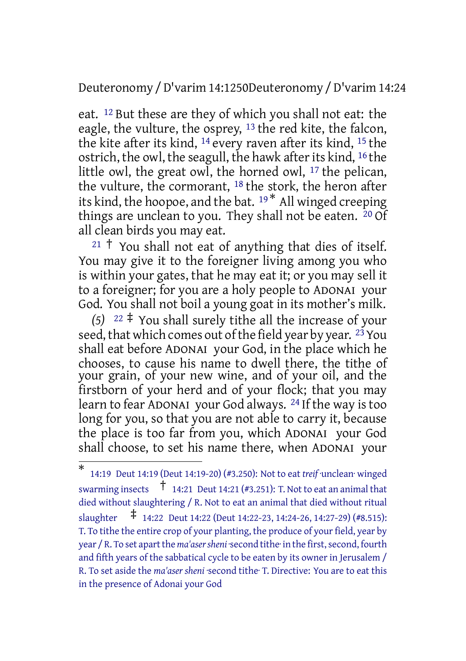Deuteronomy /D'varim 14:1250Deuteronomy /D'varim 14:24

eat. 12 But these are they of which you shall not eat: the eagle, the vulture, the osprey, 13 the red kite, the falcon, the kite after its kind, 14 every raven after its kind, 15 the ostrich, the owl, the seagull, the hawk afterits kind, 16 the little owl, the great owl, the horned owl, 17 the pelican, the vulture, the cormorant, <sup>18</sup> the stork, the heron after its kind, the hoopoe, and the bat. <sup>19</sup> \* All winged creeping things are unclean to you. They shall not be eaten.  $^{20}$  Of all clean birds you may eat.

 $21 \nmid$  You shall not eat of anything that dies of itself. You may give it to the foreigner living among you who is within your gates, that he may eat it; or you may sell it to a foreigner; for you are a holy people to ADONAI your God. You shall not boil a young goat in its mother's milk.

*(5)* <sup>22</sup> ‡ You shall surely tithe all the increase of your seed, that which comes out of the field year by year.  $2\frac{3}{12}$  You shall eat before ADONAI your God, in the place which he chooses, to cause his name to dwell there, the tithe of your grain, of your new wine, and of your oil, and the firstborn of your herd and of your flock; that you may learn to fear ADONAI your God always. 24 If the way is too long for you, so that you are not able to carry it, because the place is too far from you, which ADONAI your God shall choose, to set his name there, when ADONAI your

<sup>\*</sup> 14:19 Deut 14:19 (Deut 14:19-20) (#3.250): Not to eat *treif* ·unclean· winged swarming insects † 14:21 Deut 14:21 (#3.251): T. Not to eat an animal that died without slaughtering / R. Not to eat an animal that died without ritual slaughter ‡ 14:22 Deut 14:22 (Deut 14:22-23, 14:24-26, 14:27-29) (#8.515): T. To tithe the entire crop of your planting, the produce of your field, year by year / R. To set apart the *ma'aser sheni* ·second tithe· in the first, second, fourth and fifth years of the sabbatical cycle to be eaten by its owner in Jerusalem / R. To set aside the *ma'aser sheni* ·second tithe· T. Directive: You are to eat this in the presence of Adonai your God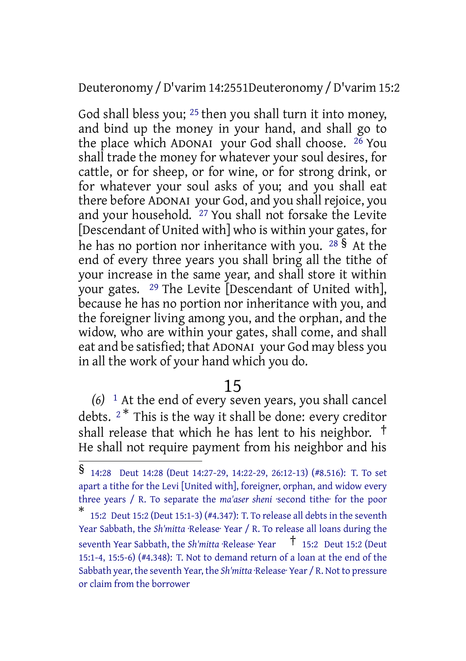Deuteronomy /D'varim 14:2551Deuteronomy /D'varim 15:2

God shall bless you; <sup>25</sup> then you shall turn it into money, and bind up the money in your hand, and shall go to the place which ADONAI your God shall choose.  $26$  You shall trade the money for whatever your soul desires, for cattle, or for sheep, or for wine, or for strong drink, or for whatever your soul asks of you; and you shall eat there before ADONAI your God, and you shall rejoice, you and your household. <sup>27</sup> You shall not forsake the Levite [Descendant of United with] who is within your gates, for he has no portion nor inheritance with you.  $28\frac{8}{9}$  At the end of every three years you shall bring all the tithe of your increase in the same year, and shall store it within your gates. 29 The Levite [Descendant of United with], because he has no portion nor inheritance with you, and the foreigner living among you, and the orphan, and the widow, who are within your gates, shall come, and shall eat and be satisfied; that ADONAI your God may bless you in all the work of your hand which you do.

### 15

*(6)* 1 At the end of every seven years, you shall cancel debts.  $2^*$  This is the way it shall be done: every creditor shall release that which he has lent to his neighbor. † He shall not require payment from his neighbor and his

<sup>§</sup> 14:28 Deut 14:28 (Deut 14:27-29, 14:22-29, 26:12-13) (#8.516): T. To set apart a tithe for the Levi [United with], foreigner, orphan, and widow every three years / R. To separate the *ma'aser sheni* ·second tithe· for the poor

<sup>\*</sup> 15:2 Deut 15:2 (Deut 15:1-3) (#4.347): T. To release all debts in the seventh Year Sabbath, the *Sh'mitta* ·Release· Year / R. To release all loans during the seventh Year Sabbath, the *Sh'mitta* ·Release· Year <sup>†</sup> 15:2 Deut 15:2 (Deut 15:1-4, 15:5-6) (#4.348): T. Not to demand return of a loan at the end of the Sabbath year, the seventh Year, the *Sh'mitta* ·Release· Year / R. Not to pressure or claim from the borrower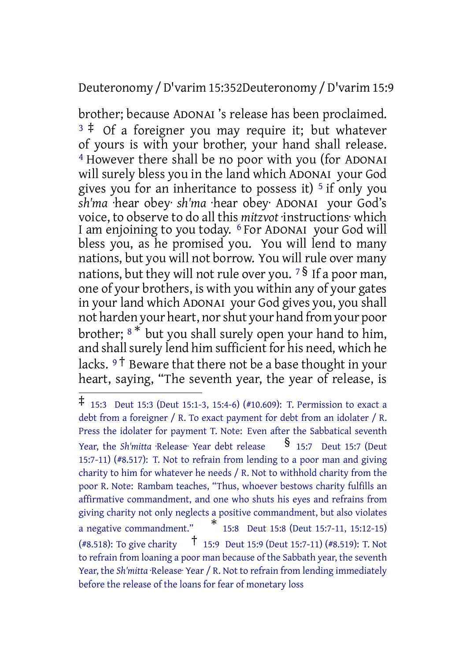### Deuteronomy /D'varim 15:352Deuteronomy /D'varim 15:9

brother; because ADONAI 's release has been proclaimed.  $3 \div \overline{0}$  of a foreigner you may require it; but whatever of yours is with your brother, your hand shall release. 4 However there shall be no poor with you (for ADONAI will surely bless you in the land which ADONAI your God gives you for an inheritance to possess it)  $5$  if only you *sh'ma* ·hear obey· *sh'ma* ·hear obey· ADONAI your God's voice, to observe to do all this *mitzvot* ·instructions· which I am enjoining to you today. 6 For ADONAI your God will bless you, as he promised you. You will lend to many nations, but you will not borrow. You will rule over many nations, but they will not rule over you. <sup>7 §</sup> If a poor man, one of your brothers, is with you within any of your gates in your land which ADONAI your God gives you, you shall not harden your heart, norshut your hand from your poor brother; <sup>8</sup> \* but you shall surely open your hand to him, and shall surely lend him sufficient for his need, which he lacks.  $9<sup>†</sup>$  Beware that there not be a base thought in your heart, saying, "The seventh year, the year of release, is

<sup>‡</sup> 15:3 Deut 15:3 (Deut 15:1-3, 15:4-6) (#10.609): T. Permission to exact <sup>a</sup> debt from a foreigner / R. To exact payment for debt from an idolater / R. Press the idolater for payment T. Note: Even after the Sabbatical seventh Year, the *Sh'mitta* ·Release· Year debt release **§** 15:7 Deut 15:7 (Deut 15:7-11) (#8.517): T. Not to refrain from lending to a poor man and giving charity to him for whatever he needs / R. Not to withhold charity from the poor R. Note: Rambam teaches, "Thus, whoever bestows charity fulfills an affirmative commandment, and one who shuts his eyes and refrains from giving charity not only neglects a positive commandment, but also violates <sup>a</sup> negative commandment." \* 15:8 Deut 15:8 (Deut 15:7-11, 15:12-15) (#8.518): To give charity † 15:9 Deut 15:9 (Deut 15:7-11) (#8.519): T. Not to refrain from loaning a poor man because of the Sabbath year, the seventh Year, the *Sh'mitta* ·Release· Year / R. Not to refrain from lending immediately before the release of the loans for fear of monetary loss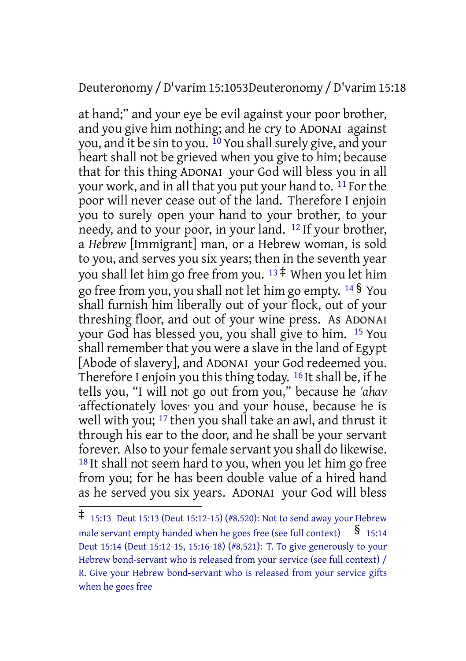Deuteronomy /D'varim 15:1053Deuteronomy /D'varim 15:18

at hand;" and your eye be evil against your poor brother, and you give him nothing; and he cry to ADONAI against you, and it be sin to you. <sup>10</sup> You shall surely give, and your heart shall not be grieved when you give to him; because that for this thing ADONAI your God will bless you in all your work, and in all that you put your hand to. <sup>11</sup> For the poor will never cease out of the land. Therefore I enjoin you to surely open your hand to your brother, to your needy, and to your poor, in your land. 12 If your brother, a *Hebrew* [Immigrant] man, or a Hebrew woman, is sold to you, and serves you six years; then in the seventh year you shall let him go free from you.  $13 \div$  When you let him go free from you, you shall not let him go empty. <sup>14</sup> § You shall furnish him liberally out of your flock, out of your threshing floor, and out of your wine press. As ADONAI your God has blessed you, you shall give to him. 15 You shall remember that you were a slave in the land of Egypt [Abode of slavery], and ADONAI your God redeemed you. Therefore I enjoin you this thing today. 16 It shall be, if he tells you, "I will not go out from you," because he *'ahav* ·affectionately loves· you and your house, because he is well with you; <sup>17</sup> then you shall take an awl, and thrust it through his ear to the door, and he shall be your servant forever. Also to your female servant you shall do likewise. 18 It shall not seem hard to you, when you let him go free from you; for he has been double value of a hired hand as he served you six years. ADONAI your God will bless

<sup>‡</sup> 15:13 Deut 15:13 (Deut 15:12-15) (#8.520): Not to send away your Hebrew male servant empty handed when he goes free (see full context)  $\S$  15:14 Deut 15:14 (Deut 15:12-15, 15:16-18) (#8.521): T. To give generously to your Hebrew bond-servant who is released from your service (see full context) / R. Give your Hebrew bond-servant who is released from your service gifts when he goes free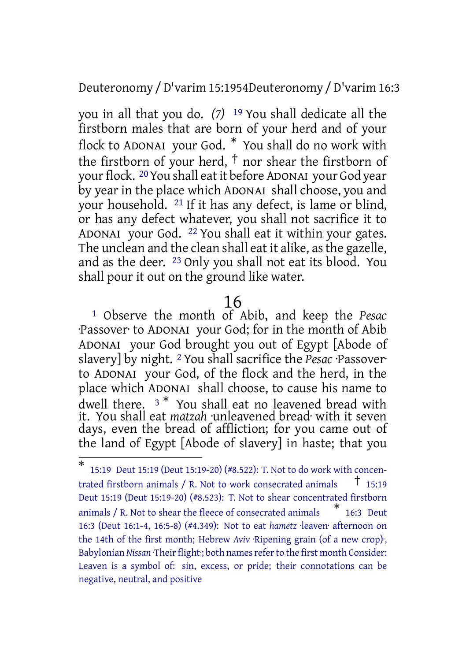Deuteronomy /D'varim 15:1954Deuteronomy /D'varim 16:3

you in all that you do. *(7)* 19 You shall dedicate all the firstborn males that are born of your herd and of your flock to ADONAI your God. \* You shall do no work with the firstborn of your herd, † nor shear the firstborn of your flock. 20You shall eatit before ADONAI your God year by year in the place which ADONAI shall choose, you and your household. 21 If it has any defect, is lame or blind, or has any defect whatever, you shall not sacrifice it to ADONAI your God. 22 You shall eat it within your gates. The unclean and the clean shall eat it alike, as the gazelle, and as the deer. 23 Only you shall not eat its blood. You shall pour it out on the ground like water.

### 16

1 Observe the month of Abib, and keep the *Pesac* ·Passover· to ADONAI your God; for in the month of Abib ADONAI your God brought you out of Egypt [Abode of slavery] by night. 2 You shall sacrifice the *Pesac* ·Passover· to ADONAI your God, of the flock and the herd, in the place which ADONAI shall choose, to cause his name to dwell there. <sup>3\*</sup> You shall eat no leavened bread with it. You shall eat *matzah* ·unleavened bread· with it seven days, even the bread of affliction; for you came out of the land of Egypt [Abode of slavery] in haste; that you

<sup>\*</sup> 15:19 Deut 15:19 (Deut 15:19-20) (#8.522): T. Not to do work with concentrated firstborn animals / R. Not to work consecrated animals  $\frac{1}{1}$  15:19 Deut 15:19 (Deut 15:19-20) (#8.523): T. Not to shear concentrated firstborn animals / R. Not to shear the fleece of consecrated animals \* 16:3 Deut 16:3 (Deut 16:1-4, 16:5-8) (#4.349): Not to eat *hametz* ·leaven· afternoon on the 14th of the first month; Hebrew *Aviv* ·Ripening grain (of a new crop)·, Babylonian *Nissan* ·Their flight; both names refer to the first month Consider: Leaven is a symbol of: sin, excess, or pride; their connotations can be negative, neutral, and positive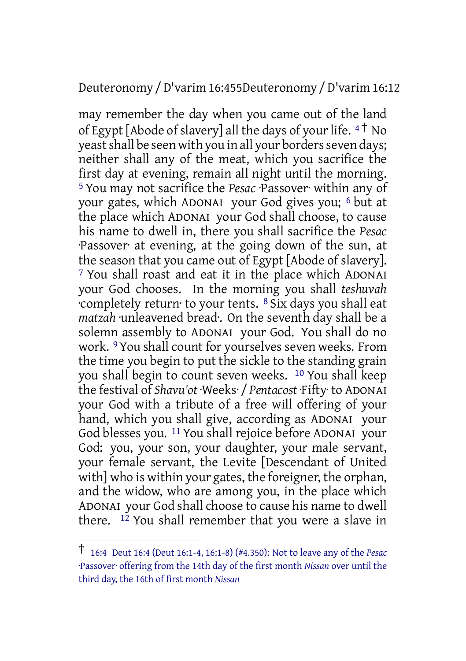#### Deuteronomy /D'varim 16:455Deuteronomy /D'varim 16:12

may remember the day when you came out of the land of Egypt [Abode of slavery] all the days of your life.  $4<sup>†</sup>$  No yeast shall be seen with you in all your borders seven days; neither shall any of the meat, which you sacrifice the first day at evening, remain all night until the morning. 5 You may not sacrifice the *Pesac* ·Passover· within any of your gates, which ADONAI your God gives you; 6 but at the place which ADONAI your God shall choose, to cause his name to dwell in, there you shall sacrifice the *Pesac* ·Passover· at evening, at the going down of the sun, at the season that you came out of Egypt [Abode of slavery]. 7 You shall roast and eat it in the place which ADONAI your God chooses. In the morning you shall *teshuvah* ·completely return· to your tents. 8 Six days you shall eat *matzah* ·unleavened bread·. On the seventh day shall be a solemn assembly to ADONAI your God. You shall do no work. 9 You shall count for yourselves seven weeks. From the time you begin to put the sickle to the standing grain you shall begin to count seven weeks. 10 You shall keep the festival of *Shavu'ot* ·Weeks· / *Pentacost* ·Fifty· to ADONAI your God with a tribute of a free will offering of your hand, which you shall give, according as ADONAI your God blesses you. 11 You shall rejoice before ADONAI your God: you, your son, your daughter, your male servant, your female servant, the Levite [Descendant of United with] who is within your gates, the foreigner, the orphan, and the widow, who are among you, in the place which ADONAI your God shall choose to cause his name to dwell there. 12 You shall remember that you were a slave in

<sup>†</sup> 16:4 Deut 16:4 (Deut 16:1-4, 16:1-8) (#4.350): Not to leave any of the *Pesac* ·Passover· offering from the 14th day of the first month *Nissan* over until the third day, the 16th of first month *Nissan*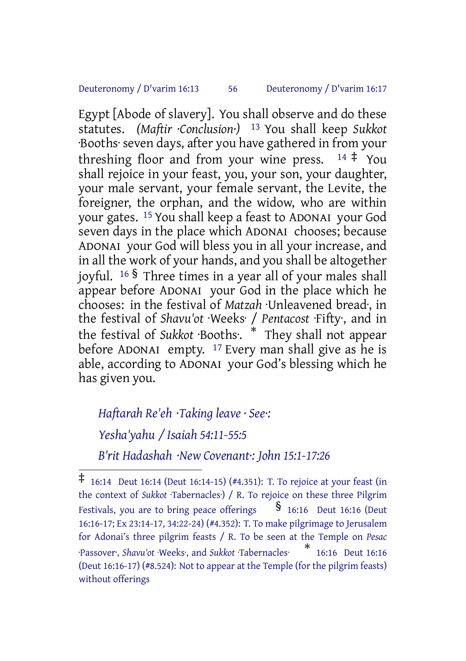#### Deuteronomy / D'varim 16:13 56 Deuteronomy / D'varim 16:17

Egypt [Abode of slavery]. You shall observe and do these statutes. *(Maftir ·Conclusion·)* 13 You shall keep *Sukkot* ·Booths· seven days, after you have gathered in from your threshing floor and from your wine press.  $14 \div \text{You}$ shall rejoice in your feast, you, your son, your daughter, your male servant, your female servant, the Levite, the foreigner, the orphan, and the widow, who are within your gates. 15 You shall keep a feast to ADONAI your God seven days in the place which ADONAI chooses; because ADONAI your God will bless you in all your increase, and in all the work of your hands, and you shall be altogether joyful. <sup>16</sup> § Three times in a year all of your males shall appear before ADONAI your God in the place which he chooses: in the festival of *Matzah* ·Unleavened bread·, in the festival of *Shavu'ot* ·Weeks· / *Pentacost* ·Fifty·, and in the festival of *Sukkot* ·Booths·. \* They shall not appear before ADONAI empty.  $17$  Every man shall give as he is able, according to ADONAI your God's blessing which he has given you.

#### *Haftarah Re'eh ·Taking leave · See·:*

*Yesha'yahu / Isaiah 54:11-55:5*

*B'rit Hadashah ·New Covenant·: John 15:1-17:26*

<sup>‡</sup> 16:14 Deut 16:14 (Deut 16:14-15) (#4.351): T. To rejoice at your feast (in the context of *Sukkot* ·Tabernacles·) / R. To rejoice on these three Pilgrim Festivals, you are to bring peace offerings  $\S$  16:16 Deut 16:16 (Deut 16:16-17; Ex 23:14-17, 34:22-24) (#4.352): T. To make pilgrimage to Jerusalem for Adonai's three pilgrim feasts / R. To be seen at the Temple on *Pesac* ·Passover·, *Shavu'ot* ·Weeks·, and *Sukkot* ·Tabernacles· \* 16:16 Deut 16:16 (Deut 16:16-17) (#8.524): Not to appear at the Temple (for the pilgrim feasts) without offerings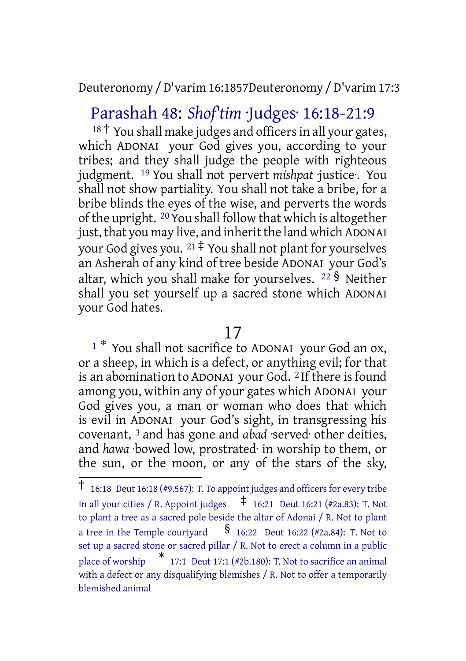Deuteronomy /D'varim 16:1857Deuteronomy /D'varim 17:3

## Parashah 48: *Shof'tim* ·Judges· 16:18-21:9

 $18$ <sup>†</sup> You shall make judges and officers in all your gates, which ADONAI your God gives you, according to your tribes; and they shall judge the people with righteous judgment. 19 You shall not pervert *mishpat* ·justice·. You shall not show partiality. You shall not take a bribe, for a bribe blinds the eyes of the wise, and perverts the words of the upright. 20You shall follow that which is altogether just, that you may live, and inherit the land which ADONAI your God gives you.  $21 \div$  You shall not plant for yourselves an Asherah of any kind of tree beside ADONAI your God's altar, which you shall make for yourselves. <sup>22</sup> § Neither shall you set yourself up a sacred stone which ADONAI your God hates.

### 17

<sup>1</sup> \* You shall not sacrifice to ADONAI your God an ox, or a sheep, in which is a defect, or anything evil; for that is an abomination to ADONAI your God. 2 If there is found among you, within any of your gates which ADONAI your God gives you, a man or woman who does that which is evil in ADONAI your God's sight, in transgressing his covenant, 3 and has gone and *abad* ·served· other deities, and *hawa* ·bowed low, prostrated· in worship to them, or the sun, or the moon, or any of the stars of the sky,

 $\dagger$  16:18 Deut 16:18 (#9.567): T. To appoint judges and officers for every tribe in all your cities / R. Appoint judges  $\overline{f}$  16:21 Deut 16:21 (#2a.83): T. Not to plant a tree as a sacred pole beside the altar of Adonai / R. Not to plant a tree in the Temple courtyard  $\frac{\$}{\$}$  16:22 Deut 16:22 (#2a.84): T. Not to set up a sacred stone or sacred pillar / R. Not to erect a column in a public place of worship  $*$  17:1 Deut 17:1 (#2b.180): T. Not to sacrifice an animal with a defect or any disqualifying blemishes / R. Not to offer a temporarily blemished animal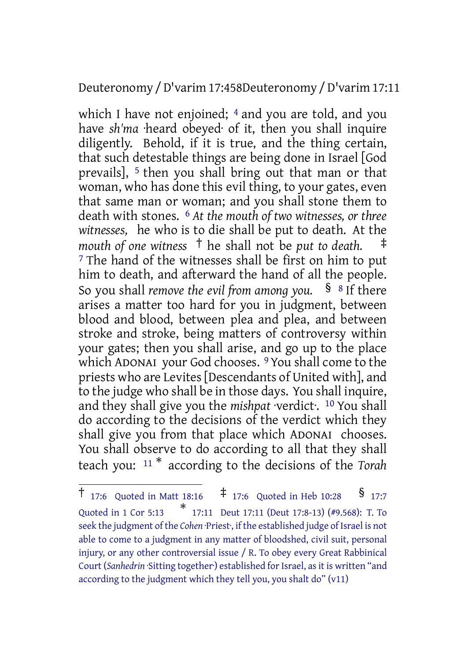### Deuteronomy /D'varim 17:458Deuteronomy /D'varim 17:11

which I have not enjoined; <sup>4</sup> and you are told, and you have *sh'ma* ·heard obeyed· of it, then you shall inquire diligently. Behold, if it is true, and the thing certain, that such detestable things are being done in Israel [God prevails], <sup>5</sup> then you shall bring out that man or that woman, who has done this evil thing, to your gates, even that same man or woman; and you shall stone them to death with stones. 6 *At the mouth of two witnesses, or three witnesses,* he who is to die shall be put to death. At the *mouth of one witness* † he shall not be *put to death.* ‡ <sup>7</sup> The hand of the witnesses shall be first on him to put him to death, and afterward the hand of all the people. So you shall *remove the evil from among you.* § <sup>8</sup> If there arises a matter too hard for you in judgment, between blood and blood, between plea and plea, and between stroke and stroke, being matters of controversy within your gates; then you shall arise, and go up to the place which ADONAI your God chooses. 9 You shall come to the priests who are Levites[Descendants of United with], and to the judge who shall be in those days. You shall inquire, and they shall give you the *mishpat* ·verdict·. 10 You shall do according to the decisions of the verdict which they shall give you from that place which ADONAI chooses. You shall observe to do according to all that they shall teach you: <sup>11</sup> \* according to the decisions of the *Torah*

 $\dagger$  17:6 Quoted in Matt 18:16  $\dagger$  17:6 Quoted in Heb 10:28 § 17:7 Quoted in 1 Cor 5:13 \* 17:11 Deut 17:11 (Deut 17:8-13) (#9.568): T. To seek the judgment of the *Cohen* ·Priest<sup>.</sup>, if the established judge of Israel is not able to come to a judgment in any matter of bloodshed, civil suit, personal injury, or any other controversial issue / R. To obey every Great Rabbinical Court (*Sanhedrin* · Sitting together·) established for Israel, as it is written "and according to the judgment which they tell you, you shalt do" (v11)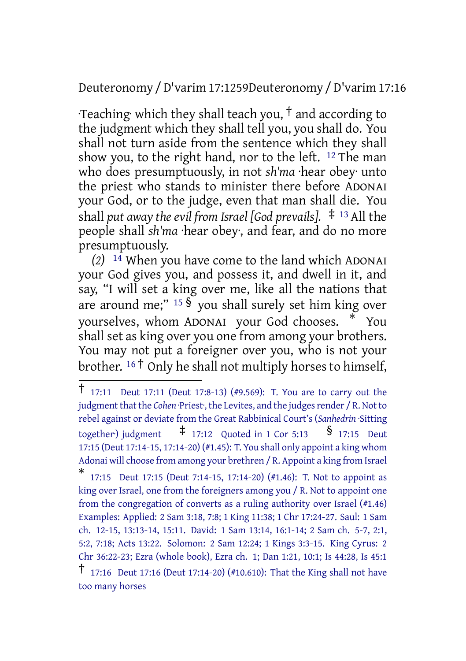### Deuteronomy /D'varim 17:1259Deuteronomy /D'varim 17:16

Teaching which they shall teach you,  $\dagger$  and according to the judgment which they shall tell you, you shall do. You shall not turn aside from the sentence which they shall show you, to the right hand, nor to the left.  $12$  The man who does presumptuously, in not *sh'ma* ·hear obey· unto the priest who stands to minister there before ADONAI your God, or to the judge, even that man shall die. You shall *put away the evil from Israel [God prevails].* ‡ <sup>13</sup> All the people shall *sh'ma* ·hear obey·, and fear, and do no more presumptuously.

*(2)* 14 When you have come to the land which ADONAI your God gives you, and possess it, and dwell in it, and say, "I will set a king over me, like all the nations that are around me;"  $15 \frac{\text{S}}{\text{S}}$  you shall surely set him king over yourselves, whom ADONAI your God chooses. \* You shall set as king over you one from among your brothers. You may not put a foreigner over you, who is not your brother. <sup>16</sup> † Only he shall not multiply horses to himself,

<sup>†</sup> 17:11 Deut 17:11 (Deut 17:8-13) (#9.569): T. You are to carry out the judgment that the *Cohen* ·Priest<sup>.</sup>, the Levites, and the judges render / R. Not to rebel against or deviate from the Great Rabbinical Court's (*Sanhedrin* ·Sitting together) judgment  $\qquad \qquad \dagger$  17:12 Quoted in 1 Cor 5:13  $\qquad \qquad$  § 17:15 Deut 17:15 (Deut 17:14-15, 17:14-20) (#1.45): T. You shall only appoint a king whom Adonai will choose from among your brethren / R. Appoint a king from Israel

<sup>\*</sup> 17:15 Deut 17:15 (Deut 7:14-15, 17:14-20) (#1.46): T. Not to appoint as king over Israel, one from the foreigners among you / R. Not to appoint one from the congregation of converts as a ruling authority over Israel (#1.46) Examples: Applied: 2 Sam 3:18, 7:8; 1 King 11:38; 1 Chr 17:24-27. Saul: 1 Sam ch. 12-15, 13:13-14, 15:11. David: 1 Sam 13:14, 16:1-14; 2 Sam ch. 5-7, 2:1, 5:2, 7:18; Acts 13:22. Solomon: 2 Sam 12:24; 1 Kings 3:3-15. King Cyrus: 2 Chr 36:22-23; Ezra (whole book), Ezra ch. 1; Dan 1:21, 10:1; Is 44:28, Is 45:1

<sup>†</sup> 17:16 Deut 17:16 (Deut 17:14-20) (#10.610): That the King shall not have too many horses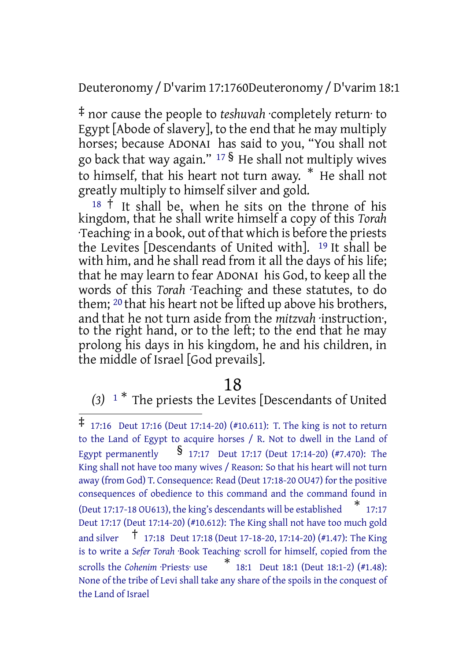Deuteronomy /D'varim 17:1760Deuteronomy /D'varim 18:1

‡ nor cause the people to *teshuvah* ·completely return· to Egypt [Abode of slavery], to the end that he may multiply horses; because ADONAI has said to you, "You shall not go back that way again." <sup>17</sup> § He shall not multiply wives to himself, that his heart not turn away. \* He shall not greatly multiply to himself silver and gold.

<sup>18</sup> <sup>†</sup> It shall be, when he sits on the throne of his kingdom, that he shall write himself a copy of this *Torah* ·Teaching· in a book, out of that which is before the priests the Levites [Descendants of United with]. 19 It shall be with him, and he shall read from it all the days of his life; that he may learn to fear ADONAI his God, to keep all the words of this *Torah* ·Teaching· and these statutes, to do them; 20 that his heart not be lifted up above his brothers, and that he not turn aside from the *mitzvah* ·instruction·, to the right hand, or to the left; to the end that he may prolong his days in his kingdom, he and his children, in the middle of Israel [God prevails].

### 18

# *(3)* <sup>1</sup> \* The priests the Levites [Descendants of United

<sup>‡</sup> 17:16 Deut 17:16 (Deut 17:14-20) (#10.611): T. The king is not to return to the Land of Egypt to acquire horses / R. Not to dwell in the Land of Egypt permanently  $\frac{1}{2}$  17:17 Deut 17:17 (Deut 17:14-20) (#7.470): The King shall not have too many wives / Reason: So that his heart will not turn away (from God) T. Consequence: Read (Deut 17:18-20 OU47) for the positive consequences of obedience to this command and the command found in (Deut 17:17-18 OU613), the king's descendants will be established \* 17:17 Deut 17:17 (Deut 17:14-20) (#10.612): The King shall not have too much gold and silver † 17:18 Deut 17:18 (Deut 17-18-20, 17:14-20) (#1.47): The King is to write a *Sefer Torah* ·Book Teaching· scroll for himself, copied from the scrolls the *Cohenim* ·Priests· use \* 18:1 Deut 18:1 (Deut 18:1-2) (#1.48): None of the tribe of Levi shall take any share of the spoils in the conquest of the Land of Israel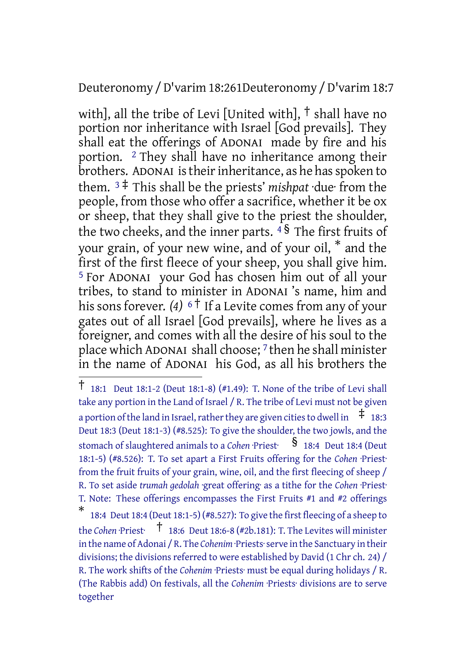#### Deuteronomy /D'varim 18:261Deuteronomy /D'varim 18:7

with], all the tribe of Levi [United with], † shall have no portion nor inheritance with Israel [God prevails]. They shall eat the offerings of ADONAI made by fire and his portion. 2 They shall have no inheritance among their brothers. ADONAI is their inheritance, as he has spoken to them. <sup>3</sup> ‡ This shall be the priests' *mishpat* ·due· from the people, from those who offer a sacrifice, whether it be ox or sheep, that they shall give to the priest the shoulder, the two cheeks, and the inner parts.  $4\frac{1}{3}$  The first fruits of your grain, of your new wine, and of your oil, \* and the first of the first fleece of your sheep, you shall give him. 5 For ADONAI your God has chosen him out of all your tribes, to stand to minister in ADONAI 's name, him and his sons forever. *(4)* <sup>6†</sup> If a Levite comes from any of your gates out of all Israel [God prevails], where he lives as a foreigner, and comes with all the desire of his soul to the place which ADONAI shall choose; 7 then he shall minister in the name of ADONAI his God, as all his brothers the

<sup>†</sup> 18:1 Deut 18:1-2 (Deut 18:1-8) (#1.49): T. None of the tribe of Levi shall take any portion in the Land of Israel / R. The tribe of Levi must not be given a portion of the land in Israel, rather they are given cities to dwell in  $\pm$  18:3 Deut 18:3 (Deut 18:1-3) (#8.525): To give the shoulder, the two jowls, and the stomach of slaughtered animals to a *Cohen* ·Priest·  $\S$  18:4 Deut 18:4 (Deut 18:1-5) (#8.526): T. To set apart a First Fruits offering for the *Cohen* ·Priest· from the fruit fruits of your grain, wine, oil, and the first fleecing of sheep / R. To set aside *trumah gedolah* ·great offering· as a tithe for the *Cohen* ·Priest· T. Note: These offerings encompasses the First Fruits #1 and #2 offerings \* 18:4 Deut 18:4 (Deut 18:1-5) (#8.527): To give the first fleecing of a sheep to

the *Cohen* ·Priest· † 18:6 Deut 18:6-8 (#2b.181): T. The Levites will minister in the name of Adonai / R. The *Cohenim* ·Priests·serve in the Sanctuary in their divisions; the divisions referred to were established by David (1 Chr ch. 24) / R. The work shifts of the *Cohenim* ·Priests· must be equal during holidays / R. (The Rabbis add) On festivals, all the *Cohenim* ·Priests· divisions are to serve together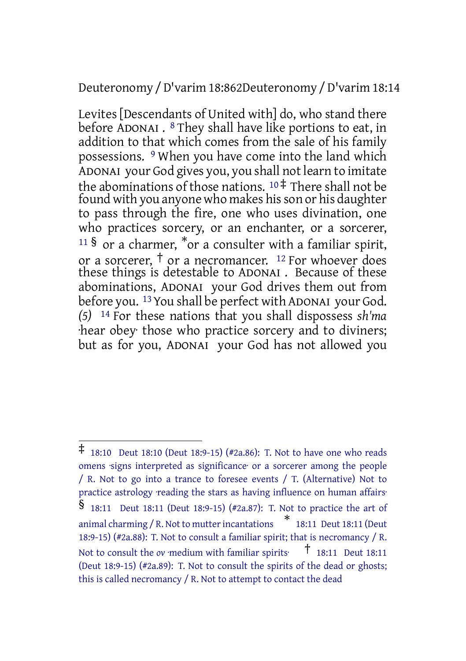Deuteronomy /D'varim 18:862Deuteronomy /D'varim 18:14

Levites [Descendants of United with] do, who stand there before ADONAI . 8 They shall have like portions to eat, in addition to that which comes from the sale of his family possessions. 9 When you have come into the land which ADONAI your God gives you, you shall not learn to imitate the abominations of those nations. <sup>10</sup> ‡ There shall not be found with you anyone who makes his son or his daughter to pass through the fire, one who uses divination, one who practices sorcery, or an enchanter, or a sorcerer,  $11\,$ § or a charmer,  $*$ or a consulter with a familiar spirit, or a sorcerer, † or a necromancer. <sup>12</sup> For whoever does these things is detestable to ADONAI . Because of these abominations, ADONAI your God drives them out from before you. <sup>13</sup> You shall be perfect with ADONAI your God. *(5)* 14 For these nations that you shall dispossess *sh'ma* ·hear obey· those who practice sorcery and to diviners; but as for you, ADONAI your God has not allowed you

<sup>‡</sup> 18:10 Deut 18:10 (Deut 18:9-15) (#2a.86): T. Not to have one who reads omens ·signs interpreted as significance· or a sorcerer among the people / R. Not to go into a trance to foresee events / T. (Alternative) Not to practice astrology ·reading the stars as having influence on human affairs· § 18:11 Deut 18:11 (Deut 18:9-15) (#2a.87): T. Not to practice the art of animal charming / R. Not to mutterincantations \* 18:11 Deut 18:11 (Deut 18:9-15) (#2a.88): T. Not to consult a familiar spirit; that is necromancy / R. Not to consult the *ov* ·medium with familiar spirits·  $\uparrow$  18:11 Deut 18:11 (Deut 18:9-15) (#2a.89): T. Not to consult the spirits of the dead or ghosts; this is called necromancy / R. Not to attempt to contact the dead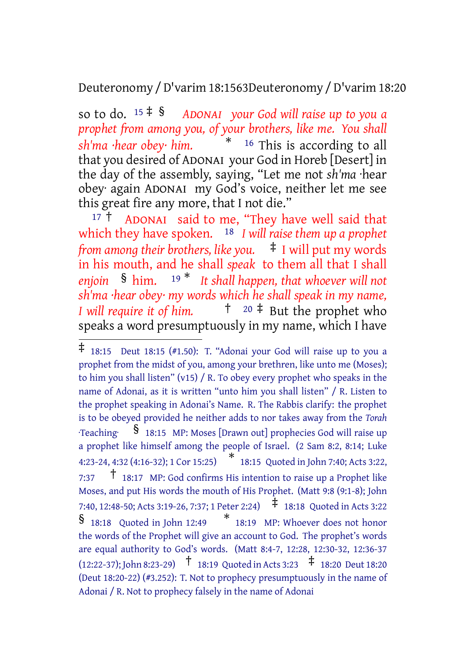Deuteronomy /D'varim 18:1563Deuteronomy /D'varim 18:20

so to do. <sup>15</sup> ‡ § *ADONAI your God will raise up to you a prophet from among you, of your brothers, like me. You shall sh'ma ·hear obey· him.* \* <sup>16</sup> This is according to all that you desired of ADONAI your God in Horeb [Desert] in the day of the assembly, saying, "Let me not *sh'ma* ·hear obey· again ADONAI my God's voice, neither let me see this great fire any more, that I not die."

 $17 \text{ t}$  ADONAI said to me, "They have well said that which they have spoken. 18 *I will raise them up a prophet from among their brothers, like you.* ‡ I will put my words in his mouth, and he shall *speak* to them all that I shall *enjoin* § him. <sup>19</sup> \* *It shall happen, that whoever will not sh'ma ·hear obey· my words which he shall speak in my name, I will require it of him.* † <sup>20</sup> ‡ But the prophet who speaks a word presumptuously in my name, which I have

<sup>‡</sup> 18:15 Deut 18:15 (#1.50): T. "Adonai your God will raise up to you <sup>a</sup> prophet from the midst of you, among your brethren, like unto me (Moses); to him you shall listen" (v15) / R. To obey every prophet who speaks in the name of Adonai, as it is written "unto him you shall listen" / R. Listen to the prophet speaking in Adonai's Name. R. The Rabbis clarify: the prophet is to be obeyed provided he neither adds to nor takes away from the *Torah* ·Teaching· § 18:15 MP: Moses [Drawn out] prophecies God will raise up a prophet like himself among the people of Israel. (2 Sam 8:2, 8:14; Luke 4:23-24, 4:32 (4:16-32); <sup>1</sup> Cor 15:25) \* 18:15 Quoted in John 7:40; Acts 3:22, 7:37 † 18:17 MP: God confirms His intention to raise up <sup>a</sup> Prophet like Moses, and put His words the mouth of His Prophet. (Matt 9:8 (9:1-8); John 7:40, 12:48-50; Acts 3:19-26, 7:37; <sup>1</sup> Peter 2:24) ‡ 18:18 Quoted in Acts 3:22 § 18:18 Quoted in John 12:49 \* 18:19 MP: Whoever does not honor the words of the Prophet will give an account to God. The prophet's words are equal authority to God's words. (Matt 8:4-7, 12:28, 12:30-32, 12:36-37  $(12:22-37)$ ; John 8:23-29)  $\uparrow$  18:19 Quoted in Acts 3:23  $\uparrow$  18:20 Deut 18:20 (Deut 18:20-22) (#3.252): T. Not to prophecy presumptuously in the name of Adonai / R. Not to prophecy falsely in the name of Adonai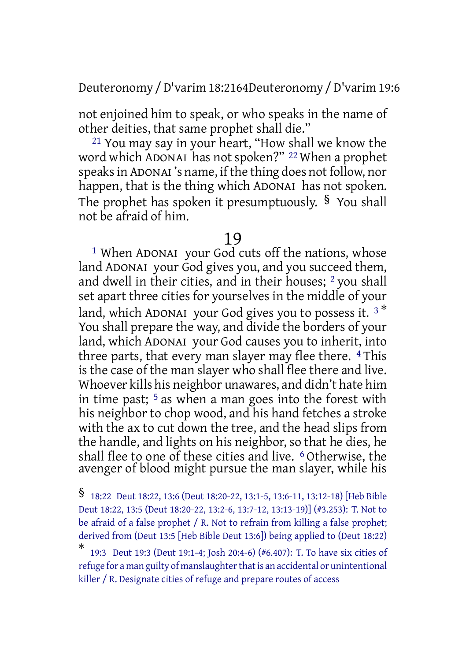Deuteronomy /D'varim 18:2164Deuteronomy /D'varim 19:6

not enjoined him to speak, or who speaks in the name of other deities, that same prophet shall die."

21 You may say in your heart, "How shall we know the word which ADONAI has not spoken?" 22 When a prophet speaks in ADONAI's name, if the thing does not follow, nor happen, that is the thing which ADONAI has not spoken. The prophet has spoken it presumptuously. § You shall not be afraid of him.

### 19

<sup>1</sup> When ADONAI your God cuts off the nations, whose land ADONAI your God gives you, and you succeed them, and dwell in their cities, and in their houses; <sup>2</sup> you shall set apart three cities for yourselves in the middle of your land, which ADONAI your God gives you to possess it.  $3^*$ You shall prepare the way, and divide the borders of your land, which ADONAI your God causes you to inherit, into three parts, that every man slayer may flee there. <sup>4</sup> This is the case of the man slayer who shall flee there and live. Whoever kills his neighbor unawares, and didn't hate him in time past;  $5$  as when a man goes into the forest with his neighbor to chop wood, and his hand fetches a stroke with the ax to cut down the tree, and the head slips from the handle, and lights on his neighbor, so that he dies, he shall flee to one of these cities and live. 6 Otherwise, the avenger of blood might pursue the man slayer, while his

<sup>§</sup> 18:22 Deut 18:22, 13:6 (Deut 18:20-22, 13:1-5, 13:6-11, 13:12-18) [Heb Bible Deut 18:22, 13:5 (Deut 18:20-22, 13:2-6, 13:7-12, 13:13-19)] (#3.253): T. Not to be afraid of a false prophet / R. Not to refrain from killing a false prophet; derived from (Deut 13:5 [Heb Bible Deut 13:6]) being applied to (Deut 18:22)

<sup>\*</sup> 19:3 Deut 19:3 (Deut 19:1-4; Josh 20:4-6) (#6.407): T. To have six cities of refuge for a man guilty of manslaughter that is an accidental or unintentional killer / R. Designate cities of refuge and prepare routes of access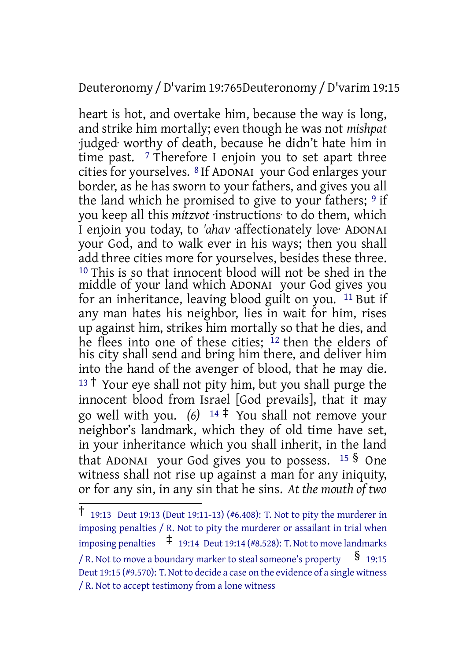### Deuteronomy /D'varim 19:765Deuteronomy /D'varim 19:15

heart is hot, and overtake him, because the way is long, and strike him mortally; even though he was not *mishpat* ·judged· worthy of death, because he didn't hate him in time past. <sup>7</sup> Therefore I enjoin you to set apart three cities for yourselves. 8 If ADONAI your God enlarges your border, as he has sworn to your fathers, and gives you all the land which he promised to give to your fathers;  $9$  if you keep all this *mitzvot* ·instructions· to do them, which I enjoin you today, to *'ahav* ·affectionately love· ADONAI your God, and to walk ever in his ways; then you shall add three cities more for yourselves, besides these three. 10 This is so that innocent blood will not be shed in the middle of your land which ADONAI your God gives you for an inheritance, leaving blood guilt on you. 11 But if any man hates his neighbor, lies in wait for him, rises up against him, strikes him mortally so that he dies, and he flees into one of these cities; <sup>12</sup> then the elders of his city shall send and bring him there, and deliver him into the hand of the avenger of blood, that he may die.  $13 \dagger$  Your eye shall not pity him, but you shall purge the innocent blood from Israel [God prevails], that it may go well with you. *(6)* <sup>14</sup> ‡ You shall not remove your neighbor's landmark, which they of old time have set, in your inheritance which you shall inherit, in the land that ADONAI your God gives you to possess.  $15 \text{ S}$  One witness shall not rise up against a man for any iniquity, or for any sin, in any sin that he sins. *At the mouth of two*

<sup>†</sup> 19:13 Deut 19:13 (Deut 19:11-13) (#6.408): T. Not to pity the murderer in imposing penalties / R. Not to pity the murderer or assailant in trial when imposing penalties  $\uparrow$  19:14 Deut 19:14 (#8.528): T. Not to move landmarks / R. Not to move a boundary marker to steal someone's property  $\S$  19:15 Deut 19:15 (#9.570): T. Not to decide a case on the evidence of a single witness / R. Not to accept testimony from a lone witness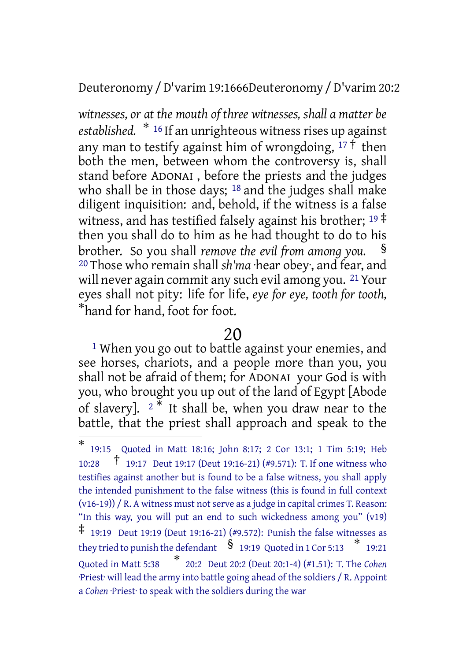Deuteronomy /D'varim 19:1666Deuteronomy /D'varim 20:2

*witnesses, or at the mouth of three witnesses, shall a matter be* established.  $*$ <sup>16</sup> If an unrighteous witness rises up against any man to testify against him of wrongdoing,  $17 \text{ } \bar{1}$  then both the men, between whom the controversy is, shall stand before ADONAI , before the priests and the judges who shall be in those days; <sup>18</sup> and the judges shall make diligent inquisition: and, behold, if the witness is a false witness, and has testified falsely against his brother;  $19 \div 19$ then you shall do to him as he had thought to do to his brother. So you shall *remove the evil from among you.* § 20 Those who remain shall *sh'ma* ·hear obey·, and fear, and will never again commit any such evil among you. <sup>21</sup> Your eyes shall not pity: life for life, *eye for eye, tooth for tooth,* \*hand for hand, foot for foot.

### 20

<sup>1</sup> When you go out to battle against your enemies, and see horses, chariots, and a people more than you, you shall not be afraid of them; for ADONAI your God is with you, who brought you up out of the land of Egypt [Abode of slavery].  $2 *$  It shall be, when you draw near to the battle, that the priest shall approach and speak to the

<sup>\*</sup> 19:15 Quoted in Matt 18:16; John 8:17; 2 Cor 13:1; 1 Tim 5:19; Heb 10:28 † 19:17 Deut 19:17 (Deut 19:16-21) (#9.571): T. If one witness who testifies against another but is found to be a false witness, you shall apply the intended punishment to the false witness (this is found in full context (v16-19)) / R. A witness must not serve as a judge in capital crimes T. Reason: "In this way, you will put an end to such wickedness among you" (v19) ‡ 19:19 Deut 19:19 (Deut 19:16-21) (#9.572): Punish the false witnesses as they tried to punish the defendant  $\quad \ \ \}$  19:19 Quoted in 1 Cor 5:13  $\quad \ \ \ast$  19:21 Quoted in Matt 5:38 \* 20:2 Deut 20:2 (Deut 20:1-4) (#1.51): T. The *Cohen* ·Priest· will lead the army into battle going ahead of the soldiers / R. Appoint a *Cohen* ·Priest· to speak with the soldiers during the war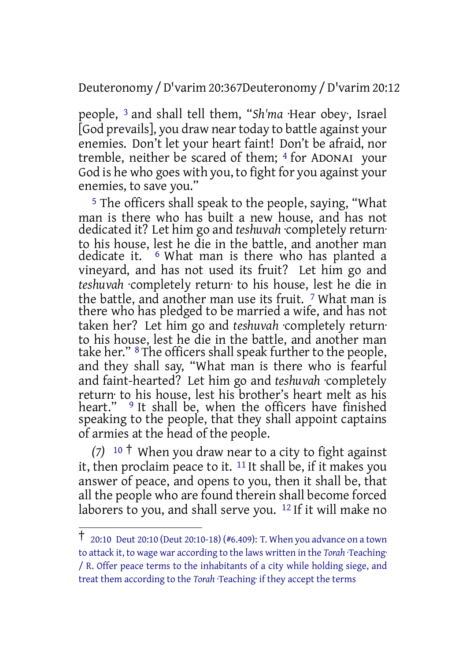Deuteronomy /D'varim 20:367Deuteronomy /D'varim 20:12

people, 3 and shall tell them, "*Sh'ma* ·Hear obey·, Israel [God prevails], you draw neartoday to battle against your enemies. Don't let your heart faint! Don't be afraid, nor tremble, neither be scared of them; 4 for ADONAI your God is he who goes with you, to fight for you against your enemies, to save you."

5 The officers shall speak to the people, saying, "What man is there who has built a new house, and has not dedicated it? Let him go and *teshuvah* ·completely return· to his house, lest he die in the battle, and another man dedicate it. 6 What man is there who has planted a vineyard, and has not used its fruit? Let him go and *teshuvah* ·completely return· to his house, lest he die in the battle, and another man use its fruit. <sup>7</sup> What man is there who has pledged to be married a wife, and has not taken her? Let him go and *teshuvah* ·completely return· to his house, lest he die in the battle, and another man take her." 8 The officers shall speak further to the people, and they shall say, "What man is there who is fearful and faint-hearted? Let him go and *teshuvah* ·completely return· to his house, lest his brother's heart melt as his heart." <sup>9</sup> It shall be, when the officers have finished speaking to the people, that they shall appoint captains of armies at the head of the people.

*(7)* <sup>10</sup> † When you draw near to a city to fight against it, then proclaim peace to it. <sup>11</sup> It shall be, if it makes you answer of peace, and opens to you, then it shall be, that all the people who are found therein shall become forced laborers to you, and shall serve you.  $12$  If it will make no

<sup>†</sup> 20:10 Deut 20:10 (Deut 20:10-18) (#6.409): T. When you advance on <sup>a</sup> town to attack it, to wage war according to the laws written in the *Torah* ·Teaching· / R. Offer peace terms to the inhabitants of a city while holding siege, and treat them according to the *Torah* ·Teaching· if they accept the terms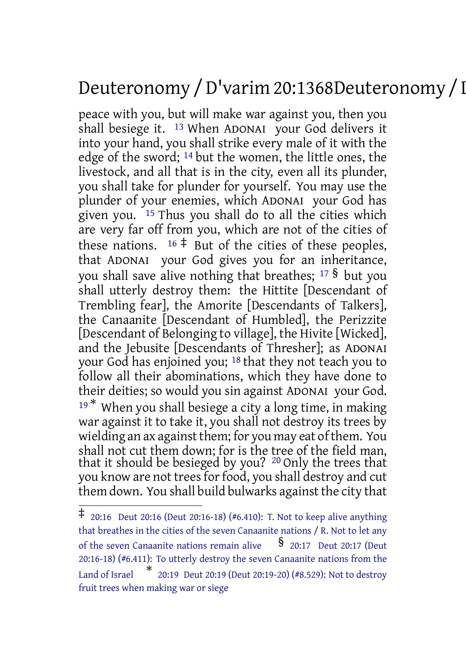# Deuteronomy /D'varim 20:1368Deuteronomy /D'varim 20:20

peace with you, but will make war against you, then you shall besiege it.  $13$  When ADONAI your God delivers it into your hand, you shall strike every male of it with the edge of the sword; 14 but the women, the little ones, the livestock, and all that is in the city, even all its plunder, you shall take for plunder for yourself. You may use the plunder of your enemies, which ADONAI your God has given you. 15 Thus you shall do to all the cities which are very far off from you, which are not of the cities of these nations.  $16 \div$  But of the cities of these peoples, that ADONAI your God gives you for an inheritance, you shall save alive nothing that breathes;  $17\frac{S}{S}$  but you shall utterly destroy them: the Hittite [Descendant of Trembling fear], the Amorite [Descendants of Talkers], the Canaanite [Descendant of Humbled], the Perizzite [Descendant of Belonging to village], the Hivite [Wicked], and the Jebusite [Descendants of Thresher]; as ADONAI your God has enjoined you; 18 that they not teach you to follow all their abominations, which they have done to their deities; so would you sin against ADONAI your God.  $19*$  When you shall besiege a city a long time, in making war against it to take it, you shall not destroy its trees by wielding an ax against them; for you may eat of them. You shall not cut them down; for is the tree of the field man, that it should be besieged by you? 20 Only the trees that you know are not trees for food, you shall destroy and cut them down. You shall build bulwarks against the city that

<sup>‡</sup> 20:16 Deut 20:16 (Deut 20:16-18) (#6.410): T. Not to keep alive anything that breathes in the cities of the seven Canaanite nations / R. Not to let any of the seven Canaanite nations remain alive  $\frac{1}{8}$  20:17 Deut 20:17 (Deut 20:16-18) (#6.411): To utterly destroy the seven Canaanite nations from the Land of Israel \* 20:19 Deut 20:19 (Deut 20:19-20) (#8.529): Not to destroy fruit trees when making war or siege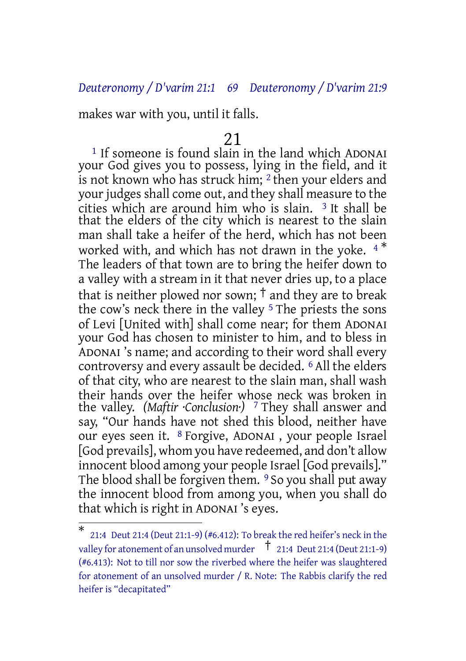#### *Deuteronomy / D'varim 21:1 69 Deuteronomy / D'varim 21:9*

makes war with you, until it falls.

#### 21

 $<sup>1</sup>$  If someone is found slain in the land which ADONAI</sup> your God gives you to possess, lying in the field, and it is not known who has struck him; 2 then your elders and your judges shall come out, and they shall measure to the cities which are around him who is slain. 3 It shall be that the elders of the city which is nearest to the slain man shall take a heifer of the herd, which has not been worked with, and which has not drawn in the yoke.  $4*$ The leaders of that town are to bring the heifer down to a valley with a stream in it that never dries up, to a place that is neither plowed nor sown;  $\dagger$  and they are to break the cow's neck there in the valley <sup>5</sup> The priests the sons of Levi [United with] shall come near; for them ADONAI your God has chosen to minister to him, and to bless in ADONAI 's name; and according to their word shall every controversy and every assault be decided. <sup>6</sup> All the elders of that city, who are nearest to the slain man, shall wash their hands over the heifer whose neck was broken in the valley. *(Maftir ·Conclusion·)* 7 They shall answer and say, "Our hands have not shed this blood, neither have our eyes seen it. 8 Forgive, ADONAI , your people Israel [God prevails], whom you have redeemed, and don't allow innocent blood among your people Israel [God prevails]." The blood shall be forgiven them. <sup>9</sup> So you shall put away the innocent blood from among you, when you shall do that which is right in ADONAI 's eyes.

<sup>\*</sup> 21:4 Deut 21:4 (Deut 21:1-9) (#6.412): To break the red heifer's neck in the valley for atonement of an unsolved murder  $\overline{1}$  21:4 Deut 21:4 (Deut 21:1-9) (#6.413): Not to till nor sow the riverbed where the heifer was slaughtered for atonement of an unsolved murder / R. Note: The Rabbis clarify the red heifer is "decapitated"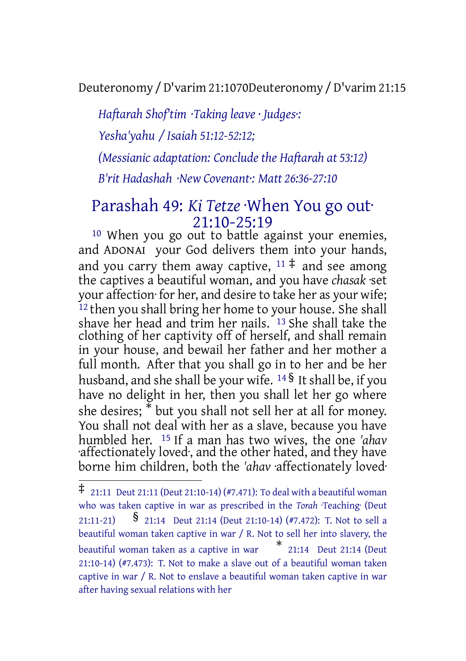Deuteronomy /D'varim 21:1070Deuteronomy /D'varim 21:15

*Haftarah Shof'tim ·Taking leave · Judges·: Yesha'yahu / Isaiah 51:12-52:12; (Messianic adaptation: Conclude the Haftarah at 53:12) B'rit Hadashah ·New Covenant·: Matt 26:36-27:10*

## Parashah 49: *Ki Tetze* ·When You go out· 21:10-25:19

<sup>10</sup> When you go out to battle against your enemies, and ADONAI your God delivers them into your hands, and you carry them away captive,  $11 \neq 1$  and see among the captives a beautiful woman, and you have *chasak* ·set your affection· for her, and desire to take her as your wife; <sup>12</sup> then you shall bring her home to your house. She shall shave her head and trim her nails. 13 She shall take the clothing of her captivity off of herself, and shall remain in your house, and bewail her father and her mother a full month. After that you shall go in to her and be her husband, and she shall be your wife. <sup>14</sup> § It shall be, if you have no delight in her, then you shall let her go where she desires; \* but you shall not sell her at all for money. You shall not deal with her as a slave, because you have humbled her. 15 If a man has two wives, the one *'ahav* ·affectionately loved·, and the other hated, and they have borne him children, both the *'ahav* ·affectionately loved·

 $\ddagger$  21:11 Deut 21:11 (Deut 21:10-14) (#7.471): To deal with a beautiful woman who was taken captive in war as prescribed in the *Torah* ·Teaching· (Deut 21:11-21) **§** 21:14 Deut 21:14 (Deut 21:10-14) (#7.472): T. Not to sell a beautiful woman taken captive in war / R. Not to sell her into slavery, the beautiful woman taken as <sup>a</sup> captive in war \* 21:14 Deut 21:14 (Deut 21:10-14) (#7.473): T. Not to make a slave out of a beautiful woman taken captive in war / R. Not to enslave a beautiful woman taken captive in war after having sexual relations with her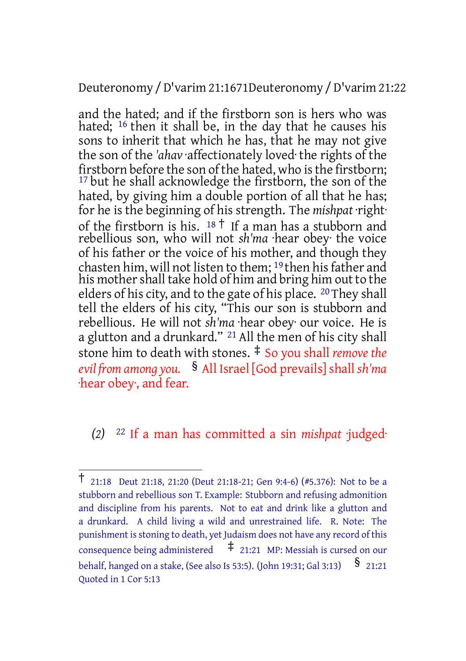Deuteronomy /D'varim 21:1671Deuteronomy /D'varim 21:22

and the hated; and if the firstborn son is hers who was hated; 16 then it shall be, in the day that he causes his sons to inherit that which he has, that he may not give the son of the *'ahav* ·affectionately loved· the rights of the firstborn before the son of the hated, who is the firstborn; <sup>17</sup> but he shall acknowledge the firstborn, the son of the hated, by giving him a double portion of all that he has; for he is the beginning of his strength. The *mishpat* ·right· of the firstborn is his.  $18 \dagger$  If a man has a stubborn and rebellious son, who will not *sh'ma* ·hear obey· the voice of his father or the voice of his mother, and though they chasten him, will not listen to them;  $^{19}$  then his father and his mother shall take hold of him and bring him out to the elders of his city, and to the gate of his place. <sup>20</sup> They shall tell the elders of his city, "This our son is stubborn and rebellious. He will not *sh'ma* ·hear obey· our voice. He is a glutton and a drunkard."<sup>21</sup> All the men of his city shall stone him to death with stones. ‡ So you shall *remove the evil from among you.* § All Israel [God prevails]shall *sh'ma* ·hear obey·, and fear.

*(2)* 22 If a man has committed a sin *mishpat* ·judged·

<sup>†</sup> 21:18 Deut 21:18, 21:20 (Deut 21:18-21; Gen 9:4-6) (#5.376): Not to be <sup>a</sup> stubborn and rebellious son T. Example: Stubborn and refusing admonition and discipline from his parents. Not to eat and drink like a glutton and a drunkard. A child living a wild and unrestrained life. R. Note: The punishment is stoning to death, yet Judaism does not have any record of this  $\frac{1}{2}$  consequence being administered  $\frac{1}{2}$  21:21 MP: Messiah is cursed on our behalf, hanged on a stake, (See also Is 53:5). (John 19:31; Gal 3:13)  $\frac{\$}{\$}$  21:21 Quoted in 1 Cor 5:13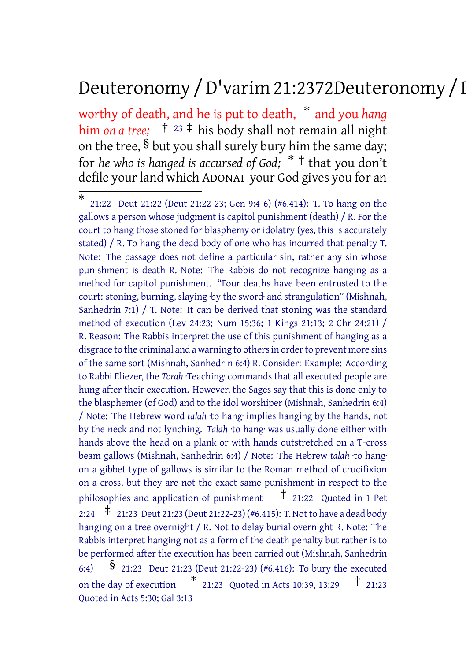# Deuteronomy /D'varim 21:2372Deuteronomy /D'varim 21:23

worthy of death, and he is put to death, \* and you *hang* him *on a tree*;  $\uparrow$  <sup>23</sup>  $\uparrow$  his body shall not remain all night on the tree, § but you shall surely bury him the same day; for *he who is hanged is accursed of God;* \* † that you don't defile your land which ADONAI your God gives you for an

<sup>\*</sup> 21:22 Deut 21:22 (Deut 21:22-23; Gen 9:4-6) (#6.414): T. To hang on the gallows a person whose judgment is capitol punishment (death) / R. For the court to hang those stoned for blasphemy or idolatry (yes, this is accurately stated) / R. To hang the dead body of one who has incurred that penalty T. Note: The passage does not define a particular sin, rather any sin whose punishment is death R. Note: The Rabbis do not recognize hanging as a method for capitol punishment. "Four deaths have been entrusted to the court: stoning, burning, slaying ·by the sword· and strangulation" (Mishnah, Sanhedrin 7:1) / T. Note: It can be derived that stoning was the standard method of execution (Lev 24:23; Num 15:36; 1 Kings 21:13; 2 Chr 24:21) / R. Reason: The Rabbis interpret the use of this punishment of hanging as a disgrace to the criminal and a warning to others in order to prevent more sins of the same sort (Mishnah, Sanhedrin 6:4) R. Consider: Example: According to Rabbi Eliezer, the *Torah* ·Teaching· commands that all executed people are hung after their execution. However, the Sages say that this is done only to the blasphemer (of God) and to the idol worshiper (Mishnah, Sanhedrin 6:4) / Note: The Hebrew word *talah* ·to hang· implies hanging by the hands, not by the neck and not lynching. *Talah* ·to hang· was usually done either with hands above the head on a plank or with hands outstretched on a T-cross beam gallows (Mishnah, Sanhedrin 6:4) / Note: The Hebrew *talah* ·to hang· on a gibbet type of gallows is similar to the Roman method of crucifixion on a cross, but they are not the exact same punishment in respect to the philosophies and application of punishment † 21:22 Quoted in <sup>1</sup> Pet 2:24  $\pm$  21:23 Deut 21:23 (Deut 21:22-23) (#6.415): T. Not to have a dead body hanging on a tree overnight / R. Not to delay burial overnight R. Note: The Rabbis interpret hanging not as a form of the death penalty but rather is to be performed after the execution has been carried out (Mishnah, Sanhedrin 6:4) § 21:23 Deut 21:23 (Deut 21:22-23) (#6.416): To bury the executed on the day of execution \* 21:23 Quoted in Acts 10:39, 13:29 † 21:23 Quoted in Acts 5:30; Gal 3:13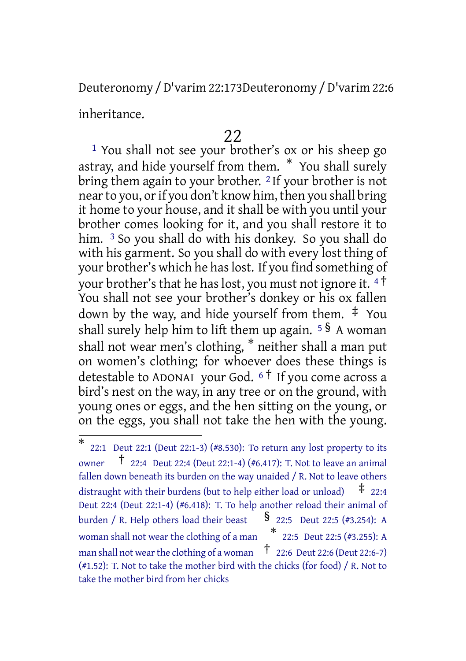Deuteronomy /D'varim 22:173Deuteronomy /D'varim 22:6

inheritance.

# 22

1 You shall not see your brother's ox or his sheep go astray, and hide yourself from them. \* You shall surely bring them again to your brother. 2 If your brother is not near to you, or if you don't know him, then you shall bring it home to your house, and it shall be with you until your brother comes looking for it, and you shall restore it to him. <sup>3</sup> So you shall do with his donkey. So you shall do with his garment. So you shall do with every lost thing of your brother's which he haslost. If you find something of your brother's that he has lost, you must not ignore it. <sup>4</sup> † You shall not see your brother's donkey or his ox fallen down by the way, and hide yourself from them. ‡ You shall surely help him to lift them up again. <sup>5</sup> § A woman shall not wear men's clothing, \* neither shall a man put on women's clothing; for whoever does these things is detestable to ADONAI your God.  $6\dot{+}$  If you come across a bird's nest on the way, in any tree or on the ground, with young ones or eggs, and the hen sitting on the young, or on the eggs, you shall not take the hen with the young.

<sup>\*</sup> 22:1 Deut 22:1 (Deut 22:1-3) (#8.530): To return any lost property to its owner † 22:4 Deut 22:4 (Deut 22:1-4) (#6.417): T. Not to leave an animal fallen down beneath its burden on the way unaided / R. Not to leave others distraught with their burdens (but to help either load or unload)  $\pm$  22:4 Deut 22:4 (Deut 22:1-4) (#6.418): T. To help another reload their animal of burden / R. Help others load their beast  $\S$  22:5 Deut 22:5 (#3.254): A woman shall not wear the clothing of <sup>a</sup> man \* 22:5 Deut 22:5 (#3.255): A man shall not wear the clothing of a woman  $\frac{1}{22}$ :6 Deut 22:6 (Deut 22:6-7) (#1.52): T. Not to take the mother bird with the chicks (for food) / R. Not to take the mother bird from her chicks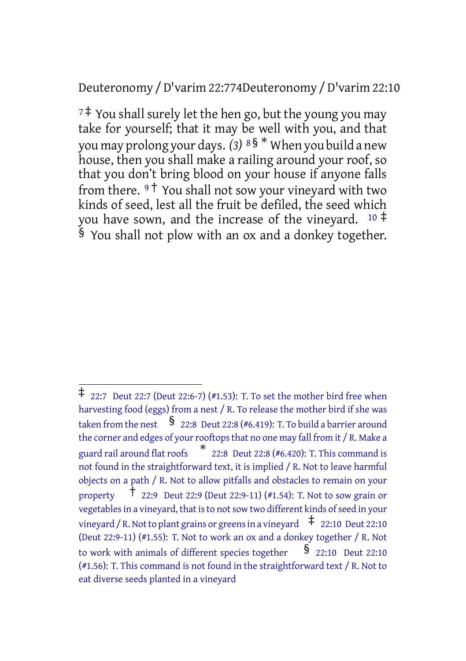#### Deuteronomy /D'varim 22:774Deuteronomy /D'varim 22:10

 $7\ddagger$  You shall surely let the hen go, but the young you may take for yourself; that it may be well with you, and that you may prolong your days. *(3)* <sup>8</sup> § \* When you build a new house, then you shall make a railing around your roof, so that you don't bring blood on your house if anyone falls from there. <sup>9</sup> † You shall not sow your vineyard with two kinds of seed, lest all the fruit be defiled, the seed which you have sown, and the increase of the vineyard.  $10 \div$ § You shall not plow with an ox and a donkey together.

<sup>‡</sup> 22:7 Deut 22:7 (Deut 22:6-7) (#1.53): T. To set the mother bird free when harvesting food (eggs) from a nest / R. To release the mother bird if she was taken from the nest  $\int$  22:8 Deut 22:8 (#6.419): T. To build a barrier around the corner and edges of your rooftops that no one may fall from it / R. Make a guard rail around flat roofs \* 22:8 Deut 22:8 (#6.420): T. This command is not found in the straightforward text, it is implied / R. Not to leave harmful objects on a path / R. Not to allow pitfalls and obstacles to remain on your property  $\hat{\mathsf{T}}$  22:9 Deut 22:9 (Deut 22:9-11) (#1.54): T. Not to sow grain or vegetables in a vineyard, that is to not sow two different kinds of seed in your vineyard / R. Not to plant grains or greens in a vineyard  $\pm$  22:10 Deut 22:10 (Deut 22:9-11) (#1.55): T. Not to work an ox and a donkey together / R. Not to work with animals of different species together  $\S$  22:10 Deut 22:10 (#1.56): T. This command is not found in the straightforward text / R. Not to eat diverse seeds planted in a vineyard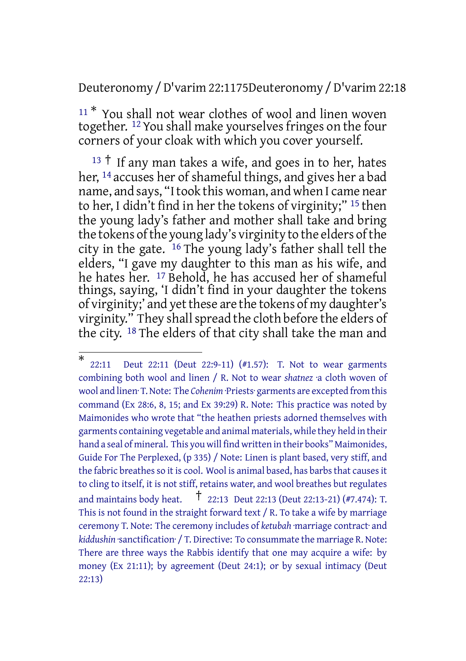Deuteronomy /D'varim 22:1175Deuteronomy /D'varim 22:18

<sup>11\*</sup> You shall not wear clothes of wool and linen woven together. <sup>12</sup> You shall make yourselves fringes on the four corners of your cloak with which you cover yourself.

 $13 \dagger$  If any man takes a wife, and goes in to her, hates her, 14 accuses her of shameful things, and gives her a bad name, and says, "Itook this woman, and when I came near to her, I didn't find in her the tokens of virginity;" 15 then the young lady's father and mother shall take and bring the tokens of the young lady's virginity to the elders of the city in the gate. 16 The young lady's father shall tell the elders, "I gave my daughter to this man as his wife, and he hates her. 17 Behold, he has accused her of shameful things, saying, 'I didn't find in your daughter the tokens of virginity;' and yetthese are the tokens of my daughter's virginity." They shall spread the cloth before the elders of the city. 18 The elders of that city shall take the man and

<sup>\*</sup> 22:11 Deut 22:11 (Deut 22:9-11) (#1.57): T. Not to wear garments combining both wool and linen / R. Not to wear *shatnez* ·a cloth woven of wool and linen· T.Note: The *Cohenim* ·Priests· garments are excepted from this command (Ex 28:6, 8, 15; and Ex 39:29) R. Note: This practice was noted by Maimonides who wrote that "the heathen priests adorned themselves with garments containing vegetable and animal materials, while they held in their hand a seal of mineral. This you will find written in their books" Maimonides, Guide For The Perplexed, (p 335) / Note: Linen is plant based, very stiff, and the fabric breathes so it is cool. Wool is animal based, has barbs that causes it to cling to itself, it is not stiff, retains water, and wool breathes but regulates and maintains body heat. † 22:13 Deut 22:13 (Deut 22:13-21) (#7.474): T. This is not found in the straight forward text / R. To take a wife by marriage ceremony T. Note: The ceremony includes of *ketubah* ·marriage contract· and *kiddushin* ·sanctification· / T. Directive: To consummate the marriage R. Note: There are three ways the Rabbis identify that one may acquire a wife: by money (Ex 21:11); by agreement (Deut 24:1); or by sexual intimacy (Deut 22:13)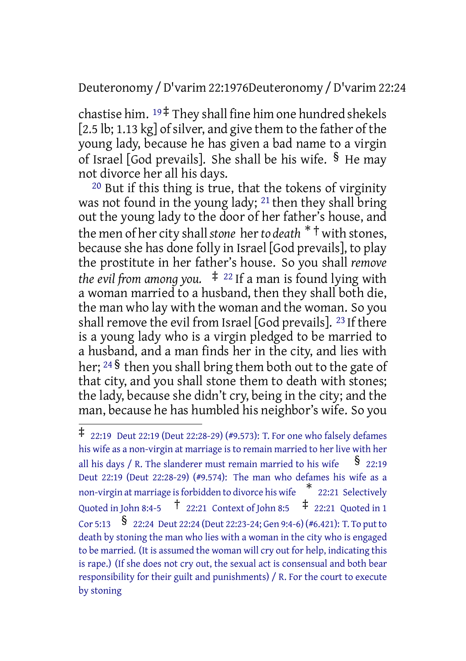## Deuteronomy /D'varim 22:1976Deuteronomy /D'varim 22:24

chastise him.  $19 \ddagger$  They shall fine him one hundred shekels  $[2.5$  lb; 1.13 kg] of silver, and give them to the father of the young lady, because he has given a bad name to a virgin of Israel [God prevails]. She shall be his wife.  $\frac{6}{5}$  He may not divorce her all his days.

20 But if this thing is true, that the tokens of virginity was not found in the young lady; <sup>21</sup> then they shall bring out the young lady to the door of her father's house, and the men of her city shall*stone* her*to death* \* † with stones, because she has done folly in Israel [God prevails], to play the prostitute in her father's house. So you shall *remove the evil from among you.*  $\pm$  <sup>22</sup> If a man is found lying with a woman married to a husband, then they shall both die, the man who lay with the woman and the woman. So you shall remove the evil from Israel [God prevails].  $^{23}$  If there is a young lady who is a virgin pledged to be married to a husband, and a man finds her in the city, and lies with her; <sup>24</sup> § then you shall bring them both out to the gate of that city, and you shall stone them to death with stones; the lady, because she didn't cry, being in the city; and the man, because he has humbled his neighbor's wife. So you

<sup>‡</sup> 22:19 Deut 22:19 (Deut 22:28-29) (#9.573): T. For one who falsely defames his wife as a non-virgin at marriage is to remain married to her live with her all his days / R. The slanderer must remain married to his wife  $\frac{\dot{S}}{22:19}$ Deut 22:19 (Deut 22:28-29) (#9.574): The man who defames his wife as a non-virgin at marriage isforbidden to divorce his wife \* 22:21 Selectively Quoted in John 8:4-5  $\uparrow$  22:21 Context of John 8:5  $\uparrow$  22:21 Quoted in 1 Cor 5:13  $\,$   $\,$   $\,$   $\,$   $\,$  22:24 Deut 22:24 (Deut 22:23-24; Gen 9:4-6) (#6.421): T. To put to death by stoning the man who lies with a woman in the city who is engaged to be married. (It is assumed the woman will cry out for help, indicating this is rape.) (If she does not cry out, the sexual act is consensual and both bear responsibility for their guilt and punishments) / R. For the court to execute by stoning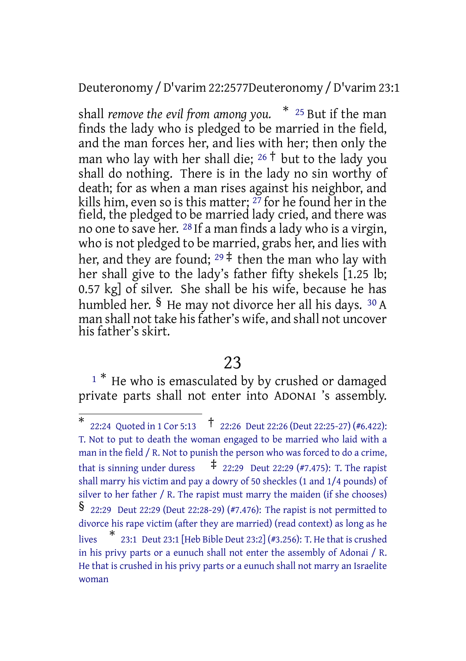## Deuteronomy /D'varim 22:2577Deuteronomy /D'varim 23:1

shall *remove the evil from among you.* \* <sup>25</sup> But if the man finds the lady who is pledged to be married in the field, and the man forces her, and lies with her; then only the man who lay with her shall die;  $26 \dagger$  but to the lady you shall do nothing. There is in the lady no sin worthy of death; for as when a man rises against his neighbor, and kills him, even so is this matter; 27 for he found her in the field, the pledged to be married lady cried, and there was no one to save her. <sup>28</sup> If a man finds a lady who is a virgin, who is not pledged to be married, grabs her, and lies with her, and they are found; <sup>29</sup> ‡ then the man who lay with her shall give to the lady's father fifty shekels [1.25 lb; 0.57 kg] of silver. She shall be his wife, because he has humbled her. § He may not divorce her all his days. <sup>30</sup> A man shall not take his father's wife, and shall not uncover his father's skirt.

## 23

<sup>1</sup><sup>\*</sup> He who is emasculated by by crushed or damaged private parts shall not enter into ADONAI 's assembly.

<sup>\*</sup> 22:24 Quoted in <sup>1</sup> Cor 5:13 † 22:26 Deut 22:26 (Deut 22:25-27) (#6.422): T. Not to put to death the woman engaged to be married who laid with a man in the field / R. Not to punish the person who was forced to do a crime, that is sinning under duress  $\frac{1}{4}$  22:29 Deut 22:29 (#7.475): T. The rapist shall marry his victim and pay a dowry of 50 sheckles (1 and 1/4 pounds) of silver to her father / R. The rapist must marry the maiden (if she chooses) § 22:29 Deut 22:29 (Deut 22:28-29) (#7.476): The rapist is not permitted to divorce his rape victim (after they are married) (read context) as long as he lives \* 23:1 Deut 23:1 [Heb Bible Deut 23:2] (#3.256): T. He that is crushed in his privy parts or a eunuch shall not enter the assembly of Adonai / R. He that is crushed in his privy parts or a eunuch shall not marry an Israelite woman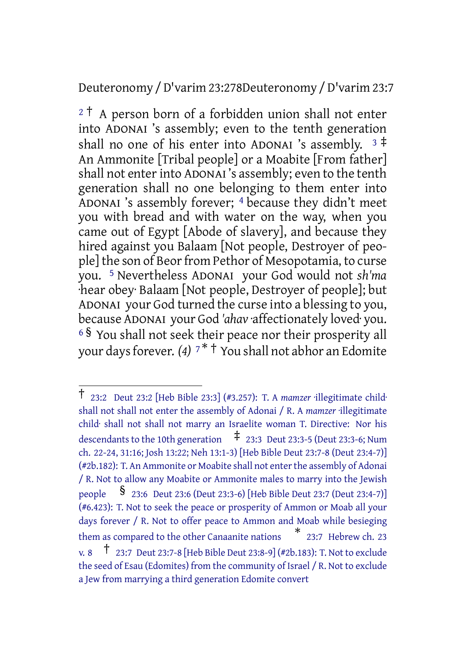## Deuteronomy /D'varim 23:278Deuteronomy /D'varim 23:7

 $2<sup>†</sup>$  A person born of a forbidden union shall not enter into ADONAI 's assembly; even to the tenth generation shall no one of his enter into ADONAI 's assembly.  $3 \neq 1$ An Ammonite [Tribal people] or a Moabite [From father] shall not enter into ADONAI's assembly; even to the tenth generation shall no one belonging to them enter into ADONAI 's assembly forever; 4 because they didn't meet you with bread and with water on the way, when you came out of Egypt [Abode of slavery], and because they hired against you Balaam [Not people, Destroyer of people] the son of Beor from Pethor of Mesopotamia, to curse you. 5 Nevertheless ADONAI your God would not *sh'ma* ·hear obey· Balaam [Not people, Destroyer of people]; but ADONAI your God turned the curse into a blessing to you, because ADONAI your God *'ahav* ·affectionately loved· you. <sup>6</sup> § You shall not seek their peace nor their prosperity all your daysforever. *(4)* <sup>7</sup> \* † You shall not abhor an Edomite

<sup>†</sup> 23:2 Deut 23:2 [Heb Bible 23:3] (#3.257): T. <sup>A</sup> *mamzer* ·illegitimate child· shall not shall not enter the assembly of Adonai / R. A *mamzer* ·illegitimate child· shall not shall not marry an Israelite woman T. Directive: Nor his descendants to the 10th generation  $\frac{1}{4}$  23:3 Deut 23:3-5 (Deut 23:3-6; Num ch. 22-24, 31:16; Josh 13:22; Neh 13:1-3) [Heb Bible Deut 23:7-8 (Deut 23:4-7)] (#2b.182): T. An Ammonite or Moabite shall not enter the assembly of Adonai / R. Not to allow any Moabite or Ammonite males to marry into the Jewish people § 23:6 Deut 23:6 (Deut 23:3-6) [Heb Bible Deut 23:7 (Deut 23:4-7)] (#6.423): T. Not to seek the peace or prosperity of Ammon or Moab all your days forever / R. Not to offer peace to Ammon and Moab while besieging them as compared to the other Canaanite nations \* 23:7 Hebrew ch. 23 v. 8  $\uparrow$  23:7 Deut 23:7-8 [Heb Bible Deut 23:8-9] (#2b.183): T. Not to exclude the seed of Esau (Edomites) from the community of Israel / R. Not to exclude a Jew from marrying a third generation Edomite convert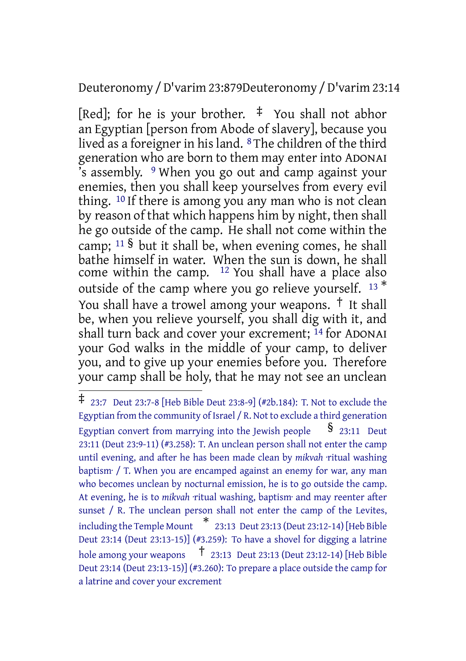## Deuteronomy /D'varim 23:879Deuteronomy /D'varim 23:14

[Red]; for he is your brother.  $\pm$  You shall not abhor an Egyptian [person from Abode of slavery], because you lived as a foreigner in his land. 8 The children of the third generation who are born to them may enter into ADONAI 's assembly. 9 When you go out and camp against your enemies, then you shall keep yourselves from every evil thing. 10 If there is among you any man who is not clean by reason of that which happens him by night, then shall he go outside of the camp. He shall not come within the camp;  $11 \text{ }\frac{6}{5}$  but it shall be, when evening comes, he shall bathe himself in water. When the sun is down, he shall come within the camp.  $12$  You shall have a place also outside of the camp where you go relieve yourself. <sup>13\*</sup> You shall have a trowel among your weapons. † It shall be, when you relieve yourself, you shall dig with it, and shall turn back and cover your excrement; 14 for ADONAI your God walks in the middle of your camp, to deliver you, and to give up your enemies before you. Therefore your camp shall be holy, that he may not see an unclean

<sup>‡</sup> 23:7 Deut 23:7-8 [Heb Bible Deut 23:8-9] (#2b.184): T. Not to exclude the Egyptian from the community of Israel / R. Not to exclude a third generation Egyptian convert from marrying into the Jewish people  $\S$  23:11 Deut 23:11 (Deut 23:9-11) (#3.258): T. An unclean person shall not enter the camp until evening, and after he has been made clean by *mikvah* ·ritual washing baptism· / T. When you are encamped against an enemy for war, any man who becomes unclean by nocturnal emission, he is to go outside the camp. At evening, he is to *mikvah* ·ritual washing, baptism· and may reenter after sunset / R. The unclean person shall not enter the camp of the Levites, including the Temple Mount \* 23:13 Deut 23:13 (Deut 23:12-14) [Heb Bible Deut 23:14 (Deut 23:13-15)] (#3.259): To have a shovel for digging a latrine hole among your weapons  $\vec{\tau}$  23:13 Deut 23:13 (Deut 23:12-14) [Heb Bible Deut 23:14 (Deut 23:13-15)] (#3.260): To prepare a place outside the camp for a latrine and cover your excrement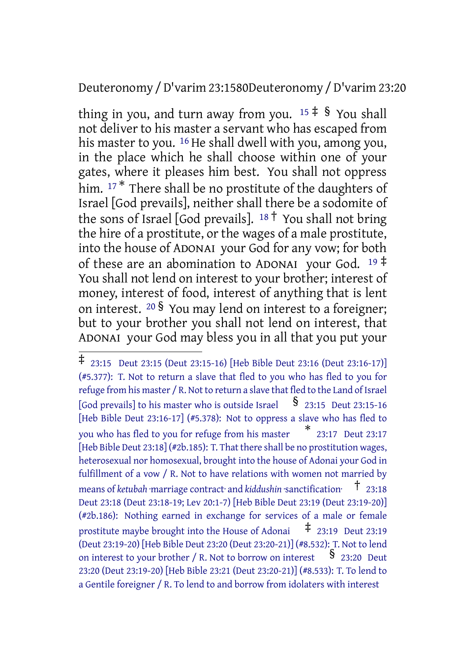## Deuteronomy /D'varim 23:1580Deuteronomy /D'varim 23:20

thing in you, and turn away from you.  $15 \div 8$  You shall not deliver to his master a servant who has escaped from his master to you. 16 He shall dwell with you, among you, in the place which he shall choose within one of your gates, where it pleases him best. You shall not oppress him. <sup>17\*</sup> There shall be no prostitute of the daughters of Israel [God prevails], neither shall there be a sodomite of the sons of Israel [God prevails].  $18 \dagger$  You shall not bring the hire of a prostitute, or the wages of a male prostitute, into the house of ADONAI your God for any vow; for both of these are an abomination to ADONAI your God.  $19 \frac{4}{3}$ You shall not lend on interest to your brother; interest of money, interest of food, interest of anything that is lent on interest. <sup>20</sup> § You may lend on interest to a foreigner; but to your brother you shall not lend on interest, that ADONAI your God may bless you in all that you put your

<sup>‡</sup> 23:15 Deut 23:15 (Deut 23:15-16) [Heb Bible Deut 23:16 (Deut 23:16-17)] (#5.377): T. Not to return a slave that fled to you who has fled to you for refuge from his master / R. Not to return a slave that fled to the Land of Israel [God prevails] to his master who is outside Israel  $\quad$  § 23:15 Deut 23:15-16 [Heb Bible Deut 23:16-17] (#5.378): Not to oppress a slave who has fled to you who has fled to you for refuge from his master \* 23:17 Deut 23:17 [Heb Bible Deut 23:18] (#2b.185): T. That there shall be no prostitution wages, heterosexual nor homosexual, brought into the house of Adonai your God in fulfillment of a vow / R. Not to have relations with women not married by means of *ketubah* marriage contract and *kiddushin* sanctification<sup>-†</sup> 23:18 Deut 23:18 (Deut 23:18-19; Lev 20:1-7) [Heb Bible Deut 23:19 (Deut 23:19-20)] (#2b.186): Nothing earned in exchange for services of a male or female prostitute maybe brought into the House of Adonai  $\pm$  23:19 Deut 23:19 (Deut 23:19-20) [Heb Bible Deut 23:20 (Deut 23:20-21)] (#8.532): T. Not to lend on interest to your brother / R. Not to borrow on interest  $\frac{8}{23:20}$  Deut 23:20 (Deut 23:19-20) [Heb Bible 23:21 (Deut 23:20-21)] (#8.533): T. To lend to a Gentile foreigner / R. To lend to and borrow from idolaters with interest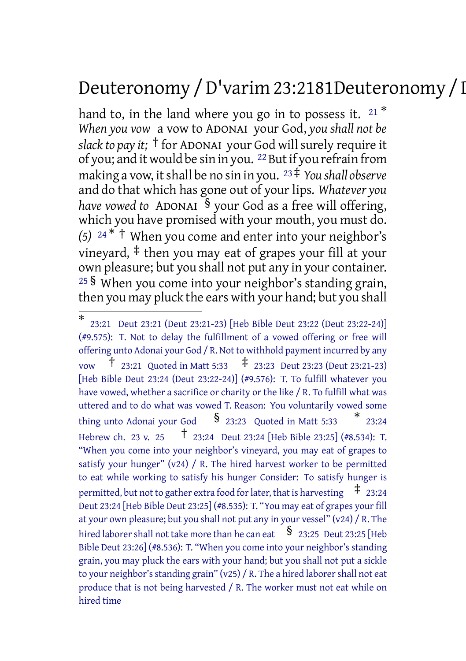# Deuteronomy /D'varim 23:2181Deuteronomy /D'varim 23:25

hand to, in the land where you go in to possess it.  $21 *$ *When you vow* a vow to ADONAI your God, *you shall not be slack to pay it;* <sup>†</sup> for ADONAI your God will surely require it of you; and it would be sin in you. <sup>22</sup> But if you refrain from making a vow, it shall be no sin in you. <sup>23‡</sup> *You shall observe* and do that which has gone out of your lips. *Whatever you have vowed to* ADONAI § your God as a free will offering, which you have promised with your mouth, you must do. *(5)* <sup>24</sup> \* † When you come and enter into your neighbor's vineyard, ‡ then you may eat of grapes your fill at your own pleasure; but you shall not put any in your container. <sup>25</sup> § When you come into your neighbor's standing grain, then you may pluck the ears with your hand; but you shall

<sup>\*</sup> 23:21 Deut 23:21 (Deut 23:21-23) [Heb Bible Deut 23:22 (Deut 23:22-24)] (#9.575): T. Not to delay the fulfillment of a vowed offering or free will offering unto Adonai your God / R. Not to withhold payment incurred by any  $\uparrow$  23:21 Quoted in Matt 5:33  $\uparrow$  23:23 Deut 23:23 (Deut 23:21-23) [Heb Bible Deut 23:24 (Deut 23:22-24)] (#9.576): T. To fulfill whatever you have vowed, whether a sacrifice or charity or the like / R. To fulfill what was uttered and to do what was vowed T. Reason: You voluntarily vowed some thing unto Adonai your God  $\quad$  § 23:23 Quoted in Matt 5:33 \* 23:24 Hebrew ch. <sup>23</sup> v. <sup>25</sup> † 23:24 Deut 23:24 [Heb Bible 23:25] (#8.534): T. "When you come into your neighbor's vineyard, you may eat of grapes to satisfy your hunger" (v24) / R. The hired harvest worker to be permitted to eat while working to satisfy his hunger Consider: To satisfy hunger is permitted, but not to gather extra food for later, that is harvesting  $\pm$  23:24 Deut 23:24 [Heb Bible Deut 23:25] (#8.535): T. "You may eat of grapes your fill at your own pleasure; but you shall not put any in your vessel" (v24) / R. The hired laborer shall not take more than he can eat  $\frac{1}{2}$  23:25 Deut 23:25 [Heb Bible Deut 23:26] (#8.536): T. "When you come into your neighbor's standing grain, you may pluck the ears with your hand; but you shall not put a sickle to your neighbor's standing grain" (v25) / R. The a hired laborer shall not eat produce that is not being harvested / R. The worker must not eat while on hired time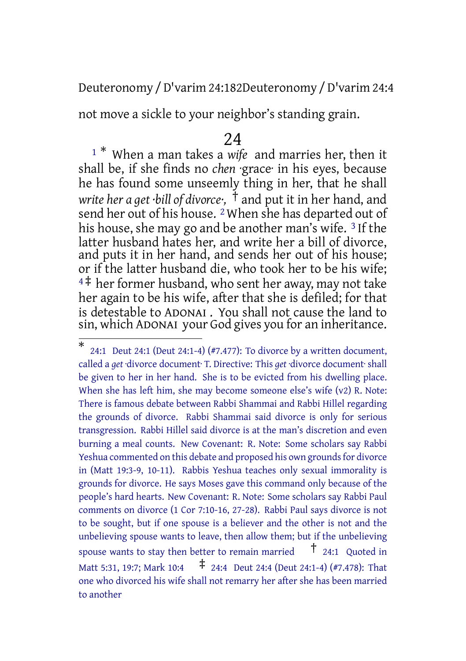Deuteronomy /D'varim 24:182Deuteronomy /D'varim 24:4

not move a sickle to your neighbor's standing grain.

#### 24

<sup>1</sup> \* When a man takes a *wife* and marries her, then it shall be, if she finds no *chen* ·grace· in his eyes, because he has found some unseemly thing in her, that he shall *write her a get ·bill of divorce·,* † and put it in her hand, and send her out of his house. 2 When she has departed out of his house, she may go and be another man's wife. 3 If the latter husband hates her, and write her a bill of divorce, and puts it in her hand, and sends her out of his house; or if the latter husband die, who took her to be his wife;  $4\ddagger$  her former husband, who sent her away, may not take her again to be his wife, after that she is defiled; for that is detestable to ADONAI . You shall not cause the land to sin, which ADONAI your God gives you for an inheritance.

<sup>\*</sup> 24:1 Deut 24:1 (Deut 24:1-4) (#7.477): To divorce by a written document, called a *get* ·divorce document· T. Directive: This *get* ·divorce document· shall be given to her in her hand. She is to be evicted from his dwelling place. When she has left him, she may become someone else's wife (v2) R. Note: There is famous debate between Rabbi Shammai and Rabbi Hillel regarding the grounds of divorce. Rabbi Shammai said divorce is only for serious transgression. Rabbi Hillel said divorce is at the man's discretion and even burning a meal counts. New Covenant: R. Note: Some scholars say Rabbi Yeshua commented on this debate and proposed his own grounds for divorce in (Matt 19:3-9, 10-11). Rabbis Yeshua teaches only sexual immorality is grounds for divorce. He says Moses gave this command only because of the people's hard hearts. New Covenant: R. Note: Some scholars say Rabbi Paul comments on divorce (1 Cor 7:10-16, 27-28). Rabbi Paul says divorce is not to be sought, but if one spouse is a believer and the other is not and the unbelieving spouse wants to leave, then allow them; but if the unbelieving spouse wants to stay then better to remain married  $\overline{t}$  24:1 Quoted in Matt 5:31, 19:7; Mark 10:4 ‡ 24:4 Deut 24:4 (Deut 24:1-4) (#7.478): That one who divorced his wife shall not remarry her after she has been married to another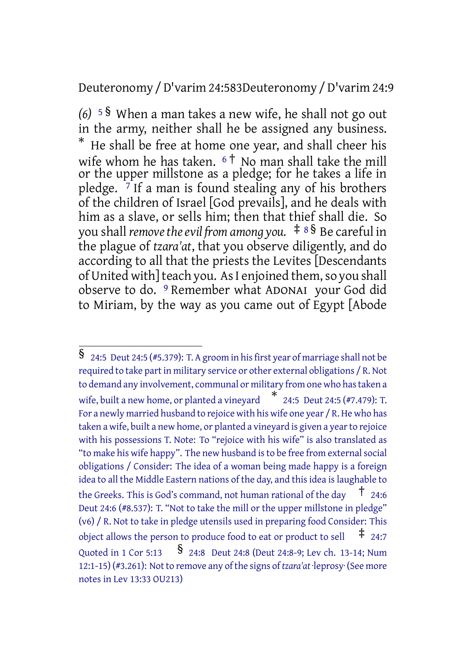## Deuteronomy /D'varim 24:583Deuteronomy /D'varim 24:9

*(6)* <sup>5</sup> § When a man takes a new wife, he shall not go out in the army, neither shall he be assigned any business. \* He shall be free at home one year, and shall cheer his wife whom he has taken.  $6<sup>†</sup>$  No man shall take the mill or the upper millstone as a pledge; for he takes a life in pledge. 7 If a man is found stealing any of his brothers of the children of Israel [God prevails], and he deals with him as a slave, or sells him; then that thief shall die. So you shall *removetheevil from among you.* ‡ <sup>8</sup> § Be careful in the plague of *tzara'at*, that you observe diligently, and do according to all that the priests the Levites [Descendants of United with] teach you. As I enjoined them, so you shall observe to do. 9 Remember what ADONAI your God did to Miriam, by the way as you came out of Egypt [Abode

<sup>§</sup> 24:5 Deut 24:5 (#5.379): T. <sup>A</sup> groom in his first year of marriage shall not be required to take part in military service or other external obligations / R. Not to demand any involvement, communal or military from one who hastaken a wife, built <sup>a</sup> new home, or planted <sup>a</sup> vineyard \* 24:5 Deut 24:5 (#7.479): T. For a newly married husband to rejoice with his wife one year / R.He who has taken a wife, built a new home, or planted a vineyard is given a yearto rejoice with his possessions T. Note: To "rejoice with his wife" is also translated as "to make his wife happy". The new husband is to be free from external social obligations / Consider: The idea of a woman being made happy is a foreign idea to all the Middle Eastern nations of the day, and this idea is laughable to the Greeks. This is God's command, not human rational of the day  $\frac{1}{2}$  24:6 Deut 24:6 (#8.537): T. "Not to take the mill or the upper millstone in pledge" (v6) / R. Not to take in pledge utensils used in preparing food Consider: This object allows the person to produce food to eat or product to sell  $\pm$  24:7 Quoted in <sup>1</sup> Cor 5:13 § 24:8 Deut 24:8 (Deut 24:8-9; Lev ch. 13-14; Num 12:1-15) (#3.261): Not to remove any of the signs of *tzara'at* ·leprosy· (See more notes in Lev 13:33 OU213)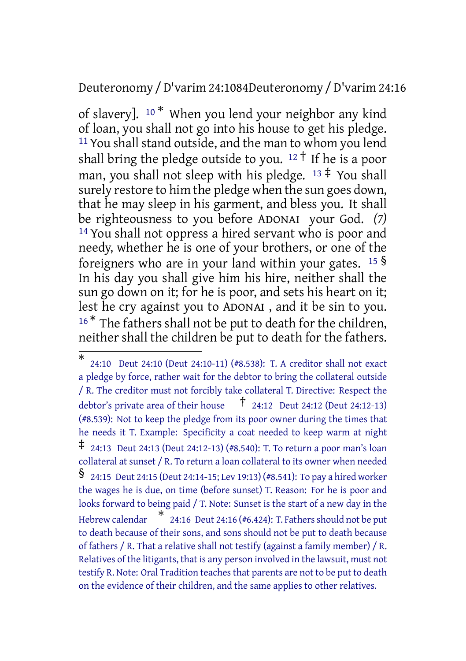## Deuteronomy /D'varim 24:1084Deuteronomy /D'varim 24:16

of slavery].  $10 *$  When you lend your neighbor any kind of loan, you shall not go into his house to get his pledge. 11You shall stand outside, and the man to whom you lend shall bring the pledge outside to you.  $12 \dagger$  If he is a poor man, you shall not sleep with his pledge.  $13 \div$  You shall surely restore to him the pledge when the sun goes down, that he may sleep in his garment, and bless you. It shall be righteousness to you before ADONAI your God. *(7)* 14 You shall not oppress a hired servant who is poor and needy, whether he is one of your brothers, or one of the foreigners who are in your land within your gates. <sup>15</sup> § In his day you shall give him his hire, neither shall the sun go down on it; for he is poor, and sets his heart on it; lest he cry against you to ADONAI , and it be sin to you.  $16*$  The fathers shall not be put to death for the children, neither shall the children be put to death for the fathers.

<sup>\*</sup> 24:10 Deut 24:10 (Deut 24:10-11) (#8.538): T. A creditor shall not exact a pledge by force, rather wait for the debtor to bring the collateral outside / R. The creditor must not forcibly take collateral T. Directive: Respect the debtor's private area of their house  $\overline{t}$  24:12 Deut 24:12 (Deut 24:12-13) (#8.539): Not to keep the pledge from its poor owner during the times that he needs it T. Example: Specificity a coat needed to keep warm at night  $\ddagger$  24:13 Deut 24:13 (Deut 24:12-13) (#8.540): T. To return a poor man's loan collateral at sunset / R. To return a loan collateral to its owner when needed § 24:15 Deut 24:15 (Deut 24:14-15; Lev 19:13) (#8.541): To pay <sup>a</sup> hired worker the wages he is due, on time (before sunset) T. Reason: For he is poor and looks forward to being paid / T. Note: Sunset is the start of a new day in the Hebrew calendar \* 24:16 Deut 24:16 (#6.424): T. Fathersshould not be put to death because of their sons, and sons should not be put to death because of fathers / R. That a relative shall not testify (against a family member) / R. Relatives of the litigants, that is any person involved in the lawsuit, must not testify R. Note: Oral Tradition teaches that parents are not to be put to death on the evidence of their children, and the same applies to other relatives.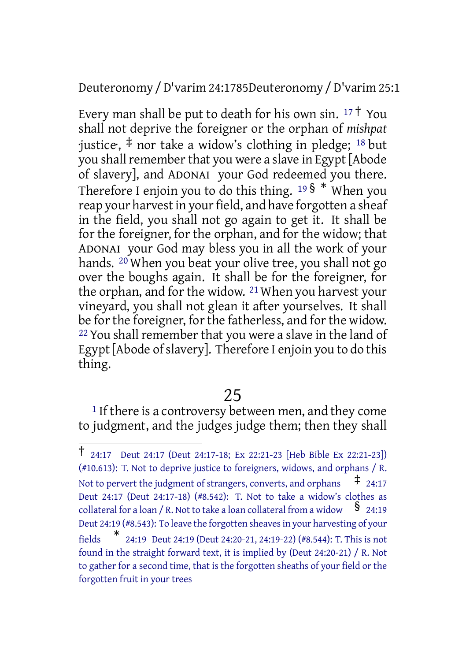Deuteronomy /D'varim 24:1785Deuteronomy /D'varim 25:1

Every man shall be put to death for his own sin.  $17 \dagger$  You shall not deprive the foreigner or the orphan of *mishpat*  $\cdot$ justice;  $\ddagger$  nor take a widow's clothing in pledge; <sup>18</sup> but you shall remember that you were a slave in Egypt [Abode] of slavery], and ADONAI your God redeemed you there. Therefore I enjoin you to do this thing.  $19\frac{1}{9}$  When you reap your harvestin your field, and have forgotten a sheaf in the field, you shall not go again to get it. It shall be for the foreigner, for the orphan, and for the widow; that ADONAI your God may bless you in all the work of your hands. 20 When you beat your olive tree, you shall not go over the boughs again. It shall be for the foreigner, for the orphan, and for the widow. 21 When you harvest your vineyard, you shall not glean it after yourselves. It shall be for the foreigner, for the fatherless, and for the widow.  $22$  You shall remember that you were a slave in the land of Egypt [Abode of slavery]. Therefore I enjoin you to do this thing.

## 25

<sup>1</sup> If there is a controversy between men, and they come to judgment, and the judges judge them; then they shall

<sup>†</sup> 24:17 Deut 24:17 (Deut 24:17-18; Ex 22:21-23 [Heb Bible Ex 22:21-23]) (#10.613): T. Not to deprive justice to foreigners, widows, and orphans / R. Not to pervert the judgment of strangers, converts, and orphans  $\pm$  24:17 Deut 24:17 (Deut 24:17-18) (#8.542): T. Not to take a widow's clothes as collateral for a loan / R. Not to take a loan collateral from a widow  $\frac{8}{24:19}$ Deut 24:19 (#8.543): To leave the forgotten sheavesin your harvesting of your **fields** 24:19 Deut 24:19 (Deut 24:20-21, 24:19-22) (#8.544): T. This is not found in the straight forward text, it is implied by (Deut 24:20-21) / R. Not to gather for a second time, that is the forgotten sheaths of your field or the forgotten fruit in your trees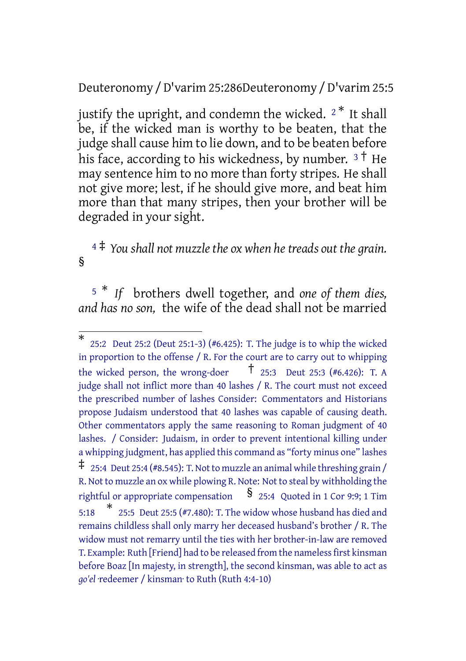## Deuteronomy /D'varim 25:286Deuteronomy /D'varim 25:5

justify the upright, and condemn the wicked.  $2^*$  It shall be, if the wicked man is worthy to be beaten, that the judge shall cause him to lie down, and to be beaten before his face, according to his wickedness, by number.  $3^{\dagger}$  He may sentence him to no more than forty stripes. He shall not give more; lest, if he should give more, and beat him more than that many stripes, then your brother will be degraded in your sight.

## <sup>4</sup> ‡ *You shall not muzzlethe ox when hetreads out the grain.* §

<sup>5</sup> \* *If* brothers dwell together, and *one of them dies, and has no son,* the wife of the dead shall not be married

<sup>\*</sup> 25:2 Deut 25:2 (Deut 25:1-3) (#6.425): T. The judge is to whip the wicked in proportion to the offense / R. For the court are to carry out to whipping the wicked person, the wrong-doer  $\tau$   $\tau$  25:3 Deut 25:3 (#6.426): T. A judge shall not inflict more than 40 lashes / R. The court must not exceed the prescribed number of lashes Consider: Commentators and Historians propose Judaism understood that 40 lashes was capable of causing death. Other commentators apply the same reasoning to Roman judgment of 40 lashes. / Consider: Judaism, in order to prevent intentional killing under a whipping judgment, has applied this command as "forty minus one" lashes  $\ddagger$  25:4 Deut 25:4 (#8.545): T. Not to muzzle an animal while threshing grain / R. Not to muzzle an ox while plowing R. Note: Not to steal by withholding the rightful or appropriate compensation  $\S$  25:4 Quoted in 1 Cor 9:9; 1 Tim 5:18 \* 25:5 Deut 25:5 (#7.480): T. The widow whose husband has died and remains childless shall only marry her deceased husband's brother / R. The widow must not remarry until the ties with her brother-in-law are removed T. Example: Ruth [Friend] had to be released from the nameless first kinsman before Boaz [In majesty, in strength], the second kinsman, was able to act as *go'el* ·redeemer / kinsman· to Ruth (Ruth 4:4-10)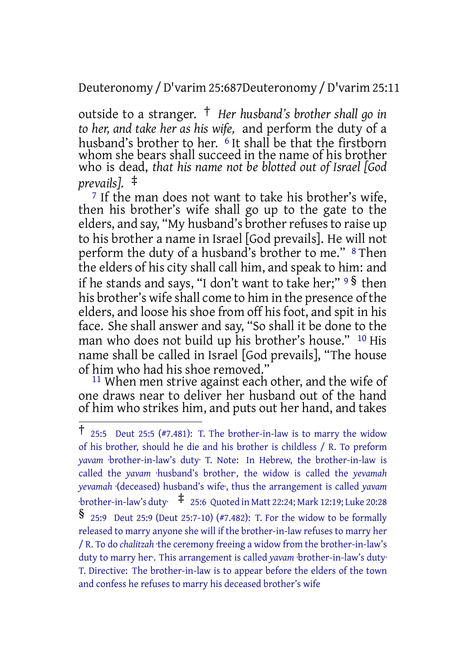Deuteronomy /D'varim 25:687Deuteronomy /D'varim 25:11

outside to a stranger. † *Her husband's brother shall go in to her, and take her as his wife,* and perform the duty of a husband's brother to her.  $6$  It shall be that the firstborn whom she bears shall succeed in the name of his brother who is dead, *that his name not be blotted out of Israel [God prevails].* ‡

<sup>7</sup> If the man does not want to take his brother's wife, then his brother's wife shall go up to the gate to the elders, and say, "My husband's brother refuses to raise up to his brother a name in Israel [God prevails]. He will not perform the duty of a husband's brother to me." 8 Then the elders of his city shall call him, and speak to him: and if he stands and says, "I don't want to take her;" <sup>9</sup> § then his brother's wife shall come to him in the presence of the elders, and loose his shoe from off his foot, and spit in his face. She shall answer and say, "So shall it be done to the man who does not build up his brother's house." 10 His name shall be called in Israel [God prevails], "The house of him who had his shoe removed."

11 When men strive against each other, and the wife of one draws near to deliver her husband out of the hand of him who strikes him, and puts out her hand, and takes

<sup>†</sup> 25:5 Deut 25:5 (#7.481): T. The brother-in-law is to marry the widow of his brother, should he die and his brother is childless / R. To preform *yavam* ·brother-in-law's duty· T. Note: In Hebrew, the brother-in-law is called the *yavam* ·husband's brother·, the widow is called the *yevamah yevamah* ·(deceased) husband's wife·, thus the arrangement is called *yavam* ·brother-in-law's duty· ‡ 25:6 Quoted in Matt 22:24; Mark 12:19; Luke 20:28 § 25:9 Deut 25:9 (Deut 25:7-10) (#7.482): T. For the widow to be formally released to marry anyone she will if the brother-in-law refuses to marry her / R. To do *chalitzah* ·the ceremony freeing a widow from the brother-in-law's duty to marry her. This arrangement is called *yavam* ·brother-in-law's duty· T. Directive: The brother-in-law is to appear before the elders of the town and confess he refuses to marry his deceased brother's wife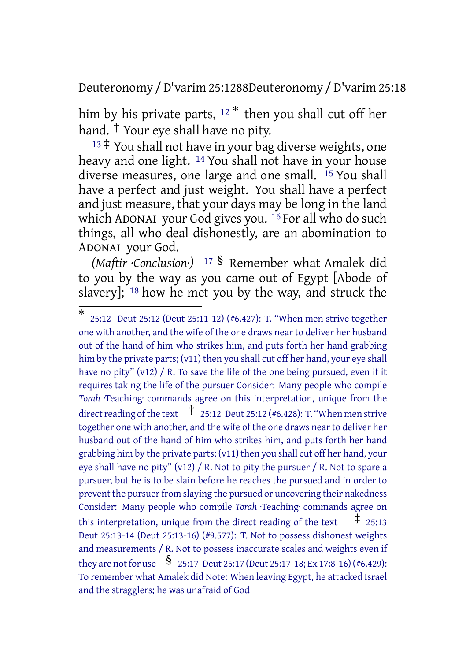Deuteronomy /D'varim 25:1288Deuteronomy /D'varim 25:18

him by his private parts, <sup>12\*</sup> then you shall cut off her hand. † Your eye shall have no pity.

 $13 \ddagger$  You shall not have in your bag diverse weights, one heavy and one light. <sup>14</sup> You shall not have in your house diverse measures, one large and one small. <sup>15</sup> You shall have a perfect and just weight. You shall have a perfect and just measure, that your days may be long in the land which ADONAI your God gives you. <sup>16</sup> For all who do such things, all who deal dishonestly, are an abomination to ADONAI your God.

*(Maftir ·Conclusion·)* <sup>17</sup> § Remember what Amalek did to you by the way as you came out of Egypt [Abode of slavery]; 18 how he met you by the way, and struck the

<sup>\*</sup> 25:12 Deut 25:12 (Deut 25:11-12) (#6.427): T. "When men strive together one with another, and the wife of the one draws near to deliver her husband out of the hand of him who strikes him, and puts forth her hand grabbing him by the private parts; (v11) then you shall cut off her hand, your eye shall have no pity" (v12) / R. To save the life of the one being pursued, even if it requires taking the life of the pursuer Consider: Many people who compile *Torah* ·Teaching· commands agree on this interpretation, unique from the direct reading of the text  $\uparrow$  25:12 Deut 25:12 (#6.428): T. "When men strive together one with another, and the wife of the one draws near to deliver her husband out of the hand of him who strikes him, and puts forth her hand grabbing him by the private parts; (v11) then you shall cut off her hand, your eye shall have no pity" (v12) / R. Not to pity the pursuer / R. Not to spare a pursuer, but he is to be slain before he reaches the pursued and in order to prevent the pursuer from slaying the pursued or uncovering their nakedness Consider: Many people who compile *Torah* ·Teaching· commands agree on this interpretation, unique from the direct reading of the text  $\pm$  25:13 Deut 25:13-14 (Deut 25:13-16) (#9.577): T. Not to possess dishonest weights and measurements / R. Not to possess inaccurate scales and weights even if they are not for use  $\frac{\$}{25:17}$  Deut 25:17 (Deut 25:17-18; Ex 17:8-16) (#6.429): To remember what Amalek did Note: When leaving Egypt, he attacked Israel and the stragglers; he was unafraid of God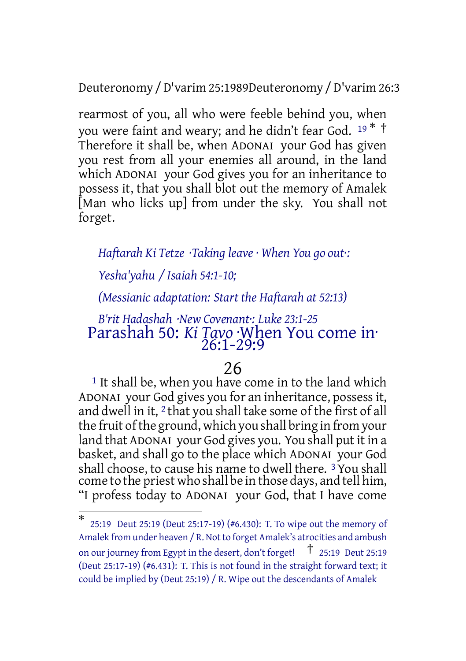Deuteronomy /D'varim 25:1989Deuteronomy /D'varim 26:3

rearmost of you, all who were feeble behind you, when you were faint and weary; and he didn't fear God. <sup>19</sup> \* † Therefore it shall be, when ADONAI your God has given you rest from all your enemies all around, in the land which ADONAI your God gives you for an inheritance to possess it, that you shall blot out the memory of Amalek [Man who licks up] from under the sky. You shall not forget.

#### *Haftarah Ki Tetze ·Taking leave · When You go out·:*

*Yesha'yahu / Isaiah 54:1-10;*

*(Messianic adaptation: Start the Haftarah at 52:13)*

## *B'rit Hadashah ·New Covenant·: Luke 23:1-25* Parashah 50: *Ki Tavo* ·When You come in· 26:1-29:9

#### 26

<sup>1</sup> It shall be, when you have come in to the land which ADONAI your God gives you for an inheritance, possessit, and dwell in it, 2 that you shall take some of the first of all the fruit ofthe ground, which you shall bring in from your land that ADONAI your God gives you. You shall put it in a basket, and shall go to the place which ADONAI your God shall choose, to cause his name to dwell there. 3 You shall come to the priest who shall be in those days, and tell him, "I profess today to ADONAI your God, that I have come

<sup>\*</sup> 25:19 Deut 25:19 (Deut 25:17-19) (#6.430): T. To wipe out the memory of Amalek from under heaven / R. Not to forget Amalek's atrocities and ambush on our journey from Egypt in the desert, don't forget! † 25:19 Deut 25:19 (Deut 25:17-19) (#6.431): T. This is not found in the straight forward text; it could be implied by (Deut 25:19) / R. Wipe out the descendants of Amalek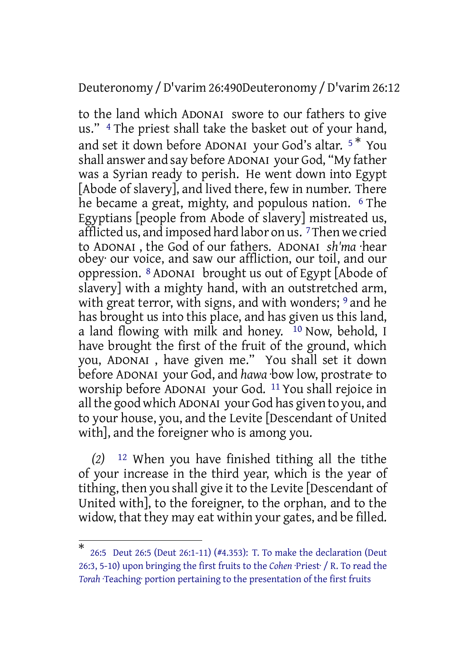Deuteronomy /D'varim 26:490Deuteronomy /D'varim 26:12

to the land which ADONAI swore to our fathers to give us." 4 The priest shall take the basket out of your hand, and set it down before ADONAI your God's altar. <sup>5</sup> \* You shall answer and say before ADONAI your God, "My father was a Syrian ready to perish. He went down into Egypt [Abode of slavery], and lived there, few in number. There he became a great, mighty, and populous nation. <sup>6</sup> The Egyptians [people from Abode of slavery] mistreated us, afflicted us, and imposed hard labor on us. 7Then we cried to ADONAI , the God of our fathers. ADONAI *sh'ma* ·hear obey· our voice, and saw our affliction, our toil, and our oppression. 8 ADONAI brought us out of Egypt [Abode of slavery] with a mighty hand, with an outstretched arm, with great terror, with signs, and with wonders; <sup>9</sup> and he has brought us into this place, and has given us this land, a land flowing with milk and honey.  $10$  Now, behold, I have brought the first of the fruit of the ground, which you, ADONAI , have given me." You shall set it down before ADONAI your God, and *hawa* ·bow low, prostrate· to worship before ADONAI your God. 11 You shall rejoice in all the good which ADONAI your God has given to you, and to your house, you, and the Levite [Descendant of United with], and the foreigner who is among you.

*(2)* 12 When you have finished tithing all the tithe of your increase in the third year, which is the year of tithing, then you shall give it to the Levite [Descendant of United with], to the foreigner, to the orphan, and to the widow, that they may eat within your gates, and be filled.

<sup>\*</sup> 26:5 Deut 26:5 (Deut 26:1-11) (#4.353): T. To make the declaration (Deut 26:3, 5-10) upon bringing the first fruits to the *Cohen* ·Priest· / R. To read the *Torah* ·Teaching· portion pertaining to the presentation of the first fruits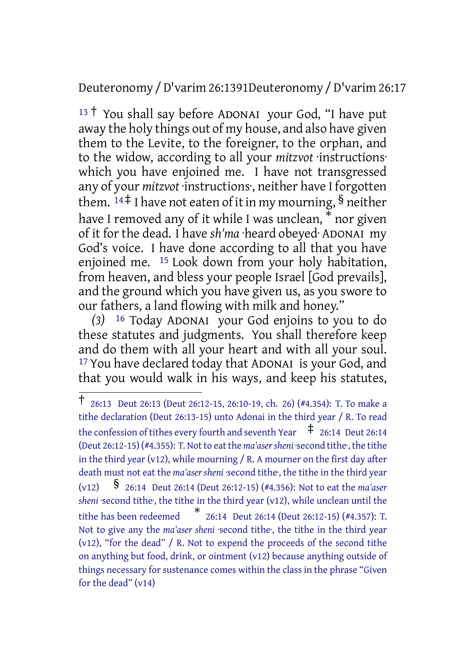Deuteronomy /D'varim 26:1391Deuteronomy /D'varim 26:17

 $13 \uparrow$  You shall say before ADONAI your God, "I have put away the holy things out of my house, and also have given them to the Levite, to the foreigner, to the orphan, and to the widow, according to all your *mitzvot* ·instructions· which you have enjoined me. I have not transgressed any of your *mitzvot* ·instructions·, neither have I forgotten them.  $14 \neq 1$  have not eaten of it in my mourning, § neither have I removed any of it while I was unclean, \* nor given of it for the dead. I have *sh'ma* ·heard obeyed· ADONAI my God's voice. I have done according to all that you have enjoined me. 15 Look down from your holy habitation, from heaven, and bless your people Israel [God prevails], and the ground which you have given us, as you swore to our fathers, a land flowing with milk and honey."

*(3)* 16 Today ADONAI your God enjoins to you to do these statutes and judgments. You shall therefore keep and do them with all your heart and with all your soul. 17 You have declared today that ADONAI is your God, and that you would walk in his ways, and keep his statutes,

<sup>†</sup> 26:13 Deut 26:13 (Deut 26:12-15, 26:10-19, ch. 26) (#4.354): T. To make <sup>a</sup> tithe declaration (Deut 26:13-15) unto Adonai in the third year / R. To read the confession of tithes every fourth and seventh Year  $\pm$  26:14 Deut 26:14 (Deut 26:12-15) (#4.355): T. Not to eat the *ma'asersheni* ·second tithe·, the tithe in the third year (v12), while mourning / R. A mourner on the first day after death must not eat the *ma'aser sheni* ·second tithe<sup>,</sup> the tithe in the third year (v12) § 26:14 Deut 26:14 (Deut 26:12-15) (#4.356): Not to eat the *ma'aser* sheni second tithe, the tithe in the third year (v12), while unclean until the tithe has been redeemed \* 26:14 Deut 26:14 (Deut 26:12-15) (#4.357): T. Not to give any the *ma'aser sheni* ·second tithe·, the tithe in the third year (v12), "for the dead" / R. Not to expend the proceeds of the second tithe on anything but food, drink, or ointment (v12) because anything outside of things necessary for sustenance comes within the class in the phrase "Given for the dead" (v14)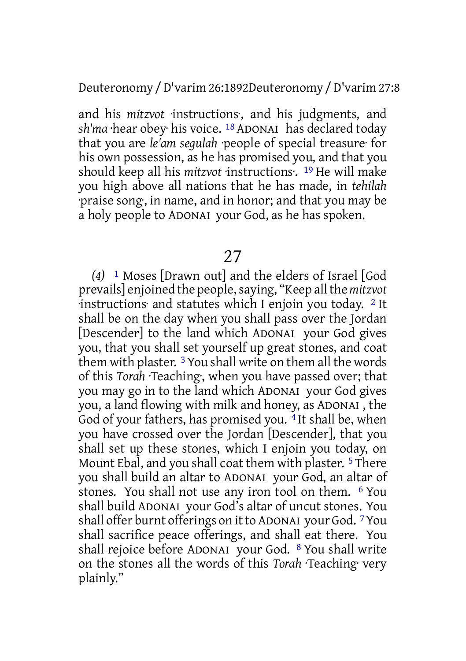Deuteronomy /D'varim 26:1892Deuteronomy /D'varim 27:8

and his *mitzvot* ·instructions·, and his judgments, and *sh'ma* ·hear obey· his voice. 18 ADONAI has declared today that you are *le'am segulah* ·people of special treasure· for his own possession, as he has promised you, and that you should keep all his *mitzvot* ·instructions·. 19 He will make you high above all nations that he has made, in *tehilah* ·praise song·, in name, and in honor; and that you may be a holy people to ADONAI your God, as he has spoken.

## 27

*(4)* 1 Moses [Drawn out] and the elders of Israel [God prevails] enjoined the people,saying, "Keep allthe *mitzvot* ·instructions· and statutes which I enjoin you today. 2 It shall be on the day when you shall pass over the Jordan [Descender] to the land which ADONAI your God gives you, that you shall set yourself up great stones, and coat them with plaster. 3You shall write on them all the words of this *Torah* ·Teaching·, when you have passed over; that you may go in to the land which ADONAI your God gives you, a land flowing with milk and honey, as ADONAI , the God of your fathers, has promised you.<sup>4</sup> It shall be, when you have crossed over the Jordan [Descender], that you shall set up these stones, which I enjoin you today, on Mount Ebal, and you shall coat them with plaster. <sup>5</sup> There you shall build an altar to ADONAI your God, an altar of stones. You shall not use any iron tool on them. 6 You shall build ADONAI your God's altar of uncut stones. You shall offer burnt offerings on it to ADONAI your God. <sup>7</sup> You shall sacrifice peace offerings, and shall eat there. You shall rejoice before ADONAI your God. 8 You shall write on the stones all the words of this *Torah* ·Teaching· very plainly."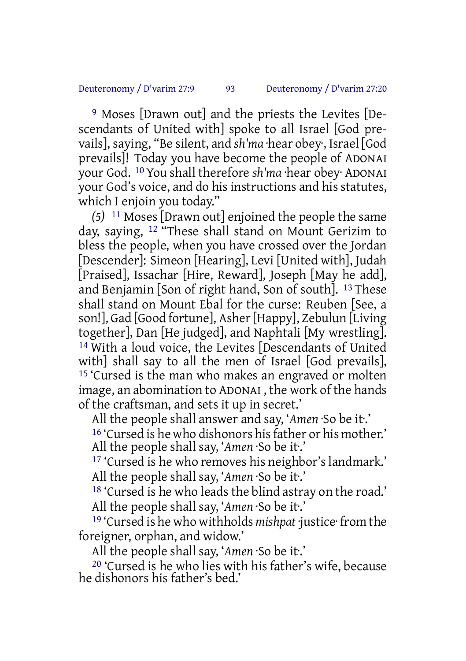9 Moses [Drawn out] and the priests the Levites [Descendants of United with] spoke to all Israel [God prevails], saying, "Be silent, and *sh'ma* ·hear obey·, Israel [God prevails]! Today you have become the people of ADONAI your God. 10 You shall therefore *sh'ma* ·hear obey· ADONAI your God's voice, and do his instructions and his statutes, which I enjoin you today."

*(5)* 11 Moses [Drawn out] enjoined the people the same day, saying, 12 "These shall stand on Mount Gerizim to bless the people, when you have crossed over the Jordan [Descender]: Simeon [Hearing], Levi [United with], Judah [Praised], Issachar [Hire, Reward], Joseph [May he add], and Benjamin [Son of right hand, Son of south]. 13 These shall stand on Mount Ebal for the curse: Reuben [See, a son!], Gad [Good fortune], Asher[Happy], Zebulun [Living together], Dan [He judged], and Naphtali [My wrestling]. 14 With a loud voice, the Levites [Descendants of United with] shall say to all the men of Israel [God prevails], 15 'Cursed is the man who makes an engraved or molten image, an abomination to ADONAI , the work of the hands of the craftsman, and sets it up in secret.'

All the people shall answer and say, '*Amen* ·So be it·.' <sup>16</sup> 'Cursed is he who dishonors his father or his mother.' All the people shall say, '*Amen* ·So be it·.'

17 'Cursed is he who removes his neighbor's landmark.' All the people shall say, '*Amen* ·So be it·.'

18 'Cursed is he who leads the blind astray on the road.' All the people shall say, '*Amen* ·So be it·.'

19 'Cursed is he who withholds *mishpat* ·justice· from the foreigner, orphan, and widow.'

All the people shall say, '*Amen* ·So be it·.'

20 'Cursed is he who lies with his father's wife, because he dishonors his father's bed.'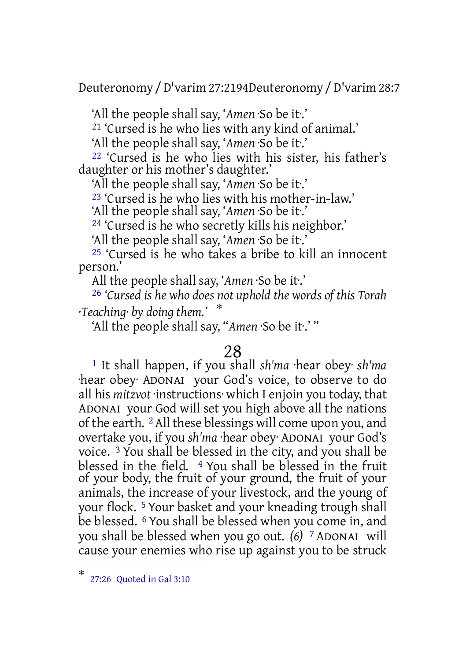Deuteronomy /D'varim 27:2194Deuteronomy /D'varim 28:7

'All the people shall say, '*Amen* ·So be it·.'

21 'Cursed is he who lies with any kind of animal.'

'All the people shall say, '*Amen* ·So be it·.'

22 'Cursed is he who lies with his sister, his father's daughter or his mother's daughter.'

'All the people shall say, '*Amen* ·So be it·.'

23 'Cursed is he who lies with his mother-in-law.'

'All the people shall say, '*Amen* ·So be it·.'

24 'Cursed is he who secretly kills his neighbor.'

'All the people shall say, '*Amen* ·So be it·.'

25 'Cursed is he who takes a bribe to kill an innocent person.'

All the people shall say, '*Amen* ·So be it·.'

26 *'Cursed is he who does not uphold the words of this Torah ·Teaching· by doing them.'* \*

'All the people shall say, "*Amen* ·So be it·.' "

## 28

1 It shall happen, if you shall *sh'ma* ·hear obey· *sh'ma* ·hear obey· ADONAI your God's voice, to observe to do all his *mitzvot* ·instructions· which I enjoin you today, that ADONAI your God will set you high above all the nations of the earth. 2All these blessings will come upon you, and overtake you, if you *sh'ma* ·hear obey· ADONAI your God's voice. 3 You shall be blessed in the city, and you shall be blessed in the field. 4 You shall be blessed in the fruit of your body, the fruit of your ground, the fruit of your animals, the increase of your livestock, and the young of your flock. 5 Your basket and your kneading trough shall be blessed. 6 You shall be blessed when you come in, and you shall be blessed when you go out. *(6)* 7 ADONAI will cause your enemies who rise up against you to be struck

<sup>\*</sup> 27:26 Quoted in Gal 3:10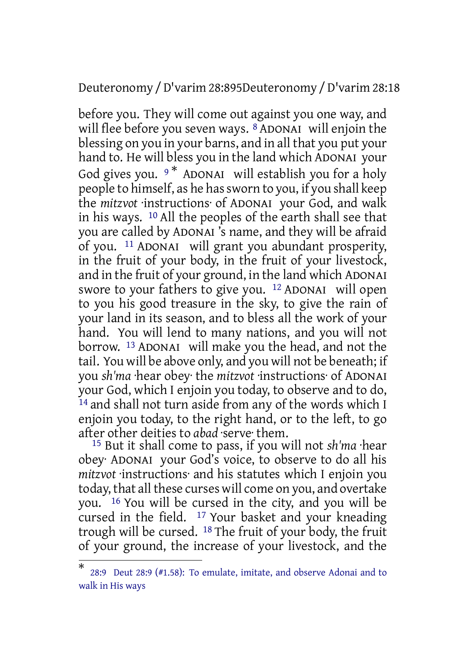Deuteronomy /D'varim 28:895Deuteronomy /D'varim 28:18

before you. They will come out against you one way, and will flee before you seven ways. <sup>8</sup> ADONAI will enjoin the blessing on you in your barns, and in all that you put your hand to. He will bless you in the land which ADONAI your God gives you.  $9*$  ADONAI will establish you for a holy people to himself, as he hassworn to you, if you shall keep the *mitzvot* ·instructions· of ADONAI your God, and walk in his ways. 10 All the peoples of the earth shall see that you are called by ADONAI 's name, and they will be afraid of you. 11 ADONAI will grant you abundant prosperity, in the fruit of your body, in the fruit of your livestock, and in the fruit of your ground, in the land which ADONAI swore to your fathers to give you. 12 ADONAI will open to you his good treasure in the sky, to give the rain of your land in its season, and to bless all the work of your hand. You will lend to many nations, and you will not borrow. 13 ADONAI will make you the head, and not the tail. You will be above only, and you will not be beneath; if you *sh'ma* ·hear obey· the *mitzvot* ·instructions· of ADONAI your God, which I enjoin you today, to observe and to do, 14 and shall not turn aside from any of the words which I enjoin you today, to the right hand, or to the left, to go after other deities to *abad* ·serve· them.

15 But it shall come to pass, if you will not *sh'ma* ·hear obey· ADONAI your God's voice, to observe to do all his *mitzvot* ·instructions· and his statutes which I enjoin you today, that all these curses will come on you, and overtake you. 16 You will be cursed in the city, and you will be cursed in the field.  $17$  Your basket and your kneading trough will be cursed. 18 The fruit of your body, the fruit of your ground, the increase of your livestock, and the

<sup>\*</sup> 28:9 Deut 28:9 (#1.58): To emulate, imitate, and observe Adonai and to walk in His ways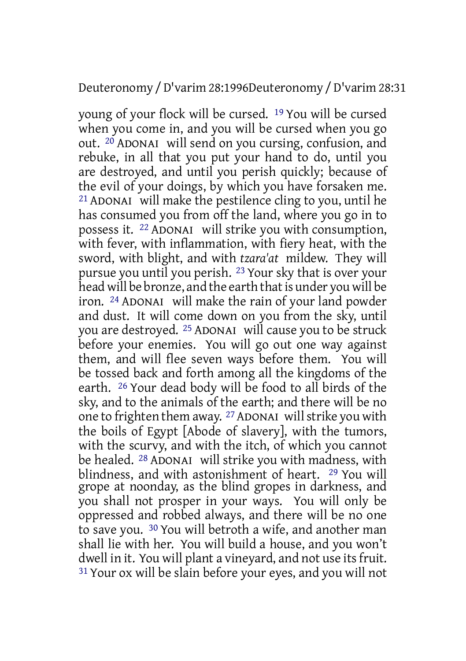#### Deuteronomy /D'varim 28:1996Deuteronomy /D'varim 28:31

young of your flock will be cursed. 19 You will be cursed when you come in, and you will be cursed when you go out. 20 ADONAI will send on you cursing, confusion, and rebuke, in all that you put your hand to do, until you are destroyed, and until you perish quickly; because of the evil of your doings, by which you have forsaken me. 21 ADONAI will make the pestilence cling to you, until he has consumed you from off the land, where you go in to possess it. 22 ADONAI will strike you with consumption, with fever, with inflammation, with fiery heat, with the sword, with blight, and with *tzara'at* mildew. They will pursue you until you perish. 23 Your sky that is over your head will be bronze, and the earth that is under you will be iron. 24 ADONAI will make the rain of your land powder and dust. It will come down on you from the sky, until you are destroyed. 25 ADONAI will cause you to be struck before your enemies. You will go out one way against them, and will flee seven ways before them. You will be tossed back and forth among all the kingdoms of the earth. 26 Your dead body will be food to all birds of the sky, and to the animals of the earth; and there will be no one to frighten them away. 27ADONAI willstrike you with the boils of Egypt [Abode of slavery], with the tumors, with the scurvy, and with the itch, of which you cannot be healed. 28 ADONAI will strike you with madness, with blindness, and with astonishment of heart. 29 You will grope at noonday, as the blind gropes in darkness, and you shall not prosper in your ways. You will only be oppressed and robbed always, and there will be no one to save you. 30 You will betroth a wife, and another man shall lie with her. You will build a house, and you won't dwell in it. You will plant a vineyard, and not use its fruit. 31 Your ox will be slain before your eyes, and you will not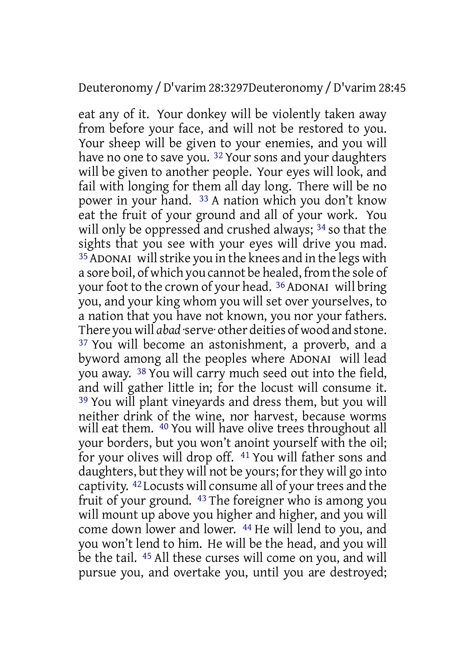eat any of it. Your donkey will be violently taken away from before your face, and will not be restored to you. Your sheep will be given to your enemies, and you will have no one to save you.<sup>32</sup> Your sons and your daughters will be given to another people. Your eyes will look, and fail with longing for them all day long. There will be no power in your hand. 33 A nation which you don't know eat the fruit of your ground and all of your work. You will only be oppressed and crushed always; <sup>34</sup> so that the sights that you see with your eyes will drive you mad. 35ADONAI willstrike you in the knees and in the legs with a sore boil, of which you cannot be healed, from the sole of your foot to the crown of your head. <sup>36</sup> ADONAI will bring you, and your king whom you will set over yourselves, to a nation that you have not known, you nor your fathers. There you will *abad* ·serve· other deities of wood and stone. 37 You will become an astonishment, a proverb, and a byword among all the peoples where ADONAI will lead you away. 38 You will carry much seed out into the field, and will gather little in; for the locust will consume it. 39 You will plant vineyards and dress them, but you will neither drink of the wine, nor harvest, because worms will eat them. <sup>40</sup> You will have olive trees throughout all your borders, but you won't anoint yourself with the oil; for your olives will drop off. 41 You will father sons and daughters, but they will not be yours; for they will go into captivity. <sup>42</sup> Locusts will consume all of your trees and the fruit of your ground. 43 The foreigner who is among you will mount up above you higher and higher, and you will come down lower and lower. 44 He will lend to you, and you won't lend to him. He will be the head, and you will be the tail. 45 All these curses will come on you, and will pursue you, and overtake you, until you are destroyed;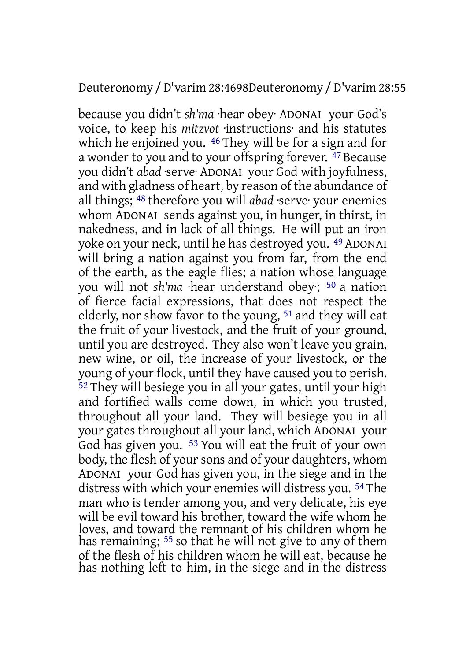#### Deuteronomy /D'varim 28:4698Deuteronomy /D'varim 28:55

because you didn't *sh'ma* ·hear obey· ADONAI your God's voice, to keep his *mitzvot* ·instructions· and his statutes which he enjoined you. <sup>46</sup> They will be for a sign and for a wonder to you and to your offspring forever. <sup>47</sup> Because you didn't *abad* ·serve· ADONAI your God with joyfulness, and with gladness of heart, by reason of the abundance of all things; 48 therefore you will *abad* ·serve· your enemies whom ADONAI sends against you, in hunger, in thirst, in nakedness, and in lack of all things. He will put an iron yoke on your neck, until he has destroyed you. 49 ADONAI will bring a nation against you from far, from the end of the earth, as the eagle flies; a nation whose language you will not *sh'ma* ·hear understand obey·; 50 a nation of fierce facial expressions, that does not respect the elderly, nor show favor to the young, 51 and they will eat the fruit of your livestock, and the fruit of your ground, until you are destroyed. They also won't leave you grain, new wine, or oil, the increase of your livestock, or the young of your flock, until they have caused you to perish. 52 They will besiege you in all your gates, until your high and fortified walls come down, in which you trusted, throughout all your land. They will besiege you in all your gates throughout all your land, which ADONAI your God has given you. 53 You will eat the fruit of your own body, the flesh of your sons and of your daughters, whom ADONAI your God has given you, in the siege and in the distress with which your enemies will distress you. 54 The man who is tender among you, and very delicate, his eye will be evil toward his brother, toward the wife whom he loves, and toward the remnant of his children whom he has remaining; <sup>55</sup> so that he will not give to any of them of the flesh of his children whom he will eat, because he has nothing left to him, in the siege and in the distress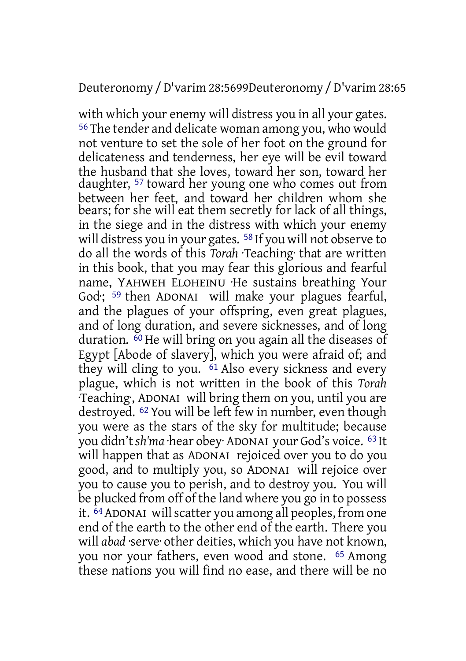#### Deuteronomy /D'varim 28:5699Deuteronomy /D'varim 28:65

with which your enemy will distress you in all your gates. 56 The tender and delicate woman among you, who would not venture to set the sole of her foot on the ground for delicateness and tenderness, her eye will be evil toward the husband that she loves, toward her son, toward her daughter, 57 toward her young one who comes out from between her feet, and toward her children whom she bears; for she will eat them secretly for lack of all things, in the siege and in the distress with which your enemy will distress you in your gates. <sup>58</sup> If you will not observe to do all the words of this *Torah* ·Teaching· that are written in this book, that you may fear this glorious and fearful name, YAHWEH ELOHEINU ·He sustains breathing Your God: <sup>59</sup> then ADONAI will make your plagues fearful, and the plagues of your offspring, even great plagues, and of long duration, and severe sicknesses, and of long duration.  $\overset{\text{60}}{ }$  He will bring on you again all the diseases of Egypt [Abode of slavery], which you were afraid of; and they will cling to you. 61 Also every sickness and every plague, which is not written in the book of this *Torah* ·Teaching·, ADONAI will bring them on you, until you are destroyed. 62 You will be left few in number, even though you were as the stars of the sky for multitude; because you didn't*sh'ma* ·hear obey· ADONAI your God's voice. 63 It will happen that as ADONAI rejoiced over you to do you good, and to multiply you, so ADONAI will rejoice over you to cause you to perish, and to destroy you. You will be plucked from off of the land where you go in to possess it.  $\overline{64}$  ADONAI will scatter you among all peoples, from one end of the earth to the other end of the earth. There you will *abad* ·serve· other deities, which you have not known, you nor your fathers, even wood and stone. 65 Among these nations you will find no ease, and there will be no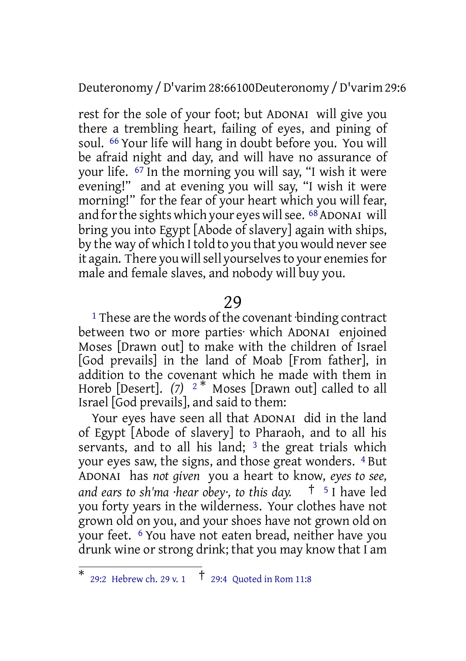Deuteronomy /D'varim 28:66100Deuteronomy /D'varim 29:6

rest for the sole of your foot; but ADONAI will give you there a trembling heart, failing of eyes, and pining of soul. 66 Your life will hang in doubt before you. You will be afraid night and day, and will have no assurance of your life. 67 In the morning you will say, "I wish it were evening!" and at evening you will say, "I wish it were morning!" for the fear of your heart which you will fear, and for the sights which your eyes will see. <sup>68</sup> ADONAI will bring you into Egypt [Abode of slavery] again with ships, by the way of which I told to you that you would neversee it again. There you will sell yourselves to your enemies for male and female slaves, and nobody will buy you.

#### 29

<sup>1</sup> These are the words of the covenant binding contract between two or more parties· which ADONAI enjoined Moses [Drawn out] to make with the children of Israel [God prevails] in the land of Moab [From father], in addition to the covenant which he made with them in Horeb [Desert]. *(7)* <sup>2</sup> \* Moses [Drawn out] called to all Israel [God prevails], and said to them:

Your eyes have seen all that ADONAI did in the land of Egypt [Abode of slavery] to Pharaoh, and to all his servants, and to all his land;  $3$  the great trials which your eyes saw, the signs, and those great wonders. 4 But ADONAI has *not given* you a heart to know, *eyes to see, and ears to sh'ma ·hear obey·, to this day.* † <sup>5</sup> I have led you forty years in the wilderness. Your clothes have not grown old on you, and your shoes have not grown old on your feet. 6 You have not eaten bread, neither have you drunk wine or strong drink; that you may know that I am

<sup>\*</sup> 29:2 Hebrew ch. 29 v. 1  $\frac{1}{2}$  29:4 Quoted in Rom 11:8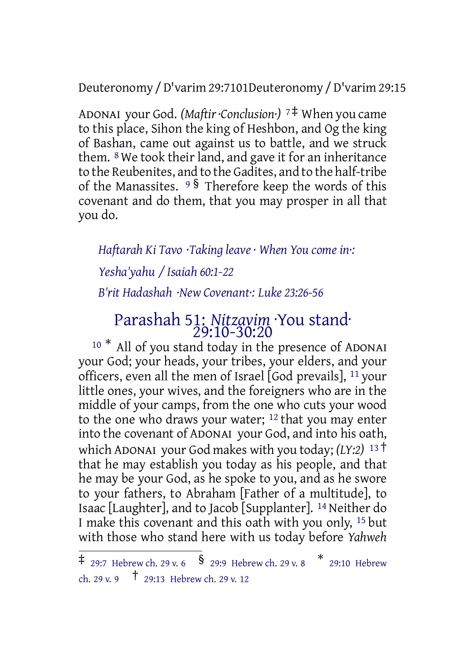Deuteronomy /D'varim 29:7101Deuteronomy /D'varim 29:15

ADONAI your God. *(Maftir·Conclusion·)* <sup>7</sup> ‡ When you came to this place, Sihon the king of Heshbon, and Og the king of Bashan, came out against us to battle, and we struck them. 8 We took their land, and gave it for an inheritance to the Reubenites, and to the Gadites, and to the half-tribe of the Manassites. <sup>9</sup> § Therefore keep the words of this covenant and do them, that you may prosper in all that you do.

*Haftarah Ki Tavo ·Taking leave · When You come in·:*

*Yesha'yahu / Isaiah 60:1-22*

*B'rit Hadashah ·New Covenant·: Luke 23:26-56*

## Parashah 51: *Nitzavim* ·You stand· 29:10-30:20

<sup>10 \*</sup> All of you stand today in the presence of ADONAI your God; your heads, your tribes, your elders, and your officers, even all the men of Israel  $[God\>prevalues]$ ,  $11\,$ your little ones, your wives, and the foreigners who are in the middle of your camps, from the one who cuts your wood to the one who draws your water; 12 that you may enter into the covenant of ADONAI your God, and into his oath, which ADONAI your God makes with you today; *(LY:2)* <sup>13</sup> † that he may establish you today as his people, and that he may be your God, as he spoke to you, and as he swore to your fathers, to Abraham [Father of a multitude], to Isaac [Laughter], and to Jacob [Supplanter]. 14 Neither do I make this covenant and this oath with you only, 15 but with those who stand here with us today before *Yahweh*

 $\ddagger$  29:7 Hebrew ch. 29 v. 6  $\,$   $\frac{\pi}{3}$  29:9 Hebrew ch. 29 v. 8  $\,$   $\frac{\pi}{3}$  29:10 Hebrew ch. 29 v. 9  $\uparrow$  29:13 Hebrew ch. 29 v. 12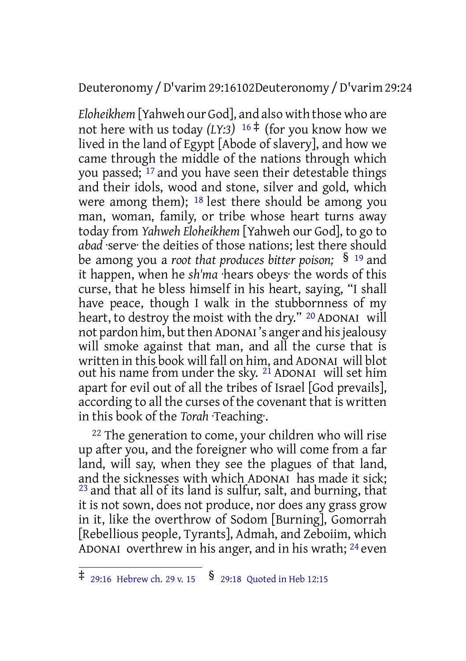Deuteronomy /D'varim 29:16102Deuteronomy /D'varim 29:24

*Eloheikhem* [Yahweh our God], and also with those who are not here with us today  $(LY:3)^{16}$ <sup>‡</sup> (for you know how we lived in the land of Egypt [Abode of slavery], and how we came through the middle of the nations through which you passed; <sup>17</sup> and you have seen their detestable things and their idols, wood and stone, silver and gold, which were among them); 18 lest there should be among you man, woman, family, or tribe whose heart turns away today from *Yahweh Eloheikhem* [Yahweh our God], to go to *abad* ·serve· the deities of those nations; lest there should be among you a *root that produces bitter poison;* § <sup>19</sup> and it happen, when he *sh'ma* ·hears obeys· the words of this curse, that he bless himself in his heart, saying, "I shall have peace, though I walk in the stubbornness of my heart, to destroy the moist with the dry." <sup>20</sup> ADONAI will not pardon him, but then ADONAI's anger and his jealousy will smoke against that man, and all the curse that is written in this book will fall on him, and ADONAI will blot out his name from under the sky. <sup>21</sup> ADONAI will set him apart for evil out of all the tribes of Israel [God prevails], according to all the curses of the covenant that is written in this book of the *Torah* ·Teaching·.

<sup>22</sup> The generation to come, your children who will rise up after you, and the foreigner who will come from a far land, will say, when they see the plagues of that land, and the sicknesses with which ADONAI has made it sick;  $^{23}$  and that all of its land is sulfur, salt, and burning, that it is not sown, does not produce, nor does any grass grow in it, like the overthrow of Sodom [Burning], Gomorrah [Rebellious people, Tyrants], Admah, and Zeboiim, which ADONAI overthrew in his anger, and in his wrath; 24 even

 $\ddagger$  29:16 Hebrew ch. 29 v. 15  $\frac{1}{2}$  29:18 Quoted in Heb 12:15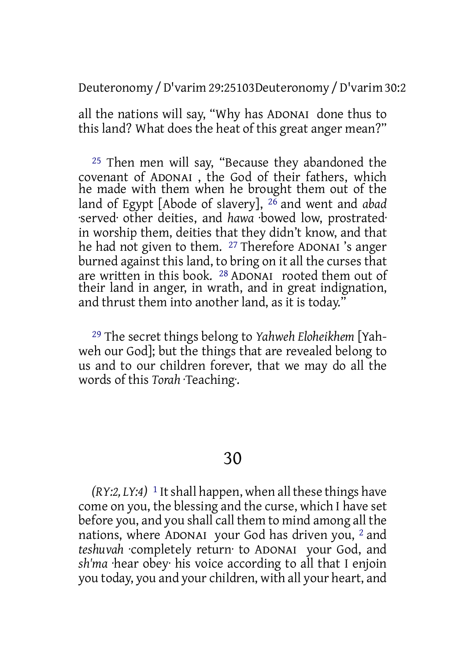Deuteronomy /D'varim 29:25103Deuteronomy /D'varim 30:2

all the nations will say, "Why has ADONAI done thus to this land? What does the heat of this great anger mean?"

25 Then men will say, "Because they abandoned the covenant of ADONAI , the God of their fathers, which he made with them when he brought them out of the land of Egypt [Abode of slavery], 26 and went and *abad* ·served· other deities, and *hawa* ·bowed low, prostrated· in worship them, deities that they didn't know, and that he had not given to them. 27 Therefore ADONAI 's anger burned against this land, to bring on it all the curses that are written in this book. 28 ADONAI rooted them out of their land in anger, in wrath, and in great indignation, and thrust them into another land, as it is today."

29 The secret things belong to *Yahweh Eloheikhem* [Yahweh our God]; but the things that are revealed belong to us and to our children forever, that we may do all the words of this *Torah* ·Teaching·.

## 30

 $(RY:2, LY:4)$ <sup>1</sup> It shall happen, when all these things have come on you, the blessing and the curse, which I have set before you, and you shall call them to mind among all the nations, where ADONAI your God has driven you, 2 and *teshuvah* ·completely return· to ADONAI your God, and *sh'ma* ·hear obey· his voice according to all that I enjoin you today, you and your children, with all your heart, and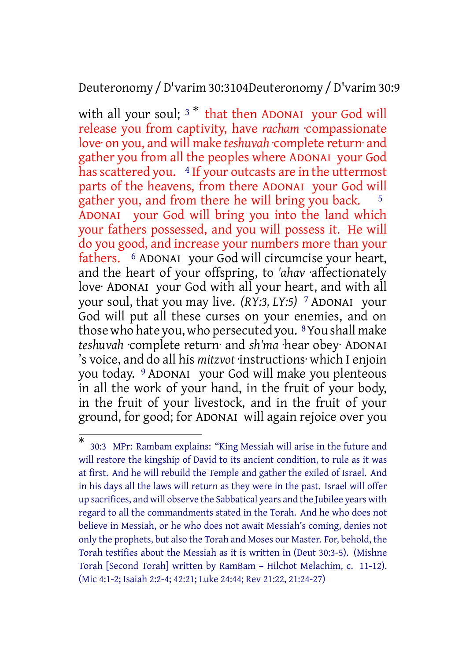Deuteronomy /D'varim 30:3104Deuteronomy /D'varim 30:9

with all your soul;  $3 *$  that then ADONAI your God will release you from captivity, have *racham* ·compassionate love· on you, and will make *teshuvah* ·complete return· and gather you from all the peoples where ADONAI your God has scattered you. 4 If your outcasts are in the uttermost parts of the heavens, from there ADONAI your God will gather you, and from there he will bring you back. <sup>5</sup> ADONAI your God will bring you into the land which your fathers possessed, and you will possess it. He will do you good, and increase your numbers more than your fathers. 6 ADONAI your God will circumcise your heart, and the heart of your offspring, to *'ahav* ·affectionately love· ADONAI your God with all your heart, and with all your soul, that you may live. *(RY:3, LY:5)* 7 ADONAI your God will put all these curses on your enemies, and on those who hate you, who persecuted you. 8You shall make *teshuvah* ·complete return· and *sh'ma* ·hear obey· ADONAI 's voice, and do all his *mitzvot* ·instructions· which I enjoin you today. 9 ADONAI your God will make you plenteous in all the work of your hand, in the fruit of your body, in the fruit of your livestock, and in the fruit of your ground, for good; for ADONAI will again rejoice over you

<sup>\*</sup> 30:3 MPr: Rambam explains: "King Messiah will arise in the future and will restore the kingship of David to its ancient condition, to rule as it was at first. And he will rebuild the Temple and gather the exiled of Israel. And in his days all the laws will return as they were in the past. Israel will offer up sacrifices, and will observe the Sabbatical years and the Jubilee years with regard to all the commandments stated in the Torah. And he who does not believe in Messiah, or he who does not await Messiah's coming, denies not only the prophets, but also the Torah and Moses our Master. For, behold, the Torah testifies about the Messiah as it is written in (Deut 30:3-5). (Mishne Torah [Second Torah] written by RamBam – Hilchot Melachim, c. 11-12). (Mic 4:1-2; Isaiah 2:2-4; 42:21; Luke 24:44; Rev 21:22, 21:24-27)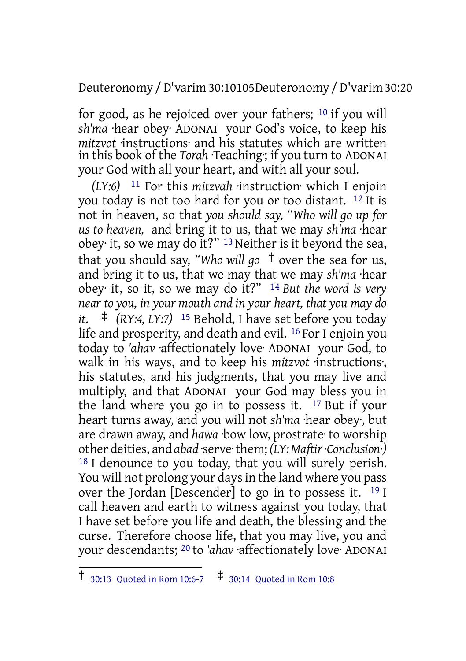Deuteronomy /D'varim 30:10105Deuteronomy /D'varim 30:20

for good, as he rejoiced over your fathers; 10 if you will *sh'ma* ·hear obey· ADONAI your God's voice, to keep his *mitzvot* ·instructions· and his statutes which are written in this book of the *Torah* ·Teaching; if you turn to ADONAI your God with all your heart, and with all your soul.

*(LY:6)* 11 For this *mitzvah* ·instruction· which I enjoin you today is not too hard for you or too distant. 12 It is not in heaven, so that *you should say, "Who will go up for us to heaven,* and bring it to us, that we may *sh'ma* ·hear obey· it, so we may do it?" 13 Neither is it beyond the sea, that you should say, *"Who will go* † over the sea for us, and bring it to us, that we may that we may *sh'ma* ·hear obey· it, so it, so we may do it?" 14 *But the word is very near to you, in your mouth and in your heart, that you may do it.* ‡ *(RY:4, LY:7)* <sup>15</sup> Behold, I have set before you today life and prosperity, and death and evil. 16 For I enjoin you today to *'ahav* ·affectionately love· ADONAI your God, to walk in his ways, and to keep his *mitzvot* ·instructions·, his statutes, and his judgments, that you may live and multiply, and that ADONAI your God may bless you in the land where you go in to possess it. 17 But if your heart turns away, and you will not *sh'ma* ·hear obey·, but are drawn away, and *hawa* ·bow low, prostrate· to worship other deities, and *abad* ·serve·them; *(LY:Maftir·Conclusion·)* 18 I denounce to you today, that you will surely perish. You will not prolong your days in the land where you pass over the Jordan [Descender] to go in to possess it.  $19$  I call heaven and earth to witness against you today, that I have set before you life and death, the blessing and the curse. Therefore choose life, that you may live, you and your descendants; 20 to *'ahav* ·affectionately love· ADONAI

<sup>†</sup> 30:13 Quoted in Rom 10:6-7 ‡ 30:14 Quoted in Rom 10:8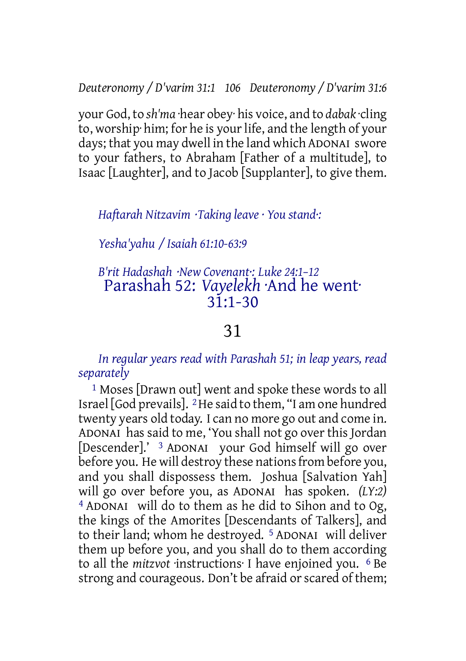*Deuteronomy / D'varim 31:1 106 Deuteronomy / D'varim 31:6*

your God, to *sh'ma* ·hear obey· his voice, and to *dabak* ·cling to, worship him; for he is your life, and the length of your days; that you may dwell in the land which ADONAI swore to your fathers, to Abraham [Father of a multitude], to Isaac [Laughter], and to Jacob [Supplanter], to give them.

*Haftarah Nitzavim ·Taking leave · You stand·:*

*Yesha'yahu / Isaiah 61:10-63:9*

## *B'rit Hadashah ·New Covenant·: Luke 24:1–12* Parashah 52: *Vayelekh* ·And he went·  $31:1-30$

## 31

*In regular years read with Parashah 51; in leap years, read separately*

1 Moses [Drawn out] went and spoke these words to all Israel [God prevails]. 2He said to them, "I am one hundred twenty years old today. I can no more go out and come in. ADONAI has said to me, 'You shall not go over this Jordan [Descender].' 3 ADONAI your God himself will go over before you. He will destroy these nations from before you, and you shall dispossess them. Joshua [Salvation Yah] will go over before you, as ADONAI has spoken. *(LY:2)* 4 ADONAI will do to them as he did to Sihon and to Og, the kings of the Amorites [Descendants of Talkers], and to their land; whom he destroyed. 5 ADONAI will deliver them up before you, and you shall do to them according to all the *mitzvot* ·instructions· I have enjoined you. 6 Be strong and courageous. Don't be afraid or scared of them;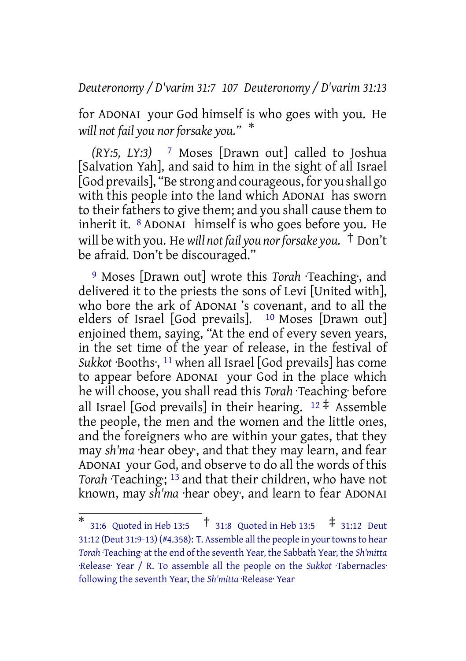#### *Deuteronomy / D'varim 31:7 107 Deuteronomy / D'varim 31:13*

for ADONAI your God himself is who goes with you. He *will not fail you nor forsake you."* \*

*(RY:5, LY:3)* 7 Moses [Drawn out] called to Joshua [Salvation Yah], and said to him in the sight of all Israel [God prevails], "Be strong and courageous, for you shall go with this people into the land which ADONAI has sworn to their fathers to give them; and you shall cause them to inherit it.  $8$  ADONAI himself is who goes before you. He will be with you. He *will not fail you norforsake you.* † Don't be afraid. Don't be discouraged."

9 Moses [Drawn out] wrote this *Torah* ·Teaching·, and delivered it to the priests the sons of Levi [United with], who bore the ark of ADONAI 's covenant, and to all the elders of Israel [God prevails]. <sup>10</sup> Moses [Drawn out] enjoined them, saying, "At the end of every seven years, in the set time of the year of release, in the festival of *Sukkot* ·Booths·, 11 when all Israel [God prevails] has come to appear before ADONAI your God in the place which he will choose, you shall read this *Torah* ·Teaching· before all Israel [God prevails] in their hearing.  $12 \div A$  Assemble the people, the men and the women and the little ones, and the foreigners who are within your gates, that they may *sh'ma* ·hear obey·, and that they may learn, and fear ADONAI your God, and observe to do all the words of this Torah Teaching; <sup>13</sup> and that their children, who have not known, may *sh'ma* ·hear obey·, and learn to fear ADONAI

<sup>\*</sup> 31:6 Quoted in Heb 13:5 † 31:8 Quoted in Heb 13:5 ‡ 31:12 Deut 31:12 (Deut 31:9-13) (#4.358): T. Assemble all the people in yourtownsto hear *Torah* ·Teaching· at the end of the seventh Year, the Sabbath Year, the *Sh'mitta* ·Release· Year / R. To assemble all the people on the *Sukkot* ·Tabernacles· following the seventh Year, the *Sh'mitta* ·Release· Year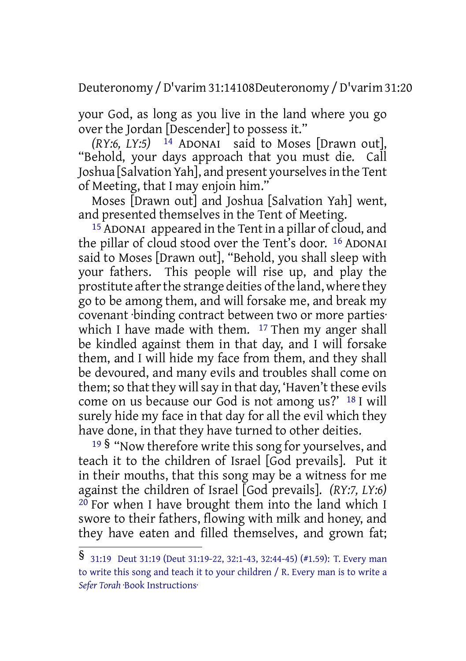Deuteronomy /D'varim 31:14108Deuteronomy /D'varim 31:20

your God, as long as you live in the land where you go over the Jordan [Descender] to possess it."

*(RY:6, LY:5)* 14 ADONAI said to Moses [Drawn out], "Behold, your days approach that you must die. Call Joshua [Salvation Yah], and present yourselvesin the Tent of Meeting, that I may enjoin him."

Moses [Drawn out] and Joshua [Salvation Yah] went, and presented themselves in the Tent of Meeting.

 $15$  ADONAI appeared in the Tent in a pillar of cloud, and the pillar of cloud stood over the Tent's door. 16 ADONAI said to Moses [Drawn out], "Behold, you shall sleep with your fathers. This people will rise up, and play the prostitute after the strange deities of the land, where they go to be among them, and will forsake me, and break my covenant ·binding contract between two or more parties· which I have made with them. <sup>17</sup> Then my anger shall be kindled against them in that day, and I will forsake them, and I will hide my face from them, and they shall be devoured, and many evils and troubles shall come on them; so that they will say in that day, 'Haven't these evils come on us because our God is not among us?' 18 I will surely hide my face in that day for all the evil which they have done, in that they have turned to other deities.

<sup>19</sup> § "Now therefore write this song for yourselves, and teach it to the children of Israel [God prevails]. Put it in their mouths, that this song may be a witness for me against the children of Israel [God prevails]. *(RY:7, LY:6)*  $20$  For when I have brought them into the land which I swore to their fathers, flowing with milk and honey, and they have eaten and filled themselves, and grown fat;

<sup>§</sup> 31:19 Deut 31:19 (Deut 31:19-22, 32:1-43, 32:44-45) (#1.59): T. Every man to write this song and teach it to your children / R. Every man is to write a *Sefer Torah* ·Book Instructions·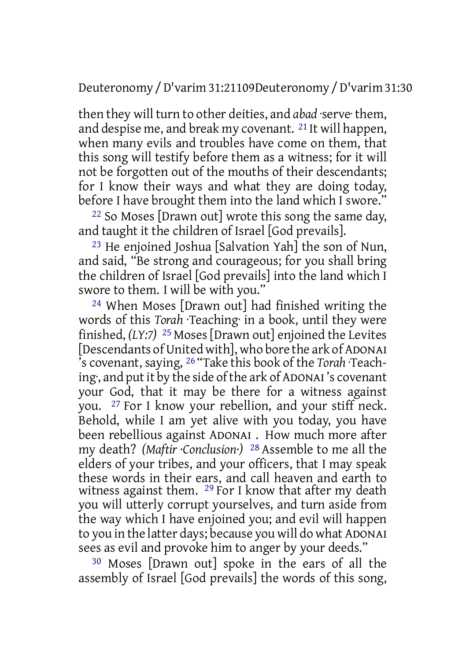Deuteronomy /D'varim 31:21109Deuteronomy /D'varim 31:30

then they will turn to other deities, and *abad* ·serve· them, and despise me, and break my covenant. 21 It will happen, when many evils and troubles have come on them, that this song will testify before them as a witness; for it will not be forgotten out of the mouths of their descendants; for I know their ways and what they are doing today, before I have brought them into the land which I swore."

22 So Moses [Drawn out] wrote this song the same day, and taught it the children of Israel [God prevails].

<sup>23</sup> He enjoined Joshua [Salvation Yah] the son of Nun, and said, "Be strong and courageous; for you shall bring the children of Israel [God prevails] into the land which I swore to them. I will be with you."

24 When Moses [Drawn out] had finished writing the words of this *Torah* ·Teaching· in a book, until they were finished, *(LY:7)* 25 Moses [Drawn out] enjoined the Levites [Descendants of United with], who bore the ark of ADONAI 's covenant, saying, 26 "Take this book of the *Torah* ·Teaching·, and putit by the side ofthe ark of ADONAI 's covenant your God, that it may be there for a witness against you. 27 For I know your rebellion, and your stiff neck. Behold, while I am yet alive with you today, you have been rebellious against ADONAI . How much more after my death? *(Maftir ·Conclusion·)* 28 Assemble to me all the elders of your tribes, and your officers, that I may speak these words in their ears, and call heaven and earth to witness against them. <sup>29</sup> For I know that after my death you will utterly corrupt yourselves, and turn aside from the way which I have enjoined you; and evil will happen to you in the latter days; because you will do what ADONAI sees as evil and provoke him to anger by your deeds."

30 Moses [Drawn out] spoke in the ears of all the assembly of Israel [God prevails] the words of this song,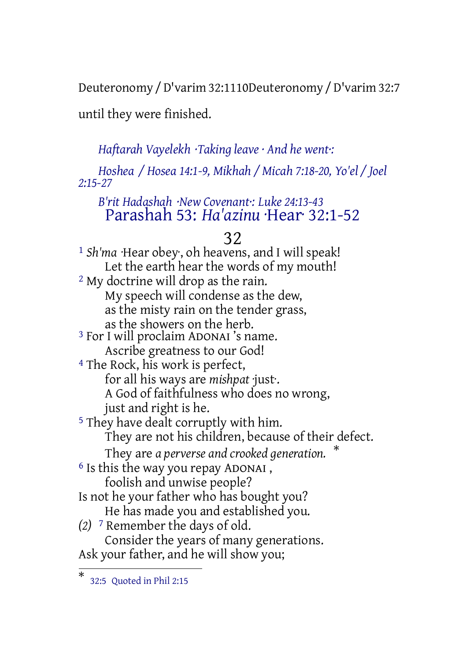Deuteronomy /D'varim 32:1110Deuteronomy /D'varim 32:7

until they were finished.

*Haftarah Vayelekh ·Taking leave · And he went·:*

*Hoshea / Hosea 14:1-9, Mikhah / Micah 7:18-20, Yo'el / Joel 2:15-27*

## *B'rit Hadashah ·New Covenant·: Luke 24:13-43* Parashah 53: *Ha'azinu* ·Hear· 32:1-52

# 32

1 *Sh'ma* ·Hear obey·, oh heavens, and I will speak! Let the earth hear the words of my mouth! 2 My doctrine will drop as the rain. My speech will condense as the dew, as the misty rain on the tender grass, as the showers on the herb. 3 For I will proclaim ADONAI 's name. Ascribe greatness to our God! 4 The Rock, his work is perfect, for all his ways are *mishpat* ·just·. A God of faithfulness who does no wrong, just and right is he. 5 They have dealt corruptly with him. They are not his children, because of their defect. They are *a perverse and crooked generation.* \* 6 Is this the way you repay ADONAI , foolish and unwise people? Is not he your father who has bought you? He has made you and established you. *(2)* 7 Remember the days of old. Consider the years of many generations. Ask your father, and he will show you;

<sup>\*</sup> 32:5 Quoted in Phil 2:15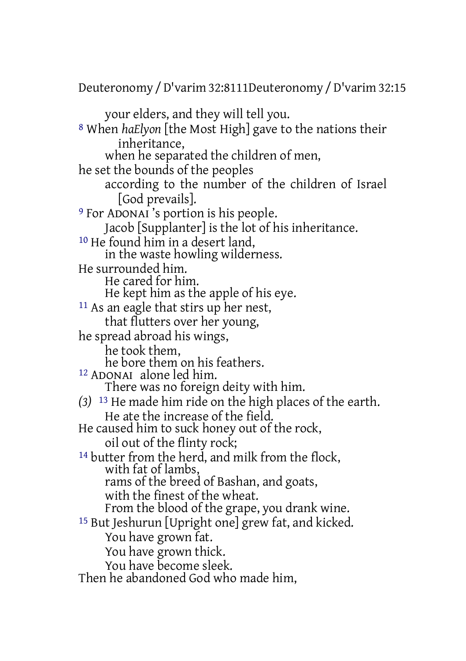Deuteronomy /D'varim 32:8111Deuteronomy /D'varim 32:15

your elders, and they will tell you. 8 When *haElyon* [the Most High] gave to the nations their inheritance, when he separated the children of men, he set the bounds of the peoples according to the number of the children of Israel [God prevails]. 9 For ADONAI 's portion is his people. Jacob [Supplanter] is the lot of his inheritance. <sup>10</sup> He found him in a desert land. in the waste howling wilderness. He surrounded him. He cared for him. He kept him as the apple of his eye. 11 As an eagle that stirs up her nest, that flutters over her young, he spread abroad his wings, he took them, he bore them on his feathers. 12 ADONAI alone led him. There was no foreign deity with him. *(3)* 13 He made him ride on the high places of the earth. He ate the increase of the field. He caused him to suck honey out of the rock, oil out of the flinty rock; 14 butter from the herd, and milk from the flock, with fat of lambs, rams of the breed of Bashan, and goats, with the finest of the wheat. From the blood of the grape, you drank wine. 15 But Jeshurun [Upright one] grew fat, and kicked. You have grown fat. You have grown thick. You have become sleek. Then he abandoned God who made him,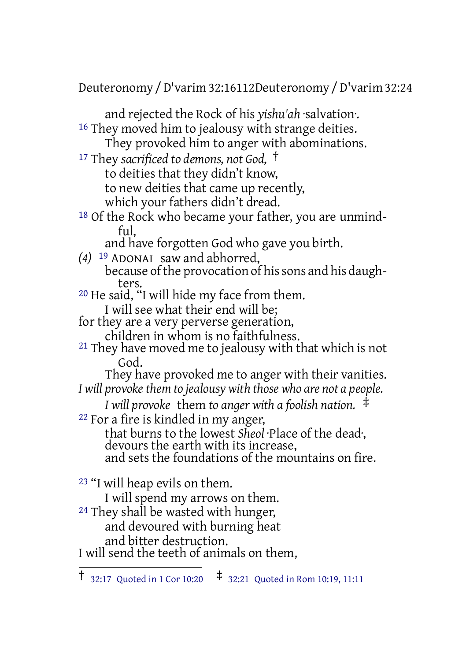Deuteronomy /D'varim 32:16112Deuteronomy /D'varim 32:24

and rejected the Rock of his *yishu'ah* ·salvation·. <sup>16</sup> They moved him to jealousy with strange deities.

They provoked him to anger with abominations.

<sup>17</sup> They *sacrificed to demons, not God,* † to deities that they didn't know, to new deities that came up recently,

which your fathers didn't dread.

- 18 Of the Rock who became your father, you are unmindful,
	- and have forgotten God who gave you birth.
- *(4)* 19 ADONAI saw and abhorred, because of the provocation of his sons and his daughters.
- 20 He said, "I will hide my face from them. I will see what their end will be;
- for they are a very perverse generation,
- children in whom is no faithfulness.
- <sup>21</sup> They have moved me to jealousy with that which is not God.

They have provoked me to anger with their vanities. *I will provokethem to jealousy with those who are not a people.*

*I will provoke* them *to anger with a foolish nation.* ‡ 22 For a fire is kindled in my anger,

that burns to the lowest *Sheol* ·Place of the dead·, devours the earth with its increase, and sets the foundations of the mountains on fire.

23 "I will heap evils on them.

I will spend my arrows on them.

<sup>24</sup> They shall be wasted with hunger, and devoured with burning heat

and bitter destruction.

I will send the teeth of animals on them,

<sup>†</sup> 32:17 Quoted in <sup>1</sup> Cor 10:20 ‡ 32:21 Quoted in Rom 10:19, 11:11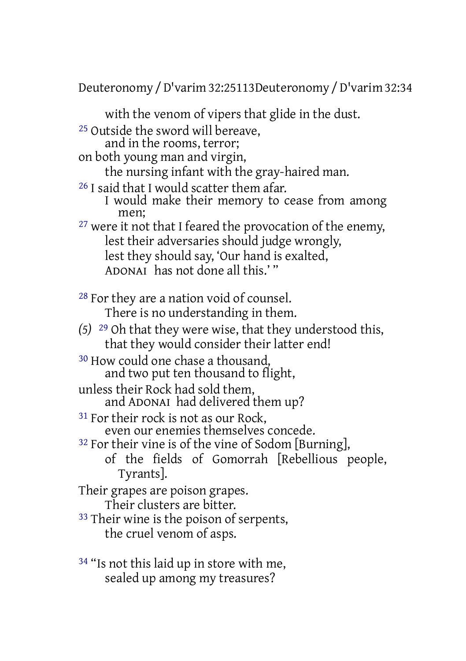Deuteronomy /D'varim 32:25113Deuteronomy /D'varim 32:34

with the venom of vipers that glide in the dust. 25 Outside the sword will bereave, and in the rooms, terror; on both young man and virgin, the nursing infant with the gray-haired man. 26 I said that I would scatter them afar. I would make their memory to cease from among men; <sup>27</sup> were it not that I feared the provocation of the enemy, lest their adversaries should judge wrongly, lest they should say, 'Our hand is exalted, ADONAI has not done all this.' " 28 For they are a nation void of counsel. There is no understanding in them. *(5)* 29 Oh that they were wise, that they understood this, that they would consider their latter end! 30 How could one chase a thousand, and two put ten thousand to flight, unless their Rock had sold them, and ADONAI had delivered them up? <sup>31</sup> For their rock is not as our Rock, even our enemies themselves concede. 32 For their vine is of the vine of Sodom [Burning], of the fields of Gomorrah [Rebellious people, Tyrants]. Their grapes are poison grapes. Their clusters are bitter. 33 Their wine is the poison of serpents, the cruel venom of asps.

<sup>34</sup> "Is not this laid up in store with me, sealed up among my treasures?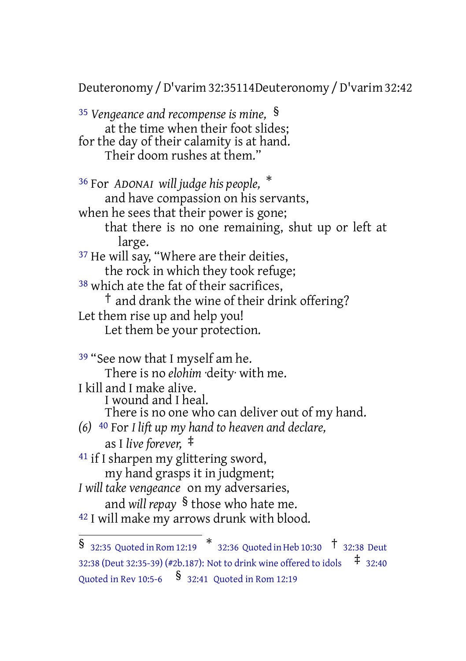Deuteronomy /D'varim 32:35114Deuteronomy /D'varim 32:42

<sup>35</sup> *Vengeance and recompense is mine,* § at the time when their foot slides; for the day of their calamity is at hand. Their doom rushes at them."

<sup>36</sup> For *ADONAI will judge his people,* \* and have compassion on his servants, when he sees that their power is gone; that there is no one remaining, shut up or left at large. <sup>37</sup> He will say, "Where are their deities, the rock in which they took refuge; <sup>38</sup> which ate the fat of their sacrifices, † and drank the wine of their drink offering? Let them rise up and help you! Let them be your protection.

39 "See now that I myself am he. There is no *elohim* ·deity· with me. I kill and I make alive. I wound and I heal. There is no one who can deliver out of my hand. *(6)* 40 For *I lift up my hand to heaven and declare,* as I *live forever,* ‡

- <sup>41</sup> if I sharpen my glittering sword, my hand grasps it in judgment;
- *I will take vengeance* on my adversaries, and *will repay* § those who hate me.
- 42 I will make my arrows drunk with blood.

 $\frac{1}{3}$  32:35 Quoted in Rom 12:19  $\frac{*}{3}$  32:36 Quoted in Heb 10:30  $\frac{1}{3}$  32:38 Deut 32:38 (Deut 32:35-39) (#2b.187): Not to drink wine offered to idols ‡ 32:40 Quoted in Rev 10:5-6 § 32:41 Quoted in Rom 12:19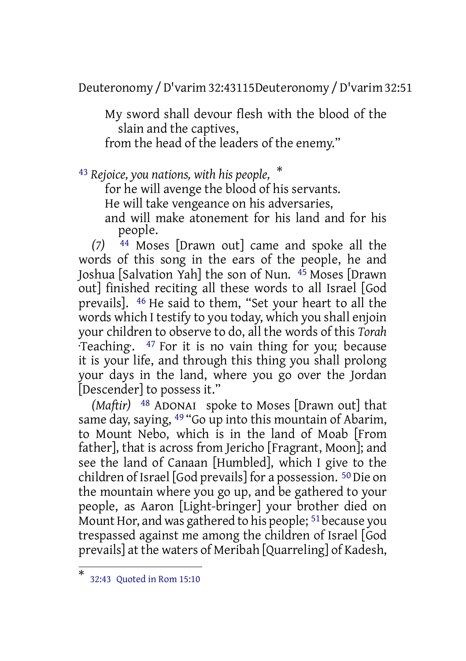Deuteronomy /D'varim 32:43115Deuteronomy /D'varim 32:51

My sword shall devour flesh with the blood of the slain and the captives, from the head of the leaders of the enemy."

<sup>43</sup> *Rejoice, you nations, with his people,* \*

for he will avenge the blood of his servants.

He will take vengeance on his adversaries,

and will make atonement for his land and for his people.

*(7)* 44 Moses [Drawn out] came and spoke all the words of this song in the ears of the people, he and Joshua [Salvation Yah] the son of Nun. 45 Moses [Drawn out] finished reciting all these words to all Israel [God prevails]. 46 He said to them, "Set your heart to all the words which I testify to you today, which you shall enjoin your children to observe to do, all the words of this *Torah* ·Teaching·. 47 For it is no vain thing for you; because it is your life, and through this thing you shall prolong your days in the land, where you go over the Jordan [Descender] to possess it."

*(Maftir)* 48 ADONAI spoke to Moses [Drawn out] that same day, saying, <sup>49</sup> "Go up into this mountain of Abarim, to Mount Nebo, which is in the land of Moab [From father], that is across from Jericho [Fragrant, Moon]; and see the land of Canaan [Humbled], which I give to the children of Israel [God prevails] for a possession. 50Die on the mountain where you go up, and be gathered to your people, as Aaron [Light-bringer] your brother died on Mount Hor, and was gathered to his people; <sup>51</sup> because you trespassed against me among the children of Israel [God prevails] at the waters of Meribah [Quarreling] of Kadesh,

<sup>\*</sup> 32:43 Quoted in Rom 15:10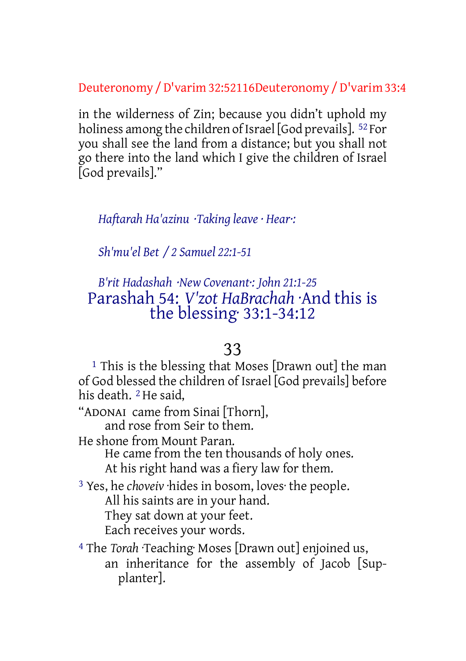Deuteronomy /D'varim 32:52116Deuteronomy /D'varim 33:4

in the wilderness of Zin; because you didn't uphold my holiness among the children of Israel [God prevails].  $52$  For you shall see the land from a distance; but you shall not go there into the land which I give the children of Israel [God prevails]."

*Haftarah Ha'azinu ·Taking leave · Hear·:*

*Sh'mu'el Bet / 2 Samuel 22:1-51*

# *B'rit Hadashah ·New Covenant·: John 21:1-25* Parashah 54: *V'zot HaBrachah* ·And this is the blessing· 33:1-34:12

# 33

1 This is the blessing that Moses [Drawn out] the man of God blessed the children of Israel [God prevails] before his death. 2 He said,

"ADONAI came from Sinai [Thorn], and rose from Seir to them.

He shone from Mount Paran.

He came from the ten thousands of holy ones. At his right hand was a fiery law for them.

3 Yes, he *choveiv* ·hides in bosom, loves· the people. All his saints are in your hand. They sat down at your feet.

Each receives your words.

4 The *Torah* ·Teaching· Moses [Drawn out] enjoined us, an inheritance for the assembly of Jacob [Supplanter].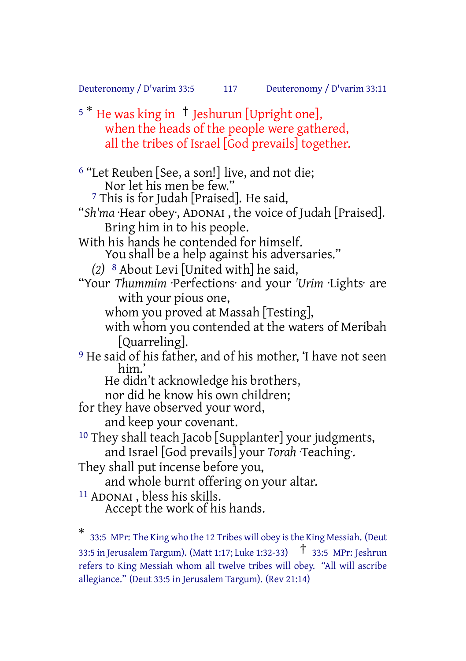Deuteronomy / D'varim 33:5 117 Deuteronomy / D'varim 33:11

<sup>5</sup> <sup>\*</sup> He was king in <sup>†</sup> Jeshurun [Upright one], when the heads of the people were gathered, all the tribes of Israel [God prevails] together.

<sup>6</sup> "Let Reuben [See, a son!] live, and not die; Nor let his men be few." 7 This is for Judah [Praised]. He said, "*Sh'ma* ·Hear obey·, ADONAI , the voice of Judah [Praised]. Bring him in to his people. With his hands he contended for himself. You shall be a help against his adversaries." *(2)* 8 About Levi [United with] he said, "Your *Thummim* ·Perfections· and your *'Urim* ·Lights· are with your pious one, whom you proved at Massah [Testing], with whom you contended at the waters of Meribah [Quarreling]. <sup>9</sup> He said of his father, and of his mother, 'I have not seen him.' He didn't acknowledge his brothers, nor did he know his own children; for they have observed your word, and keep your covenant. 10 They shall teach Jacob [Supplanter] your judgments, and Israel [God prevails] your *Torah* ·Teaching·. They shall put incense before you, and whole burnt offering on your altar. 11 ADONAI , bless his skills. Accept the work of his hands.

<sup>\*</sup> 33:5 MPr: The King who the 12 Tribes will obey isthe King Messiah. (Deut 33:5 in Jerusalem Targum). (Matt 1:17; Luke 1:32-33) † 33:5 MPr: Jeshrun refers to King Messiah whom all twelve tribes will obey. "All will ascribe allegiance." (Deut 33:5 in Jerusalem Targum). (Rev 21:14)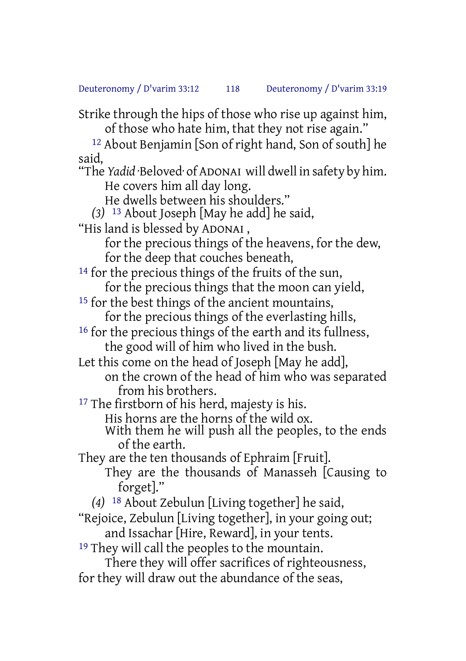Strike through the hips of those who rise up against him, of those who hate him, that they not rise again."

12 About Benjamin [Son of right hand, Son of south] he said,

"The *Yadid* ·Beloved· of ADONAI will dwell in safety by him. He covers him all day long.

He dwells between his shoulders."

*(3)* 13 About Joseph [May he add] he said,

"His land is blessed by ADONAI ,

for the precious things of the heavens, for the dew, for the deep that couches beneath,

14 for the precious things of the fruits of the sun, for the precious things that the moon can yield,

15 for the best things of the ancient mountains,

for the precious things of the everlasting hills, 16 for the precious things of the earth and its fullness,

the good will of him who lived in the bush.

Let this come on the head of Joseph [May he add],

on the crown of the head of him who was separated from his brothers.

<sup>17</sup> The firstborn of his herd, majesty is his.

His horns are the horns of the wild ox.

With them he will push all the peoples, to the ends of the earth.

They are the ten thousands of Ephraim [Fruit].

They are the thousands of Manasseh [Causing to forget]."

*(4)* 18 About Zebulun [Living together] he said,

"Rejoice, Zebulun [Living together], in your going out; and Issachar [Hire, Reward], in your tents.

<sup>19</sup> They will call the peoples to the mountain.

There they will offer sacrifices of righteousness, for they will draw out the abundance of the seas,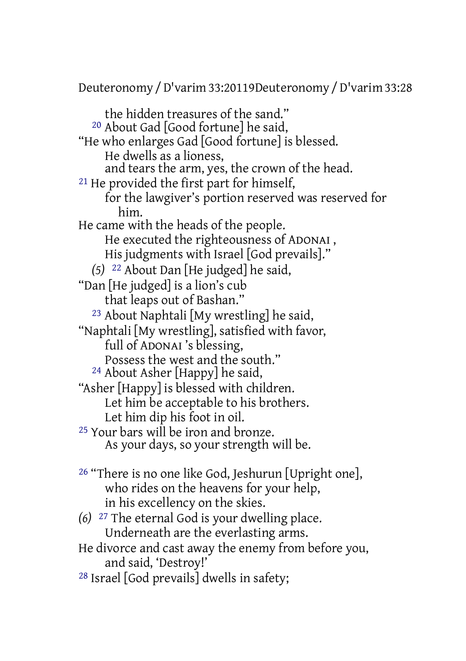Deuteronomy /D'varim 33:20119Deuteronomy /D'varim 33:28

the hidden treasures of the sand." 20 About Gad [Good fortune] he said, "He who enlarges Gad [Good fortune] is blessed. He dwells as a lioness, and tears the arm, yes, the crown of the head. 21 He provided the first part for himself, for the lawgiver's portion reserved was reserved for him. He came with the heads of the people. He executed the righteousness of ADONAI , His judgments with Israel [God prevails]." *(5)* 22 About Dan [He judged] he said, "Dan [He judged] is a lion's cub that leaps out of Bashan." 23 About Naphtali [My wrestling] he said, "Naphtali [My wrestling], satisfied with favor, full of ADONAI 's blessing, Possess the west and the south." 24 About Asher [Happy] he said, "Asher [Happy] is blessed with children. Let him be acceptable to his brothers. Let him dip his foot in oil. 25 Your bars will be iron and bronze. As your days, so your strength will be. 26 "There is no one like God, Jeshurun [Upright one], who rides on the heavens for your help, in his excellency on the skies.

- *(6)* 27 The eternal God is your dwelling place. Underneath are the everlasting arms. He divorce and cast away the enemy from before you,
- and said, 'Destroy!'
- 28 Israel [God prevails] dwells in safety;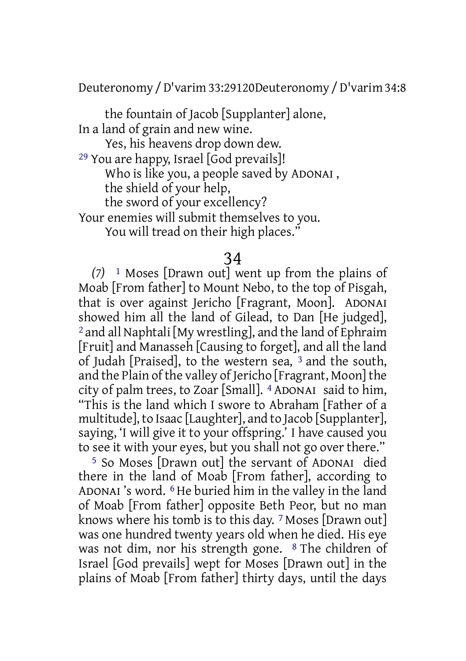Deuteronomy /D'varim 33:29120Deuteronomy /D'varim 34:8

the fountain of Jacob [Supplanter] alone, In a land of grain and new wine.

Yes, his heavens drop down dew.

29 You are happy, Israel [God prevails]! Who is like you, a people saved by ADONAI ,

the shield of your help,

the sword of your excellency?

Your enemies will submit themselves to you.

You will tread on their high places."

## 34

*(7)* 1 Moses [Drawn out] went up from the plains of Moab [From father] to Mount Nebo, to the top of Pisgah, that is over against Jericho [Fragrant, Moon]. ADONAI showed him all the land of Gilead, to Dan [He judged], 2 and all Naphtali [My wrestling], and the land of Ephraim [Fruit] and Manasseh [Causing to forget], and all the land of Judah [Praised], to the western sea, 3 and the south, and the Plain of the valley of Jericho [Fragrant, Moon] the city of palm trees, to Zoar [Small]. 4 ADONAI said to him, "This is the land which I swore to Abraham [Father of a multitude], to Isaac [Laughter], and to Jacob [Supplanter], saying, 'I will give it to your offspring.' I have caused you to see it with your eyes, but you shall not go over there."

5 So Moses [Drawn out] the servant of ADONAI died there in the land of Moab [From father], according to ADONAI 's word. 6 He buried him in the valley in the land of Moab [From father] opposite Beth Peor, but no man knows where his tomb is to this day. 7 Moses [Drawn out] was one hundred twenty years old when he died. His eye was not dim, nor his strength gone. 8 The children of Israel [God prevails] wept for Moses [Drawn out] in the plains of Moab [From father] thirty days, until the days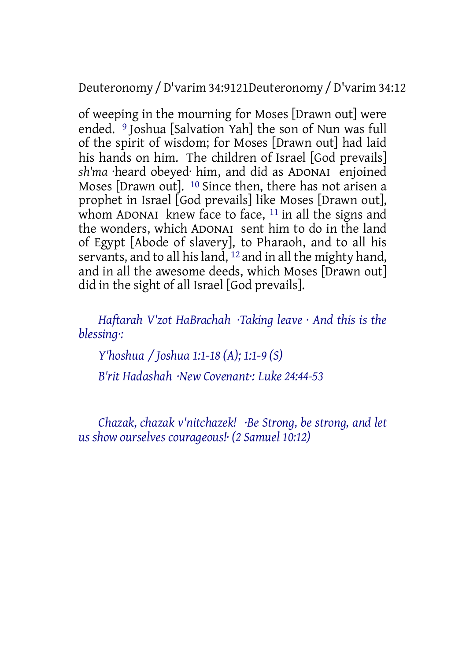Deuteronomy /D'varim 34:9121Deuteronomy /D'varim 34:12

of weeping in the mourning for Moses [Drawn out] were ended. <sup>9</sup> Joshua [Salvation Yah] the son of Nun was full of the spirit of wisdom; for Moses [Drawn out] had laid his hands on him. The children of Israel [God prevails] *sh'ma* ·heard obeyed· him, and did as ADONAI enjoined Moses [Drawn out]. 10 Since then, there has not arisen a prophet in Israel [God prevails] like Moses [Drawn out], whom ADONAI knew face to face,  $11$  in all the signs and the wonders, which ADONAI sent him to do in the land of Egypt [Abode of slavery], to Pharaoh, and to all his servants, and to all his land, <sup>12</sup> and in all the mighty hand, and in all the awesome deeds, which Moses [Drawn out] did in the sight of all Israel [God prevails].

*Haftarah V'zot HaBrachah ·Taking leave · And this is the blessing·:*

*Y'hoshua / Joshua 1:1-18 (A); 1:1-9 (S) B'rit Hadashah ·New Covenant·: Luke 24:44-53*

*Chazak, chazak v'nitchazek! ·Be Strong, be strong, and let us show ourselves courageous!· (2 Samuel 10:12)*